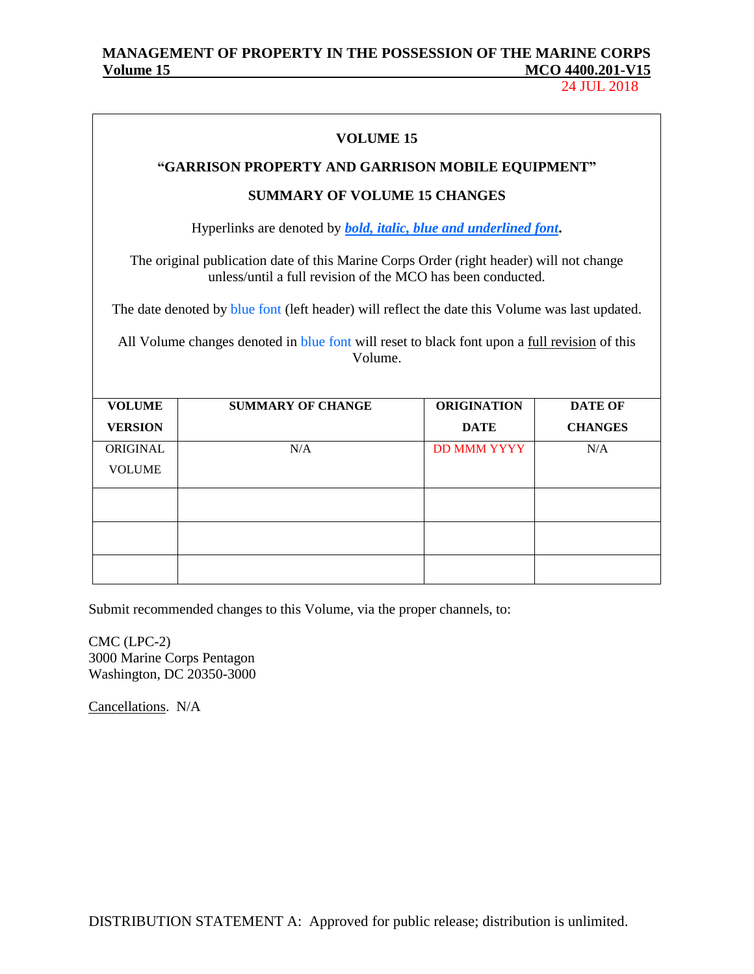24 JUL 2018

|                                                                                                                 | <b>VOLUME 15</b>                                                                                                                                       |                    |                |  |  |  |  |
|-----------------------------------------------------------------------------------------------------------------|--------------------------------------------------------------------------------------------------------------------------------------------------------|--------------------|----------------|--|--|--|--|
|                                                                                                                 | "GARRISON PROPERTY AND GARRISON MOBILE EQUIPMENT"                                                                                                      |                    |                |  |  |  |  |
|                                                                                                                 | <b>SUMMARY OF VOLUME 15 CHANGES</b>                                                                                                                    |                    |                |  |  |  |  |
|                                                                                                                 | Hyperlinks are denoted by <b>bold</b> , <i>italic</i> , <i>blue and underlined font</i> .                                                              |                    |                |  |  |  |  |
|                                                                                                                 | The original publication date of this Marine Corps Order (right header) will not change<br>unless/until a full revision of the MCO has been conducted. |                    |                |  |  |  |  |
|                                                                                                                 | The date denoted by blue font (left header) will reflect the date this Volume was last updated.                                                        |                    |                |  |  |  |  |
| All Volume changes denoted in blue font will reset to black font upon a <u>full revision</u> of this<br>Volume. |                                                                                                                                                        |                    |                |  |  |  |  |
| <b>VOLUME</b>                                                                                                   | <b>SUMMARY OF CHANGE</b>                                                                                                                               | <b>ORIGINATION</b> | <b>DATE OF</b> |  |  |  |  |
| <b>VERSION</b>                                                                                                  |                                                                                                                                                        | <b>DATE</b>        | <b>CHANGES</b> |  |  |  |  |
| <b>ORIGINAL</b>                                                                                                 | N/A                                                                                                                                                    | <b>DD MMM YYYY</b> | N/A            |  |  |  |  |
| <b>VOLUME</b>                                                                                                   |                                                                                                                                                        |                    |                |  |  |  |  |
|                                                                                                                 |                                                                                                                                                        |                    |                |  |  |  |  |
|                                                                                                                 |                                                                                                                                                        |                    |                |  |  |  |  |
|                                                                                                                 |                                                                                                                                                        |                    |                |  |  |  |  |

Submit recommended changes to this Volume, via the proper channels, to:

CMC (LPC-2) 3000 Marine Corps Pentagon Washington, DC 20350-3000

Cancellations. N/A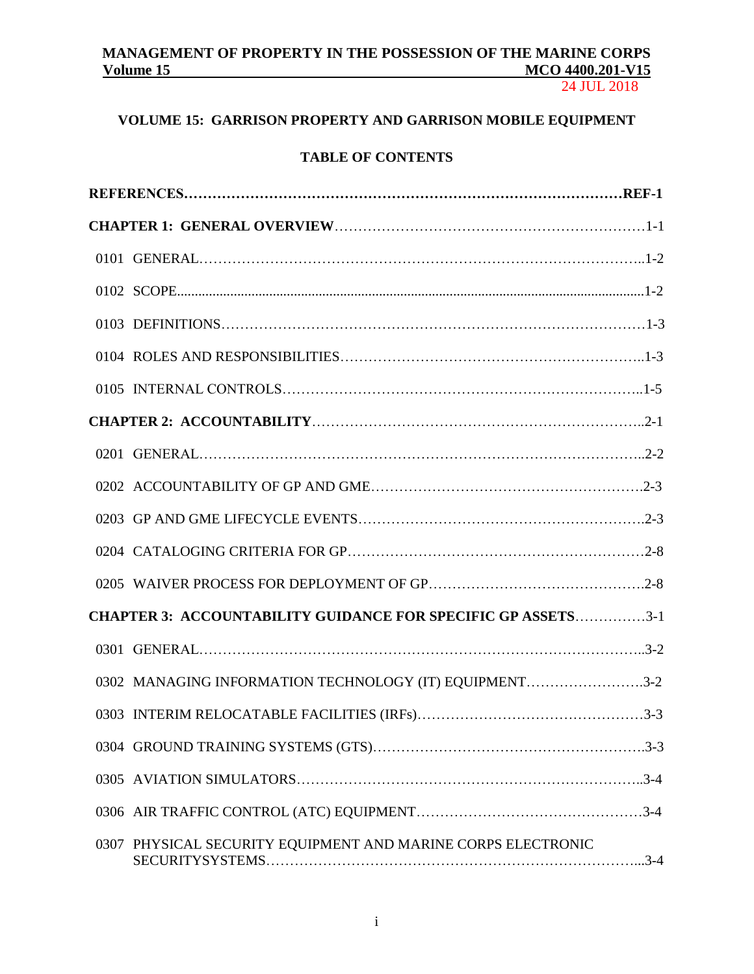# **MANAGEMENT OF PROPERTY IN THE POSSESSION OF THE MARINE CORPS**

24 JUL 2018

# **VOLUME 15: GARRISON PROPERTY AND GARRISON MOBILE EQUIPMENT**

## **TABLE OF CONTENTS**

| <b>CHAPTER 3: ACCOUNTABILITY GUIDANCE FOR SPECIFIC GP ASSETS3-1</b> |
|---------------------------------------------------------------------|
|                                                                     |
| 0302 MANAGING INFORMATION TECHNOLOGY (IT) EQUIPMENT3-2              |
|                                                                     |
|                                                                     |
|                                                                     |
|                                                                     |
| 0307 PHYSICAL SECURITY EQUIPMENT AND MARINE CORPS ELECTRONIC        |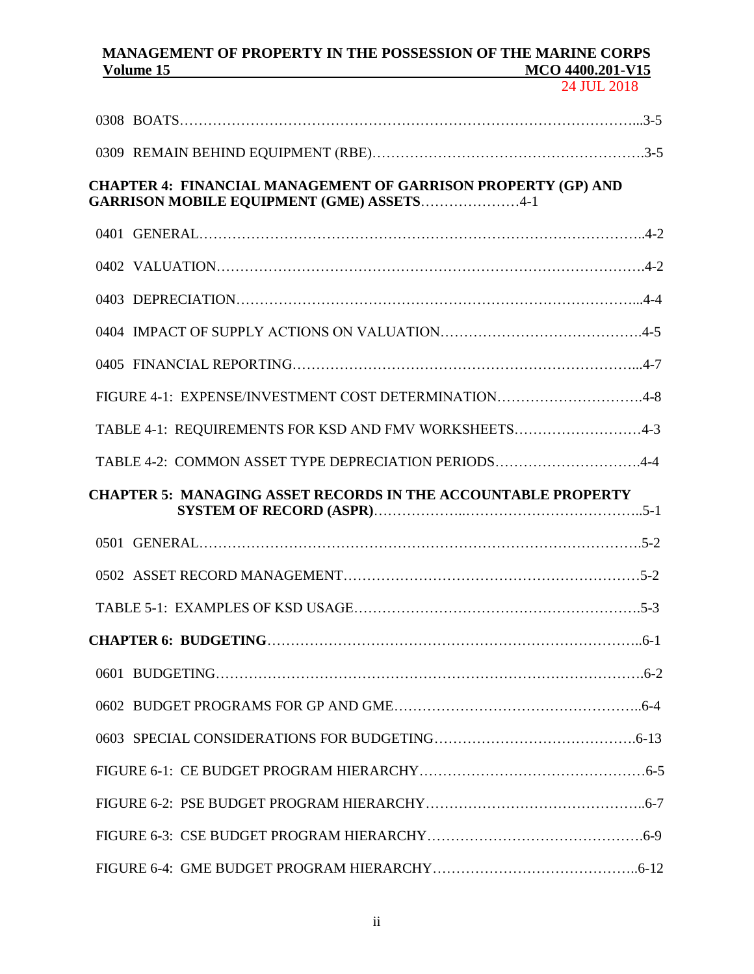# **MANAGEMENT OF PROPERTY IN THE POSSESSION OF THE MARINE CORPS**

24 JUL 2018

| <b>CHAPTER 4: FINANCIAL MANAGEMENT OF GARRISON PROPERTY (GP) AND</b><br><b>GARRISON MOBILE EQUIPMENT (GME) ASSETS4-1</b> |
|--------------------------------------------------------------------------------------------------------------------------|
|                                                                                                                          |
|                                                                                                                          |
|                                                                                                                          |
|                                                                                                                          |
|                                                                                                                          |
| FIGURE 4-1: EXPENSE/INVESTMENT COST DETERMINATION4-8                                                                     |
| TABLE 4-1: REQUIREMENTS FOR KSD AND FMV WORKSHEETS4-3                                                                    |
| TABLE 4-2: COMMON ASSET TYPE DEPRECIATION PERIODS4-4                                                                     |
| <b>CHAPTER 5: MANAGING ASSET RECORDS IN THE ACCOUNTABLE PROPERTY</b>                                                     |
|                                                                                                                          |
|                                                                                                                          |
|                                                                                                                          |
|                                                                                                                          |
|                                                                                                                          |
|                                                                                                                          |
|                                                                                                                          |
|                                                                                                                          |
|                                                                                                                          |
|                                                                                                                          |
|                                                                                                                          |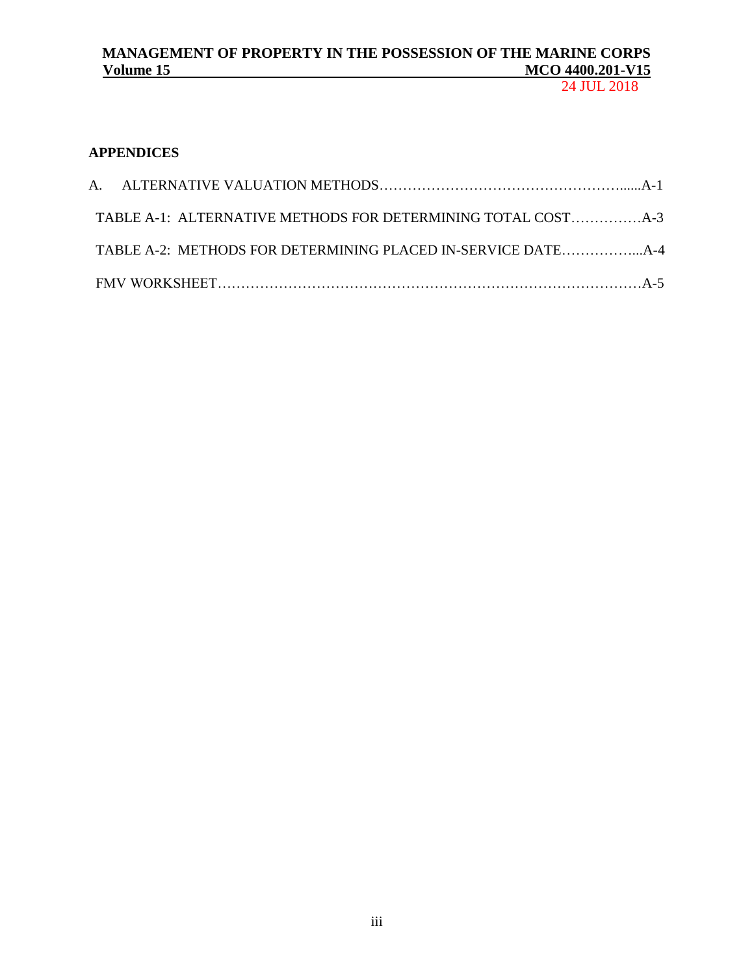## 24 JUL 2018

## **APPENDICES**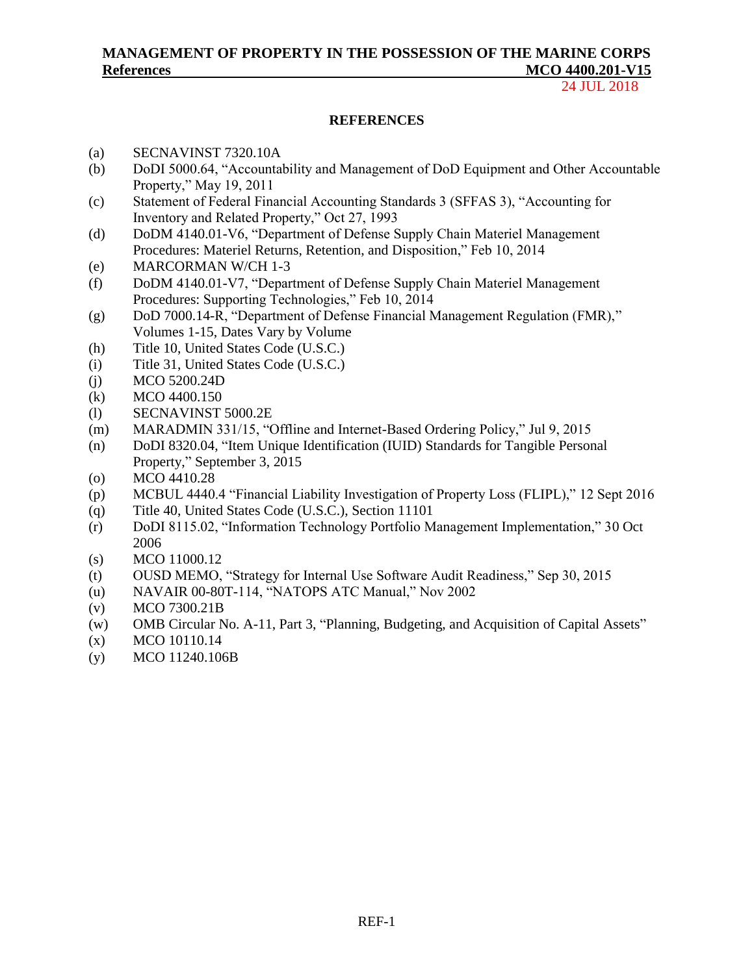## **MANAGEMENT OF PROPERTY IN THE POSSESSION OF THE MARINE CORPS References MCO 4400.201-V15**

24 JUL 2018

### **REFERENCES**

- (a) SECNAVINST 7320.10A
- (b) DoDI 5000.64, "Accountability and Management of DoD Equipment and Other Accountable Property," May 19, 2011
- (c) Statement of Federal Financial Accounting Standards 3 (SFFAS 3), "Accounting for Inventory and Related Property," Oct 27, 1993
- (d) DoDM 4140.01-V6, "Department of Defense Supply Chain Materiel Management Procedures: Materiel Returns, Retention, and Disposition," Feb 10, 2014
- (e) [MARCORMAN W/CH 1-3](http://www.marines.mil/Portals/59/Publications/MARINE%20CORPS%20MANUAL%20W%20CH%201-3.pdf)
- (f) DoDM 4140.01-V7, "Department of Defense Supply Chain Materiel Management Procedures: Supporting Technologies," Feb 10, 2014
- (g) [DoD 7000.14-R, "Department of Defense Financial Management Regulation \(FMR\),"](http://comptroller.defense.gov/Portals/45/documents/fmr/Combined_Volume1-15.pdf) [Volumes 1-15, Dates Vary by Volume](http://comptroller.defense.gov/Portals/45/documents/fmr/Combined_Volume1-15.pdf)
- (h) [Title 10, United States Code \(U.S.C.\)](http://www.gpo.gov/fdsys/pkg/CPRT-112HPRT67344/pdf/CPRT-112HPRT67344.pdf)
- (i) [Title 31, United States Code \(U.S.C.\)](http://www.gpo.gov/fdsys/pkg/USCODE-2011-title31/pdf/USCODE-2011-title31.pdf)
- (j) MCO 5200.24D
- (k) MCO 4400.150
- (l) SECNAVINST 5000.2E
- (m) MARADMIN 331/15, "Offline and Internet-Based Ordering Policy," Jul 9, 2015
- (n) DoDI 8320.04, "Item Unique Identification (IUID) Standards for Tangible Personal Property," September 3, 2015
- (o) MCO 4410.28
- (p) MCBUL 4440.4 "Financial Liability Investigation of Property Loss (FLIPL)," 12 Sept 2016
- (q) Title 40, United States Code (U.S.C.), Section 11101
- (r) DoDI 8115.02, "Information Technology Portfolio Management Implementation," 30 Oct 2006
- (s) MCO 11000.12
- (t) OUSD MEMO, "Strategy for Internal Use Software Audit Readiness," Sep 30, 2015
- (u) NAVAIR 00-80T-114, "NATOPS ATC Manual," Nov 2002
- (v) MCO 7300.21B
- (w) OMB Circular No. A-11, Part 3, "Planning, Budgeting, and Acquisition of Capital Assets"
- (x) MCO 10110.14
- (y) MCO 11240.106B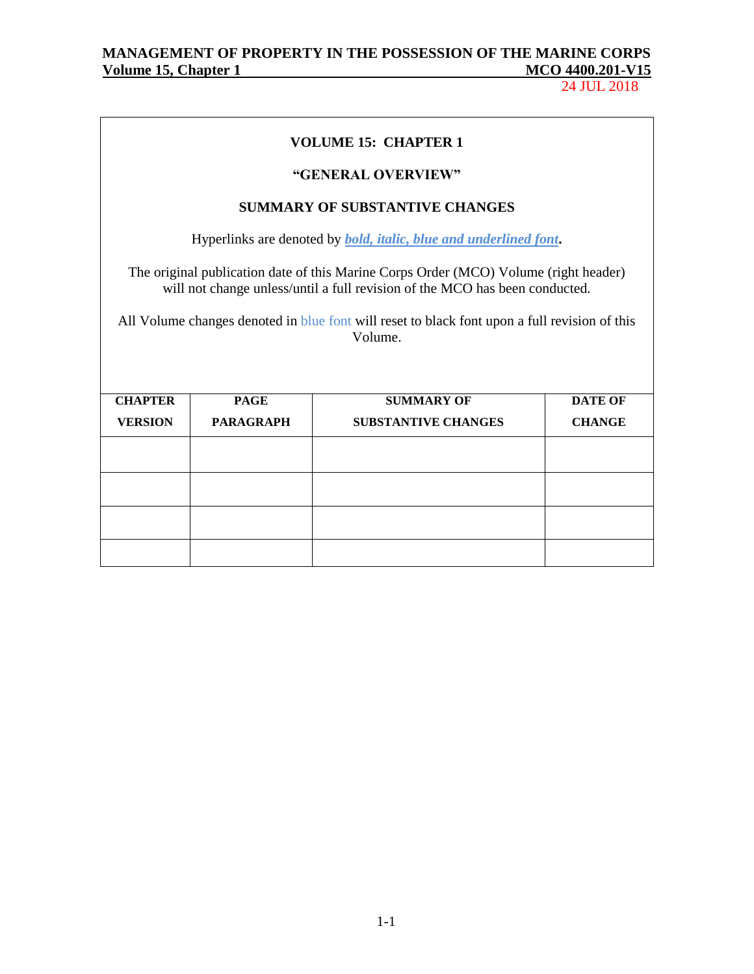# MANAGEMENT OF PROPERTY IN THE POSSESSION OF THE MARINE CORPS<br>Volume 15, Chapter 1 MCO 4400.201-V15 **Volume 15, Chapter 1**

24 JUL 2018

|                |                  | <b>VOLUME 15: CHAPTER 1</b><br>"GENERAL OVERVIEW"                                                                                                                                                                                                                              |                |
|----------------|------------------|--------------------------------------------------------------------------------------------------------------------------------------------------------------------------------------------------------------------------------------------------------------------------------|----------------|
|                |                  | <b>SUMMARY OF SUBSTANTIVE CHANGES</b>                                                                                                                                                                                                                                          |                |
|                |                  | Hyperlinks are denoted by <b><i>bold, italic, blue and underlined font.</i></b>                                                                                                                                                                                                |                |
|                |                  | The original publication date of this Marine Corps Order (MCO) Volume (right header)<br>will not change unless/until a full revision of the MCO has been conducted.<br>All Volume changes denoted in blue font will reset to black font upon a full revision of this<br>Volume |                |
|                |                  |                                                                                                                                                                                                                                                                                |                |
| <b>CHAPTER</b> | <b>PAGE</b>      | <b>SUMMARY OF</b>                                                                                                                                                                                                                                                              | <b>DATE OF</b> |
| <b>VERSION</b> | <b>PARAGRAPH</b> | <b>SUBSTANTIVE CHANGES</b>                                                                                                                                                                                                                                                     | <b>CHANGE</b>  |
|                |                  |                                                                                                                                                                                                                                                                                |                |
|                |                  |                                                                                                                                                                                                                                                                                |                |
|                |                  |                                                                                                                                                                                                                                                                                |                |
|                |                  |                                                                                                                                                                                                                                                                                |                |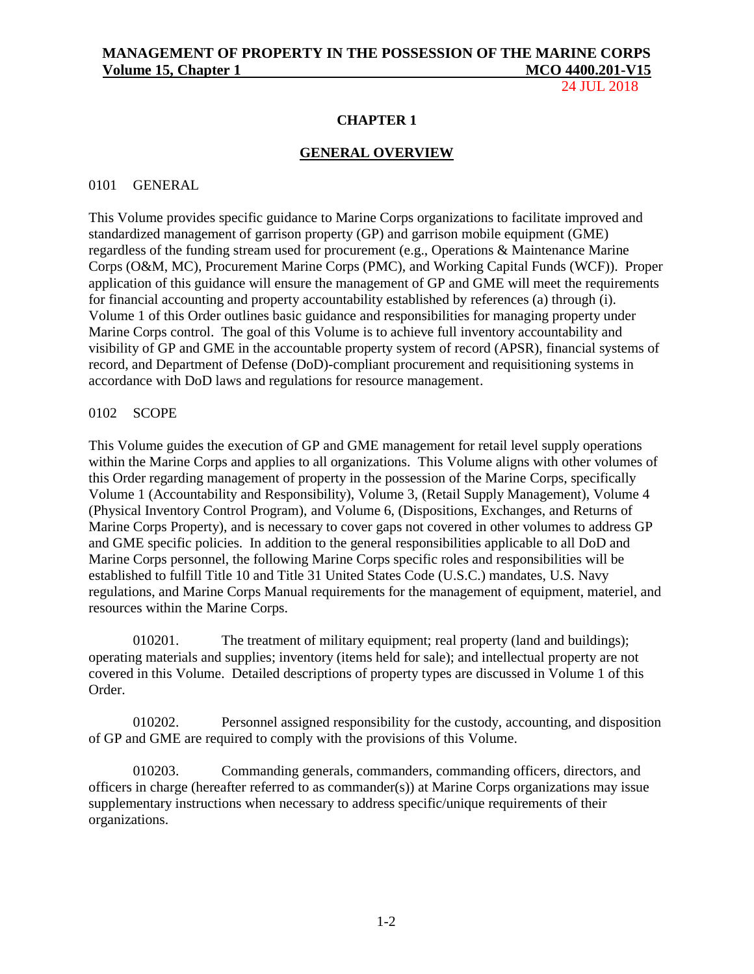24 JUL 2018

### **CHAPTER 1**

### **GENERAL OVERVIEW**

### 0101 GENERAL

This Volume provides specific guidance to Marine Corps organizations to facilitate improved and standardized management of garrison property (GP) and garrison mobile equipment (GME) regardless of the funding stream used for procurement (e.g., Operations & Maintenance Marine Corps (O&M, MC), Procurement Marine Corps (PMC), and Working Capital Funds (WCF)). Proper application of this guidance will ensure the management of GP and GME will meet the requirements for financial accounting and property accountability established by references (a) through (i). Volume 1 of this Order outlines basic guidance and responsibilities for managing property under Marine Corps control. The goal of this Volume is to achieve full inventory accountability and visibility of GP and GME in the accountable property system of record (APSR), financial systems of record, and Department of Defense (DoD)-compliant procurement and requisitioning systems in accordance with DoD laws and regulations for resource management.

### 0102 SCOPE

This Volume guides the execution of GP and GME management for retail level supply operations within the Marine Corps and applies to all organizations. This Volume aligns with other volumes of this Order regarding management of property in the possession of the Marine Corps, specifically Volume 1 (Accountability and Responsibility), Volume 3, (Retail Supply Management), Volume 4 (Physical Inventory Control Program), and Volume 6, (Dispositions, Exchanges, and Returns of Marine Corps Property), and is necessary to cover gaps not covered in other volumes to address GP and GME specific policies. In addition to the general responsibilities applicable to all DoD and Marine Corps personnel, the following Marine Corps specific roles and responsibilities will be established to fulfill Title 10 and Title 31 United States Code (U.S.C.) mandates, U.S. Navy regulations, and Marine Corps Manual requirements for the management of equipment, materiel, and resources within the Marine Corps.

010201. The treatment of military equipment; real property (land and buildings); operating materials and supplies; inventory (items held for sale); and intellectual property are not covered in this Volume. Detailed descriptions of property types are discussed in Volume 1 of this Order.

010202. Personnel assigned responsibility for the custody, accounting, and disposition of GP and GME are required to comply with the provisions of this Volume.

010203. Commanding generals, commanders, commanding officers, directors, and officers in charge (hereafter referred to as commander(s)) at Marine Corps organizations may issue supplementary instructions when necessary to address specific/unique requirements of their organizations.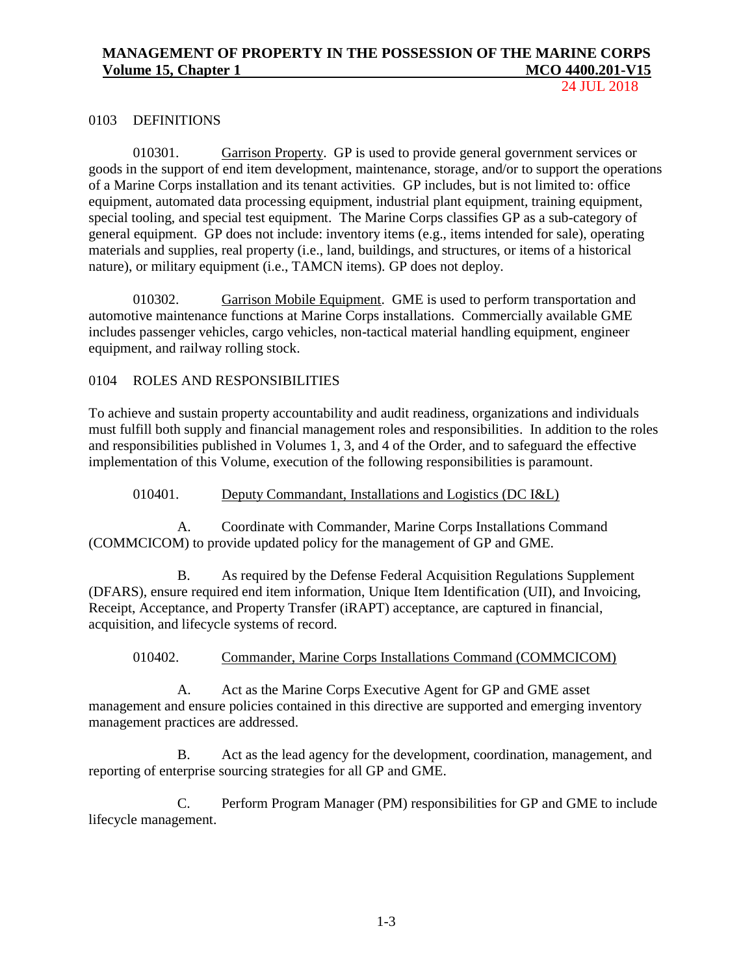24 JUL 2018

### 0103 DEFINITIONS

010301. Garrison Property. GP is used to provide general government services or goods in the support of end item development, maintenance, storage, and/or to support the operations of a Marine Corps installation and its tenant activities. GP includes, but is not limited to: office equipment, automated data processing equipment, industrial plant equipment, training equipment, special tooling, and special test equipment. The Marine Corps classifies GP as a sub-category of general equipment. GP does not include: inventory items (e.g., items intended for sale), operating materials and supplies, real property (i.e., land, buildings, and structures, or items of a historical nature), or military equipment (i.e., TAMCN items). GP does not deploy.

010302. Garrison Mobile Equipment. GME is used to perform transportation and automotive maintenance functions at Marine Corps installations. Commercially available GME includes passenger vehicles, cargo vehicles, non-tactical material handling equipment, engineer equipment, and railway rolling stock.

### 0104 ROLES AND RESPONSIBILITIES

To achieve and sustain property accountability and audit readiness, organizations and individuals must fulfill both supply and financial management roles and responsibilities. In addition to the roles and responsibilities published in Volumes 1, 3, and 4 of the Order, and to safeguard the effective implementation of this Volume, execution of the following responsibilities is paramount.

010401. Deputy Commandant, Installations and Logistics (DC I&L)

A. Coordinate with Commander, Marine Corps Installations Command (COMMCICOM) to provide updated policy for the management of GP and GME.

B. As required by the Defense Federal Acquisition Regulations Supplement (DFARS), ensure required end item information, Unique Item Identification (UII), and Invoicing, Receipt, Acceptance, and Property Transfer (iRAPT) acceptance, are captured in financial, acquisition, and lifecycle systems of record.

### 010402. Commander, Marine Corps Installations Command (COMMCICOM)

A. Act as the Marine Corps Executive Agent for GP and GME asset management and ensure policies contained in this directive are supported and emerging inventory management practices are addressed.

B. Act as the lead agency for the development, coordination, management, and reporting of enterprise sourcing strategies for all GP and GME.

C. Perform Program Manager (PM) responsibilities for GP and GME to include lifecycle management.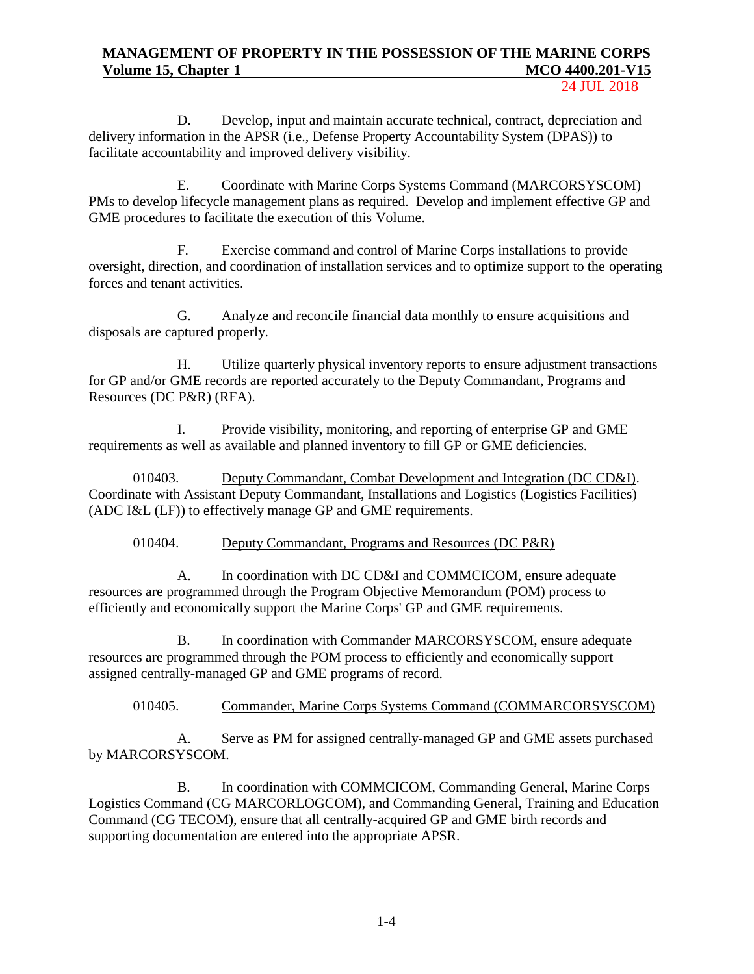24 JUL 2018

D. Develop, input and maintain accurate technical, contract, depreciation and delivery information in the APSR (i.e., Defense Property Accountability System (DPAS)) to facilitate accountability and improved delivery visibility.

E. Coordinate with Marine Corps Systems Command (MARCORSYSCOM) PMs to develop lifecycle management plans as required. Develop and implement effective GP and GME procedures to facilitate the execution of this Volume.

F. Exercise command and control of Marine Corps installations to provide oversight, direction, and coordination of installation services and to optimize support to the operating forces and tenant activities.

G. Analyze and reconcile financial data monthly to ensure acquisitions and disposals are captured properly.

H. Utilize quarterly physical inventory reports to ensure adjustment transactions for GP and/or GME records are reported accurately to the Deputy Commandant, Programs and Resources (DC P&R) (RFA).

I. Provide visibility, monitoring, and reporting of enterprise GP and GME requirements as well as available and planned inventory to fill GP or GME deficiencies.

010403. Deputy Commandant, Combat Development and Integration (DC CD&I). Coordinate with Assistant Deputy Commandant, Installations and Logistics (Logistics Facilities) (ADC I&L (LF)) to effectively manage GP and GME requirements.

010404. Deputy Commandant, Programs and Resources (DC P&R)

A. In coordination with DC CD&I and COMMCICOM, ensure adequate resources are programmed through the Program Objective Memorandum (POM) process to efficiently and economically support the Marine Corps' GP and GME requirements.

B. In coordination with Commander MARCORSYSCOM, ensure adequate resources are programmed through the POM process to efficiently and economically support assigned centrally-managed GP and GME programs of record.

## 010405. Commander, Marine Corps Systems Command (COMMARCORSYSCOM)

A. Serve as PM for assigned centrally-managed GP and GME assets purchased by MARCORSYSCOM.

B. In coordination with COMMCICOM, Commanding General, Marine Corps Logistics Command (CG MARCORLOGCOM), and Commanding General, Training and Education Command (CG TECOM), ensure that all centrally-acquired GP and GME birth records and supporting documentation are entered into the appropriate APSR.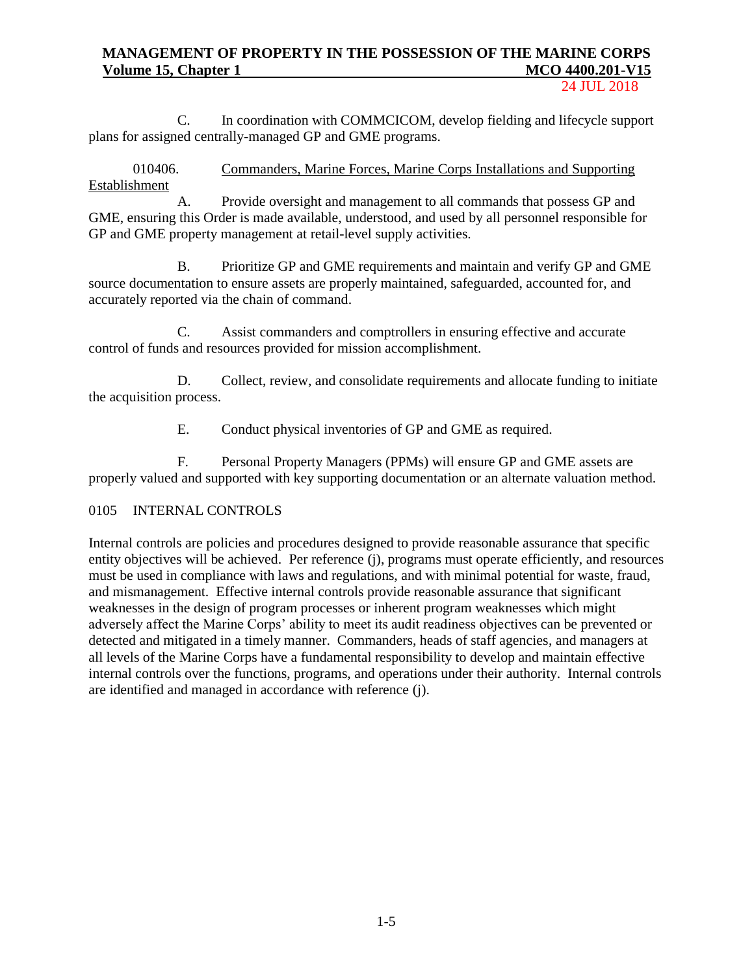24 JUL 2018

C. In coordination with COMMCICOM, develop fielding and lifecycle support plans for assigned centrally-managed GP and GME programs.

010406. Commanders, Marine Forces, Marine Corps Installations and Supporting Establishment

A. Provide oversight and management to all commands that possess GP and GME, ensuring this Order is made available, understood, and used by all personnel responsible for GP and GME property management at retail-level supply activities.

B. Prioritize GP and GME requirements and maintain and verify GP and GME source documentation to ensure assets are properly maintained, safeguarded, accounted for, and accurately reported via the chain of command.

C. Assist commanders and comptrollers in ensuring effective and accurate control of funds and resources provided for mission accomplishment.

D. Collect, review, and consolidate requirements and allocate funding to initiate the acquisition process.

E. Conduct physical inventories of GP and GME as required.

F. Personal Property Managers (PPMs) will ensure GP and GME assets are properly valued and supported with key supporting documentation or an alternate valuation method.

## 0105 INTERNAL CONTROLS

Internal controls are policies and procedures designed to provide reasonable assurance that specific entity objectives will be achieved. Per reference (j), programs must operate efficiently, and resources must be used in compliance with laws and regulations, and with minimal potential for waste, fraud, and mismanagement. Effective internal controls provide reasonable assurance that significant weaknesses in the design of program processes or inherent program weaknesses which might adversely affect the Marine Corps' ability to meet its audit readiness objectives can be prevented or detected and mitigated in a timely manner. Commanders, heads of staff agencies, and managers at all levels of the Marine Corps have a fundamental responsibility to develop and maintain effective internal controls over the functions, programs, and operations under their authority. Internal controls are identified and managed in accordance with reference (j).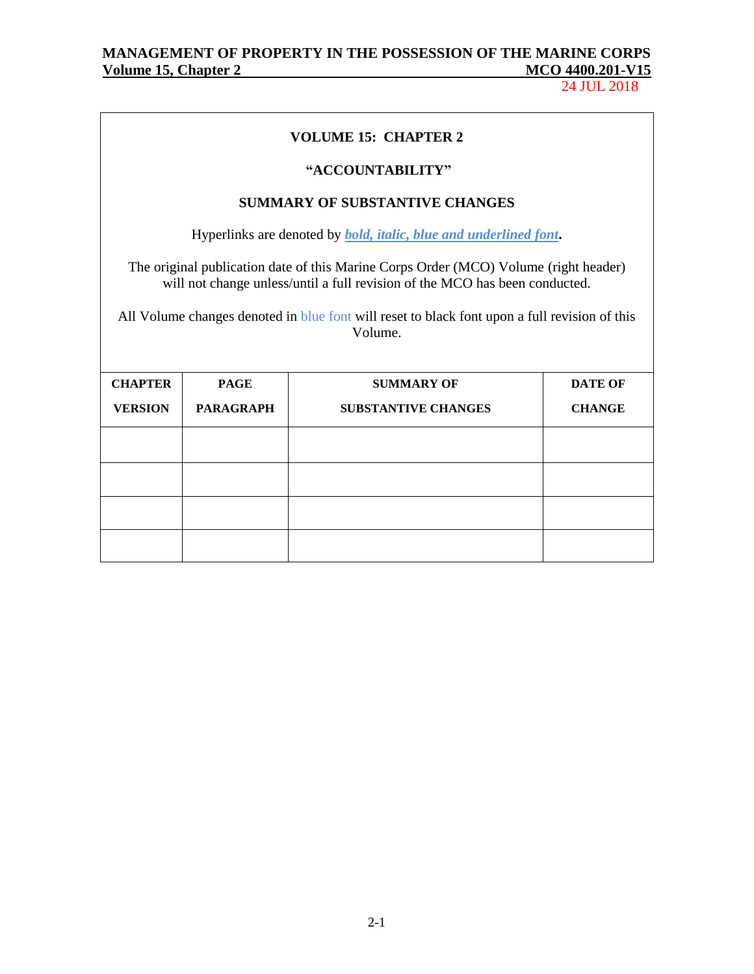24 JUL 2018

|                                                                                                          |                                                                 | <b>VOLUME 15: CHAPTER 2</b>                                                                                                                                         |                |  |  |  |  |
|----------------------------------------------------------------------------------------------------------|-----------------------------------------------------------------|---------------------------------------------------------------------------------------------------------------------------------------------------------------------|----------------|--|--|--|--|
|                                                                                                          |                                                                 | "ACCOUNTABILITY"                                                                                                                                                    |                |  |  |  |  |
|                                                                                                          |                                                                 | <b>SUMMARY OF SUBSTANTIVE CHANGES</b>                                                                                                                               |                |  |  |  |  |
|                                                                                                          |                                                                 | Hyperlinks are denoted by <i>bold</i> , <i>italic</i> , <i>blue and underlined font</i> .                                                                           |                |  |  |  |  |
|                                                                                                          |                                                                 | The original publication date of this Marine Corps Order (MCO) Volume (right header)<br>will not change unless/until a full revision of the MCO has been conducted. |                |  |  |  |  |
| All Volume changes denoted in blue font will reset to black font upon a full revision of this<br>Volume. |                                                                 |                                                                                                                                                                     |                |  |  |  |  |
| <b>CHAPTER</b>                                                                                           | <b>PAGE</b>                                                     | <b>SUMMARY OF</b>                                                                                                                                                   | <b>DATE OF</b> |  |  |  |  |
| <b>VERSION</b>                                                                                           | <b>PARAGRAPH</b><br><b>SUBSTANTIVE CHANGES</b><br><b>CHANGE</b> |                                                                                                                                                                     |                |  |  |  |  |
|                                                                                                          |                                                                 |                                                                                                                                                                     |                |  |  |  |  |
|                                                                                                          |                                                                 |                                                                                                                                                                     |                |  |  |  |  |
|                                                                                                          |                                                                 |                                                                                                                                                                     |                |  |  |  |  |
|                                                                                                          |                                                                 |                                                                                                                                                                     |                |  |  |  |  |
|                                                                                                          |                                                                 |                                                                                                                                                                     |                |  |  |  |  |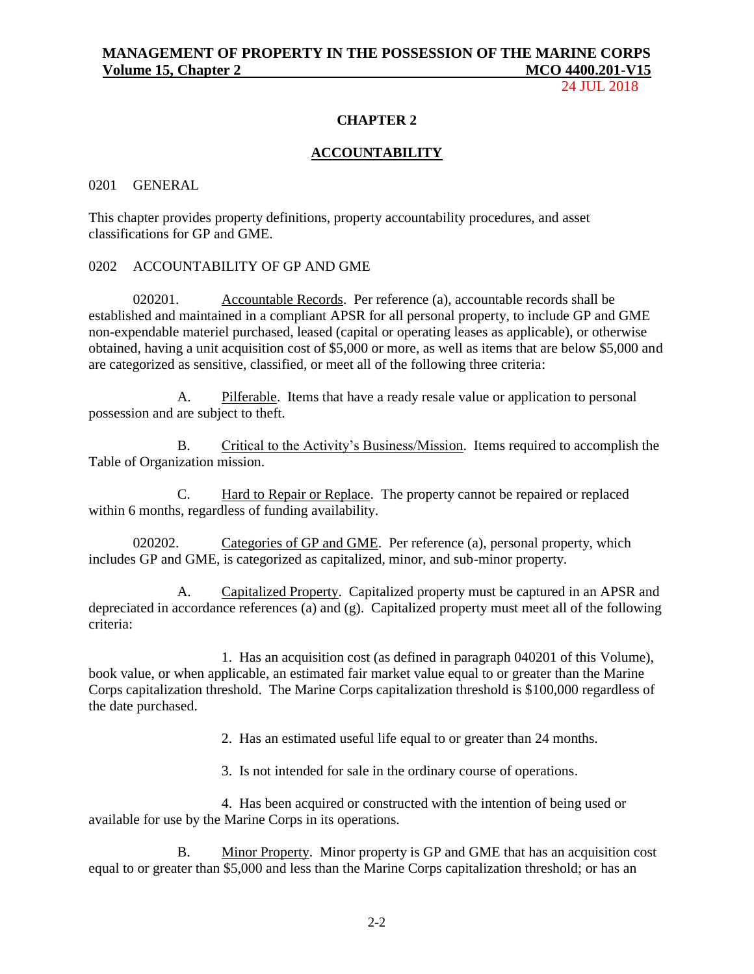24 JUL 2018

## **CHAPTER 2**

### **ACCOUNTABILITY**

#### 0201 GENERAL

This chapter provides property definitions, property accountability procedures, and asset classifications for GP and GME.

## 0202 ACCOUNTABILITY OF GP AND GME

020201. Accountable Records. Per reference (a), accountable records shall be established and maintained in a compliant APSR for all personal property, to include GP and GME non-expendable materiel purchased, leased (capital or operating leases as applicable), or otherwise obtained, having a unit acquisition cost of \$5,000 or more, as well as items that are below \$5,000 and are categorized as sensitive, classified, or meet all of the following three criteria:

A. Pilferable. Items that have a ready resale value or application to personal possession and are subject to theft.

B. Critical to the Activity's Business/Mission. Items required to accomplish the Table of Organization mission.

C. Hard to Repair or Replace. The property cannot be repaired or replaced within 6 months, regardless of funding availability.

020202. Categories of GP and GME. Per reference (a), personal property, which includes GP and GME, is categorized as capitalized, minor, and sub-minor property.

A. Capitalized Property. Capitalized property must be captured in an APSR and depreciated in accordance references (a) and (g). Capitalized property must meet all of the following criteria:

1. Has an acquisition cost (as defined in paragraph 040201 of this Volume), book value, or when applicable, an estimated fair market value equal to or greater than the Marine Corps capitalization threshold. The Marine Corps capitalization threshold is \$100,000 regardless of the date purchased.

2. Has an estimated useful life equal to or greater than 24 months.

3. Is not intended for sale in the ordinary course of operations.

4. Has been acquired or constructed with the intention of being used or available for use by the Marine Corps in its operations.

B. Minor Property. Minor property is GP and GME that has an acquisition cost equal to or greater than \$5,000 and less than the Marine Corps capitalization threshold; or has an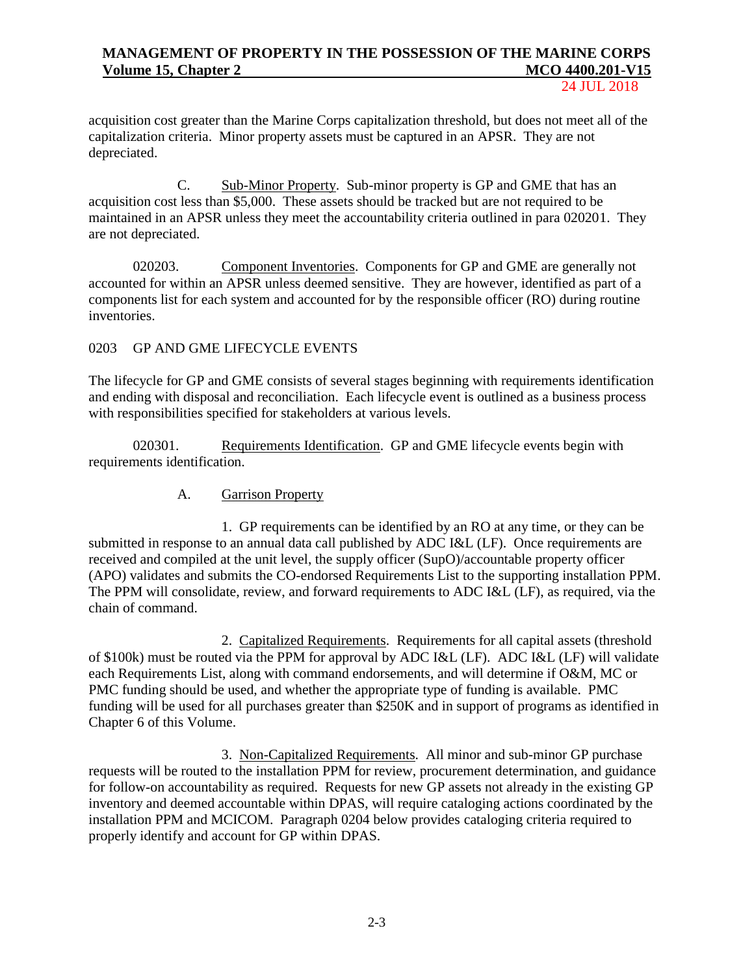24 JUL 2018

acquisition cost greater than the Marine Corps capitalization threshold, but does not meet all of the capitalization criteria. Minor property assets must be captured in an APSR. They are not depreciated.

C. Sub-Minor Property. Sub-minor property is GP and GME that has an acquisition cost less than \$5,000. These assets should be tracked but are not required to be maintained in an APSR unless they meet the accountability criteria outlined in para 020201. They are not depreciated.

020203. Component Inventories. Components for GP and GME are generally not accounted for within an APSR unless deemed sensitive. They are however, identified as part of a components list for each system and accounted for by the responsible officer (RO) during routine inventories.

## 0203 GP AND GME LIFECYCLE EVENTS

The lifecycle for GP and GME consists of several stages beginning with requirements identification and ending with disposal and reconciliation. Each lifecycle event is outlined as a business process with responsibilities specified for stakeholders at various levels.

020301. Requirements Identification. GP and GME lifecycle events begin with requirements identification.

## A. Garrison Property

1. GP requirements can be identified by an RO at any time, or they can be submitted in response to an annual data call published by ADC I&L (LF). Once requirements are received and compiled at the unit level, the supply officer (SupO)/accountable property officer (APO) validates and submits the CO-endorsed Requirements List to the supporting installation PPM. The PPM will consolidate, review, and forward requirements to ADC I&L (LF), as required, via the chain of command.

2. Capitalized Requirements. Requirements for all capital assets (threshold of \$100k) must be routed via the PPM for approval by ADC I&L (LF). ADC I&L (LF) will validate each Requirements List, along with command endorsements, and will determine if O&M, MC or PMC funding should be used, and whether the appropriate type of funding is available. PMC funding will be used for all purchases greater than \$250K and in support of programs as identified in Chapter 6 of this Volume.

3. Non-Capitalized Requirements. All minor and sub-minor GP purchase requests will be routed to the installation PPM for review, procurement determination, and guidance for follow-on accountability as required. Requests for new GP assets not already in the existing GP inventory and deemed accountable within DPAS, will require cataloging actions coordinated by the installation PPM and MCICOM. Paragraph 0204 below provides cataloging criteria required to properly identify and account for GP within DPAS.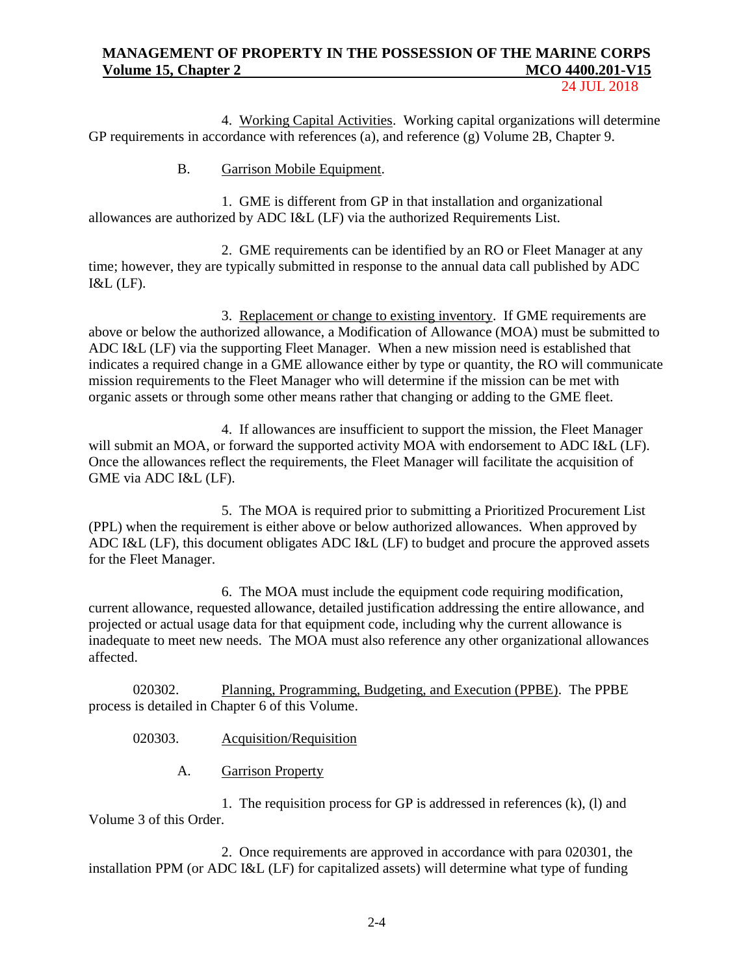24 JUL 2018

4. Working Capital Activities. Working capital organizations will determine GP requirements in accordance with references (a), and reference (g) Volume 2B, Chapter 9.

B. Garrison Mobile Equipment.

1. GME is different from GP in that installation and organizational allowances are authorized by ADC I&L (LF) via the authorized Requirements List.

2. GME requirements can be identified by an RO or Fleet Manager at any time; however, they are typically submitted in response to the annual data call published by ADC I&L (LF).

3. Replacement or change to existing inventory. If GME requirements are above or below the authorized allowance, a Modification of Allowance (MOA) must be submitted to ADC I&L (LF) via the supporting Fleet Manager. When a new mission need is established that indicates a required change in a GME allowance either by type or quantity, the RO will communicate mission requirements to the Fleet Manager who will determine if the mission can be met with organic assets or through some other means rather that changing or adding to the GME fleet.

4. If allowances are insufficient to support the mission, the Fleet Manager will submit an MOA, or forward the supported activity MOA with endorsement to ADC I&L (LF). Once the allowances reflect the requirements, the Fleet Manager will facilitate the acquisition of GME via ADC I&L (LF).

5. The MOA is required prior to submitting a Prioritized Procurement List (PPL) when the requirement is either above or below authorized allowances. When approved by ADC I&L (LF), this document obligates ADC I&L (LF) to budget and procure the approved assets for the Fleet Manager.

6. The MOA must include the equipment code requiring modification, current allowance, requested allowance, detailed justification addressing the entire allowance, and projected or actual usage data for that equipment code, including why the current allowance is inadequate to meet new needs. The MOA must also reference any other organizational allowances affected.

020302. Planning, Programming, Budgeting, and Execution (PPBE). The PPBE process is detailed in Chapter 6 of this Volume.

020303. Acquisition/Requisition

A. Garrison Property

1. The requisition process for GP is addressed in references (k), (l) and Volume 3 of this Order.

2. Once requirements are approved in accordance with para 020301, the installation PPM (or ADC I&L (LF) for capitalized assets) will determine what type of funding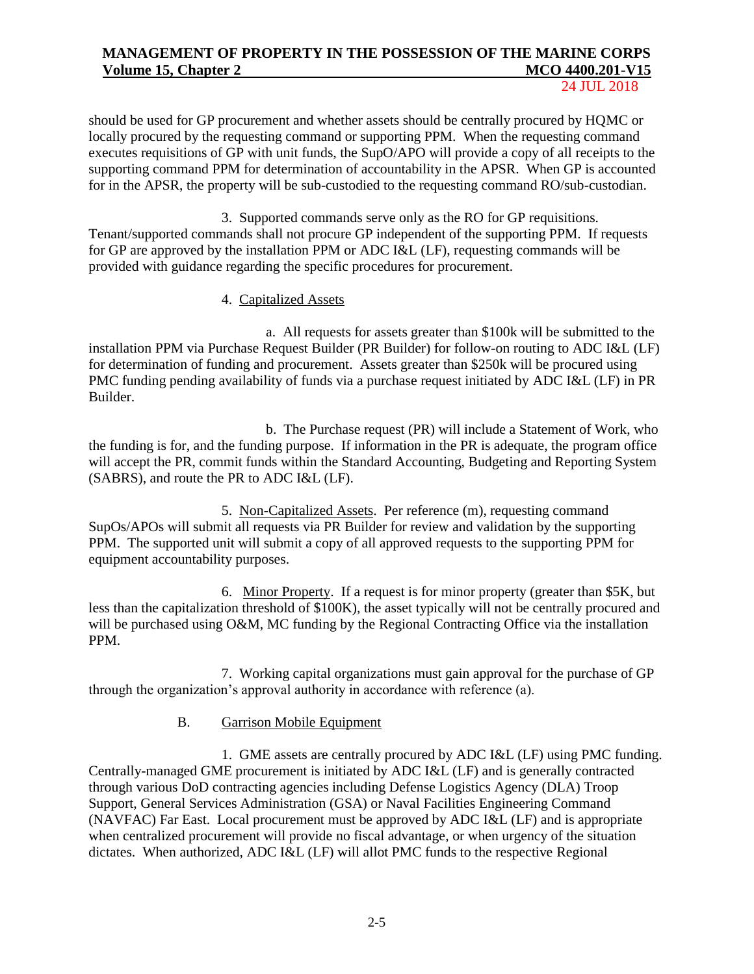24 JUL 2018

should be used for GP procurement and whether assets should be centrally procured by HQMC or locally procured by the requesting command or supporting PPM. When the requesting command executes requisitions of GP with unit funds, the SupO/APO will provide a copy of all receipts to the supporting command PPM for determination of accountability in the APSR. When GP is accounted for in the APSR, the property will be sub-custodied to the requesting command RO/sub-custodian.

3. Supported commands serve only as the RO for GP requisitions. Tenant/supported commands shall not procure GP independent of the supporting PPM. If requests for GP are approved by the installation PPM or ADC I&L (LF), requesting commands will be provided with guidance regarding the specific procedures for procurement.

## 4. Capitalized Assets

a. All requests for assets greater than \$100k will be submitted to the installation PPM via Purchase Request Builder (PR Builder) for follow-on routing to ADC I&L (LF) for determination of funding and procurement. Assets greater than \$250k will be procured using PMC funding pending availability of funds via a purchase request initiated by ADC I&L (LF) in PR Builder.

b. The Purchase request (PR) will include a Statement of Work, who the funding is for, and the funding purpose. If information in the PR is adequate, the program office will accept the PR, commit funds within the Standard Accounting, Budgeting and Reporting System (SABRS), and route the PR to ADC I&L (LF).

5. Non-Capitalized Assets. Per reference (m), requesting command SupOs/APOs will submit all requests via PR Builder for review and validation by the supporting PPM. The supported unit will submit a copy of all approved requests to the supporting PPM for equipment accountability purposes.

6. Minor Property. If a request is for minor property (greater than \$5K, but less than the capitalization threshold of \$100K), the asset typically will not be centrally procured and will be purchased using O&M, MC funding by the Regional Contracting Office via the installation PPM.

7. Working capital organizations must gain approval for the purchase of GP through the organization's approval authority in accordance with reference (a).

## B. Garrison Mobile Equipment

1. GME assets are centrally procured by ADC I&L (LF) using PMC funding. Centrally-managed GME procurement is initiated by ADC I&L (LF) and is generally contracted through various DoD contracting agencies including Defense Logistics Agency (DLA) Troop Support, General Services Administration (GSA) or Naval Facilities Engineering Command (NAVFAC) Far East. Local procurement must be approved by ADC I&L (LF) and is appropriate when centralized procurement will provide no fiscal advantage, or when urgency of the situation dictates. When authorized, ADC I&L (LF) will allot PMC funds to the respective Regional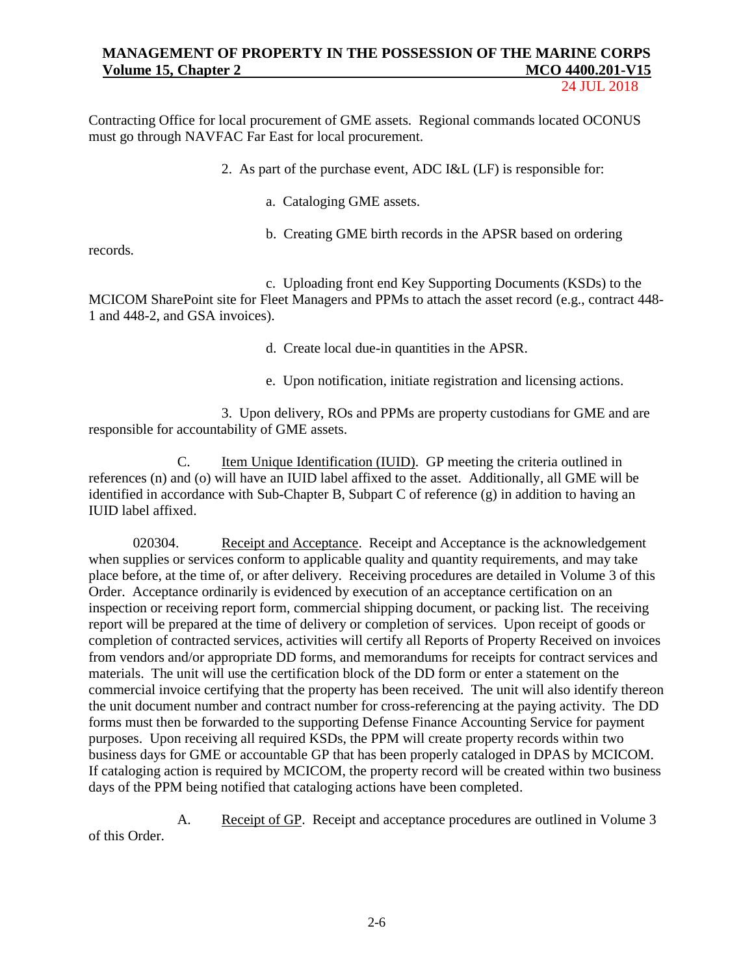24 JUL 2018

Contracting Office for local procurement of GME assets. Regional commands located OCONUS must go through NAVFAC Far East for local procurement.

2. As part of the purchase event, ADC I&L (LF) is responsible for:

a. Cataloging GME assets.

b. Creating GME birth records in the APSR based on ordering

records.

c. Uploading front end Key Supporting Documents (KSDs) to the MCICOM SharePoint site for Fleet Managers and PPMs to attach the asset record (e.g., contract 448- 1 and 448-2, and GSA invoices).

d. Create local due-in quantities in the APSR.

e. Upon notification, initiate registration and licensing actions.

3. Upon delivery, ROs and PPMs are property custodians for GME and are responsible for accountability of GME assets.

C. Item Unique Identification (IUID). GP meeting the criteria outlined in references (n) and (o) will have an IUID label affixed to the asset. Additionally, all GME will be identified in accordance with Sub-Chapter B, Subpart C of reference (g) in addition to having an IUID label affixed.

020304. Receipt and Acceptance. Receipt and Acceptance is the acknowledgement when supplies or services conform to applicable quality and quantity requirements, and may take place before, at the time of, or after delivery. Receiving procedures are detailed in Volume 3 of this Order. Acceptance ordinarily is evidenced by execution of an acceptance certification on an inspection or receiving report form, commercial shipping document, or packing list. The receiving report will be prepared at the time of delivery or completion of services. Upon receipt of goods or completion of contracted services, activities will certify all Reports of Property Received on invoices from vendors and/or appropriate DD forms, and memorandums for receipts for contract services and materials. The unit will use the certification block of the DD form or enter a statement on the commercial invoice certifying that the property has been received. The unit will also identify thereon the unit document number and contract number for cross-referencing at the paying activity. The DD forms must then be forwarded to the supporting Defense Finance Accounting Service for payment purposes. Upon receiving all required KSDs, the PPM will create property records within two business days for GME or accountable GP that has been properly cataloged in DPAS by MCICOM. If cataloging action is required by MCICOM, the property record will be created within two business days of the PPM being notified that cataloging actions have been completed.

A. Receipt of GP. Receipt and acceptance procedures are outlined in Volume 3 of this Order.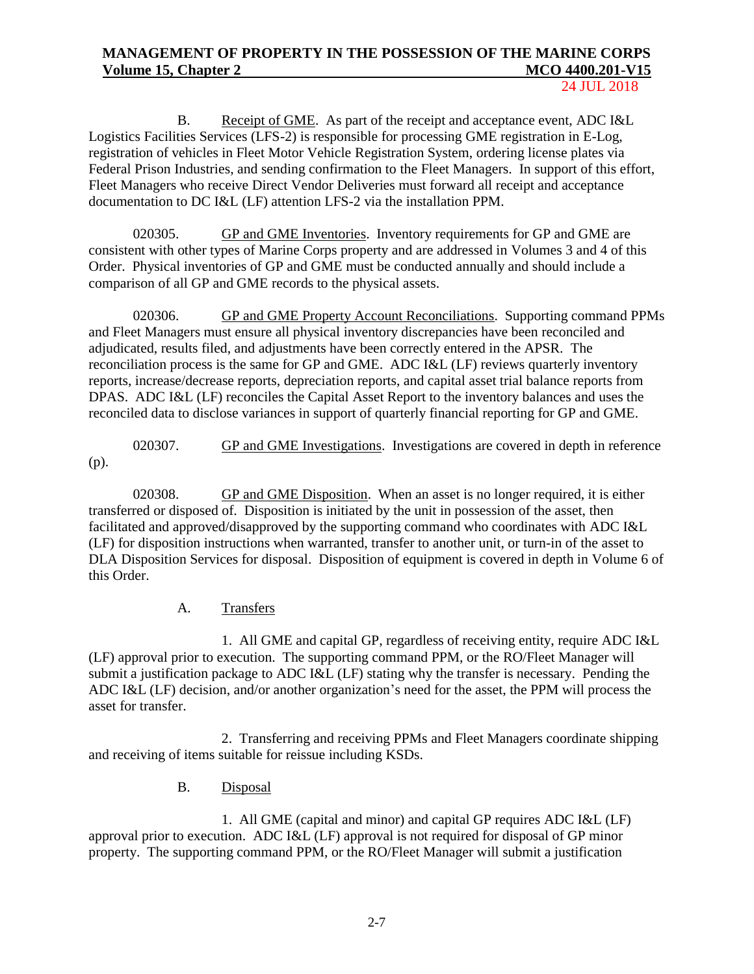24 JUL 2018

B. Receipt of GME. As part of the receipt and acceptance event, ADC I&L Logistics Facilities Services (LFS-2) is responsible for processing GME registration in E-Log, registration of vehicles in Fleet Motor Vehicle Registration System, ordering license plates via Federal Prison Industries, and sending confirmation to the Fleet Managers. In support of this effort, Fleet Managers who receive Direct Vendor Deliveries must forward all receipt and acceptance documentation to DC I&L (LF) attention LFS-2 via the installation PPM.

020305. GP and GME Inventories. Inventory requirements for GP and GME are consistent with other types of Marine Corps property and are addressed in Volumes 3 and 4 of this Order. Physical inventories of GP and GME must be conducted annually and should include a comparison of all GP and GME records to the physical assets.

020306. GP and GME Property Account Reconciliations. Supporting command PPMs and Fleet Managers must ensure all physical inventory discrepancies have been reconciled and adjudicated, results filed, and adjustments have been correctly entered in the APSR. The reconciliation process is the same for GP and GME. ADC I&L (LF) reviews quarterly inventory reports, increase/decrease reports, depreciation reports, and capital asset trial balance reports from DPAS. ADC I&L (LF) reconciles the Capital Asset Report to the inventory balances and uses the reconciled data to disclose variances in support of quarterly financial reporting for GP and GME.

020307. GP and GME Investigations. Investigations are covered in depth in reference (p).

020308. GP and GME Disposition. When an asset is no longer required, it is either transferred or disposed of. Disposition is initiated by the unit in possession of the asset, then facilitated and approved/disapproved by the supporting command who coordinates with ADC I&L (LF) for disposition instructions when warranted, transfer to another unit, or turn-in of the asset to DLA Disposition Services for disposal. Disposition of equipment is covered in depth in Volume 6 of this Order.

## A. Transfers

1. All GME and capital GP, regardless of receiving entity, require ADC I&L (LF) approval prior to execution. The supporting command PPM, or the RO/Fleet Manager will submit a justification package to ADC I&L (LF) stating why the transfer is necessary. Pending the ADC I&L (LF) decision, and/or another organization's need for the asset, the PPM will process the asset for transfer.

2. Transferring and receiving PPMs and Fleet Managers coordinate shipping and receiving of items suitable for reissue including KSDs.

B. Disposal

1. All GME (capital and minor) and capital GP requires ADC I&L (LF) approval prior to execution. ADC I&L (LF) approval is not required for disposal of GP minor property. The supporting command PPM, or the RO/Fleet Manager will submit a justification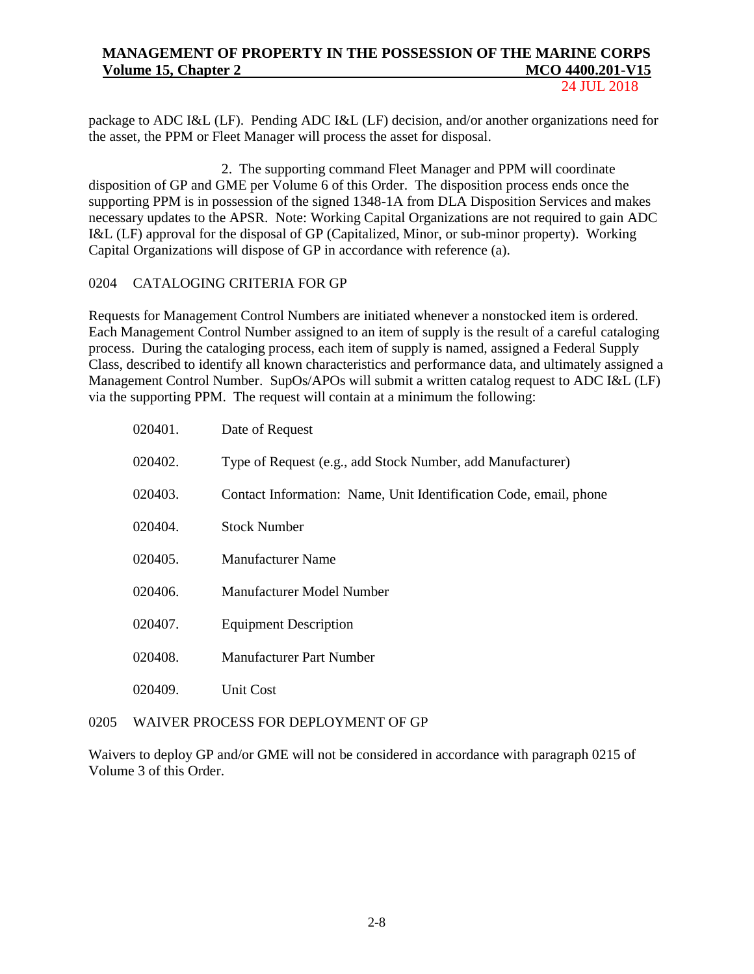24 JUL 2018

package to ADC I&L (LF). Pending ADC I&L (LF) decision, and/or another organizations need for the asset, the PPM or Fleet Manager will process the asset for disposal.

2. The supporting command Fleet Manager and PPM will coordinate disposition of GP and GME per Volume 6 of this Order. The disposition process ends once the supporting PPM is in possession of the signed 1348-1A from DLA Disposition Services and makes necessary updates to the APSR. Note: Working Capital Organizations are not required to gain ADC I&L (LF) approval for the disposal of GP (Capitalized, Minor, or sub-minor property). Working Capital Organizations will dispose of GP in accordance with reference (a).

## 0204 CATALOGING CRITERIA FOR GP

Requests for Management Control Numbers are initiated whenever a nonstocked item is ordered. Each Management Control Number assigned to an item of supply is the result of a careful cataloging process. During the cataloging process, each item of supply is named, assigned a Federal Supply Class, described to identify all known characteristics and performance data, and ultimately assigned a Management Control Number. SupOs/APOs will submit a written catalog request to ADC I&L (LF) via the supporting PPM. The request will contain at a minimum the following:

| 020401. | Date of Request                                                   |
|---------|-------------------------------------------------------------------|
| 020402. | Type of Request (e.g., add Stock Number, add Manufacturer)        |
| 020403. | Contact Information: Name, Unit Identification Code, email, phone |
| 020404. | <b>Stock Number</b>                                               |
| 020405. | <b>Manufacturer Name</b>                                          |
| 020406. | Manufacturer Model Number                                         |
| 020407. | <b>Equipment Description</b>                                      |
| 020408. | <b>Manufacturer Part Number</b>                                   |
| 020409. | Unit Cost                                                         |

## 0205 WAIVER PROCESS FOR DEPLOYMENT OF GP

Waivers to deploy GP and/or GME will not be considered in accordance with paragraph 0215 of Volume 3 of this Order.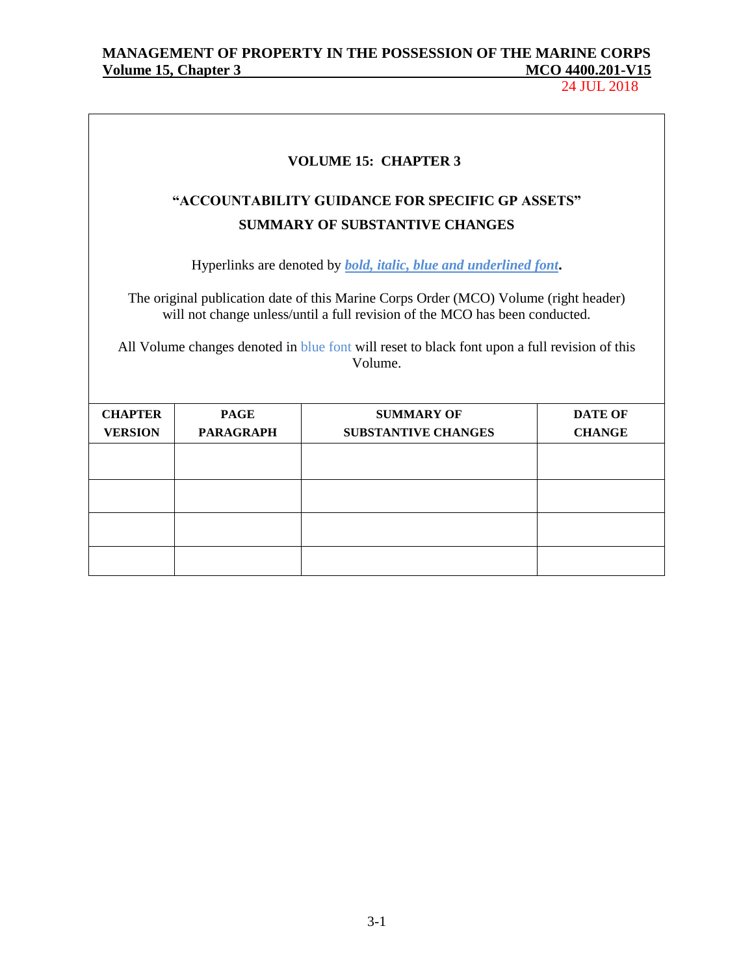24 JUL 2018

┑

| <b>VOLUME 15: CHAPTER 3</b>                                                                                                                                                                                                                                                                                                                                  |                  |                                                                                           |                |  |  |  |
|--------------------------------------------------------------------------------------------------------------------------------------------------------------------------------------------------------------------------------------------------------------------------------------------------------------------------------------------------------------|------------------|-------------------------------------------------------------------------------------------|----------------|--|--|--|
|                                                                                                                                                                                                                                                                                                                                                              |                  | "ACCOUNTABILITY GUIDANCE FOR SPECIFIC GP ASSETS"<br><b>SUMMARY OF SUBSTANTIVE CHANGES</b> |                |  |  |  |
| Hyperlinks are denoted by <i>bold, italic, blue and underlined font</i> .<br>The original publication date of this Marine Corps Order (MCO) Volume (right header)<br>will not change unless/until a full revision of the MCO has been conducted.<br>All Volume changes denoted in blue font will reset to black font upon a full revision of this<br>Volume. |                  |                                                                                           |                |  |  |  |
| <b>CHAPTER</b>                                                                                                                                                                                                                                                                                                                                               | <b>PAGE</b>      | <b>SUMMARY OF</b>                                                                         | <b>DATE OF</b> |  |  |  |
| <b>VERSION</b>                                                                                                                                                                                                                                                                                                                                               | <b>PARAGRAPH</b> | <b>SUBSTANTIVE CHANGES</b>                                                                | <b>CHANGE</b>  |  |  |  |
|                                                                                                                                                                                                                                                                                                                                                              |                  |                                                                                           |                |  |  |  |
|                                                                                                                                                                                                                                                                                                                                                              |                  |                                                                                           |                |  |  |  |
|                                                                                                                                                                                                                                                                                                                                                              |                  |                                                                                           |                |  |  |  |
|                                                                                                                                                                                                                                                                                                                                                              |                  |                                                                                           |                |  |  |  |

3-1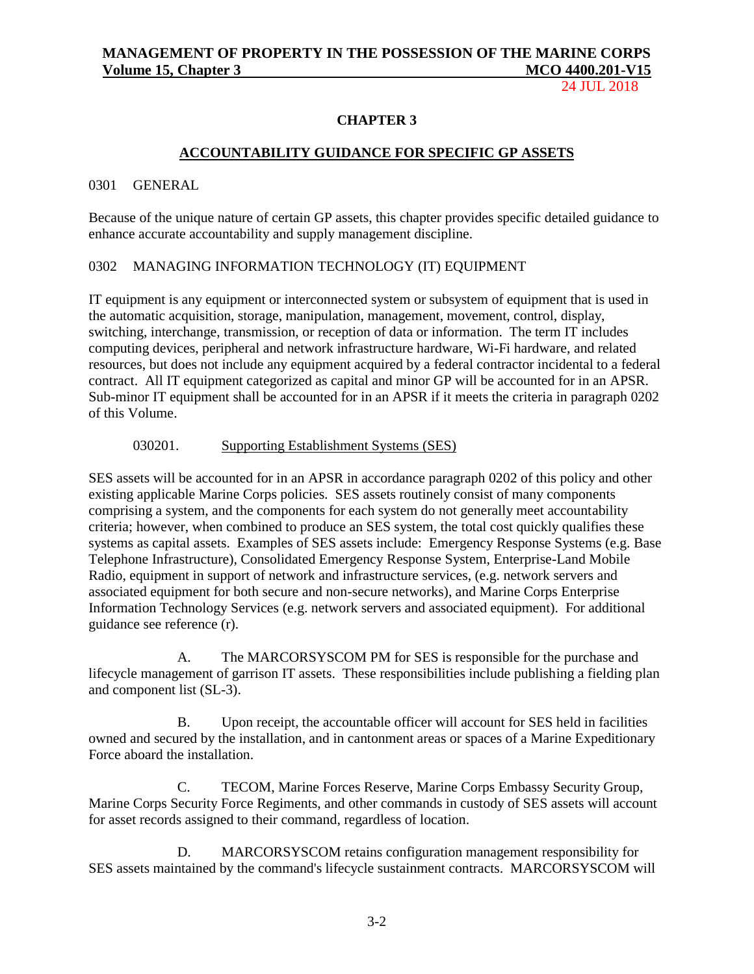24 JUL 2018

### **CHAPTER 3**

### **ACCOUNTABILITY GUIDANCE FOR SPECIFIC GP ASSETS**

### 0301 GENERAL

Because of the unique nature of certain GP assets, this chapter provides specific detailed guidance to enhance accurate accountability and supply management discipline.

### 0302 MANAGING INFORMATION TECHNOLOGY (IT) EQUIPMENT

IT equipment is any equipment or interconnected system or subsystem of equipment that is used in the automatic acquisition, storage, manipulation, management, movement, control, display, switching, interchange, transmission, or reception of data or information. The term IT includes computing devices, peripheral and network infrastructure hardware, Wi-Fi hardware, and related resources, but does not include any equipment acquired by a federal contractor incidental to a federal contract. All IT equipment categorized as capital and minor GP will be accounted for in an APSR. Sub-minor IT equipment shall be accounted for in an APSR if it meets the criteria in paragraph 0202 of this Volume.

### 030201. Supporting Establishment Systems (SES)

SES assets will be accounted for in an APSR in accordance paragraph 0202 of this policy and other existing applicable Marine Corps policies. SES assets routinely consist of many components comprising a system, and the components for each system do not generally meet accountability criteria; however, when combined to produce an SES system, the total cost quickly qualifies these systems as capital assets. Examples of SES assets include: Emergency Response Systems (e.g. Base Telephone Infrastructure), Consolidated Emergency Response System, Enterprise-Land Mobile Radio, equipment in support of network and infrastructure services, (e.g. network servers and associated equipment for both secure and non-secure networks), and Marine Corps Enterprise Information Technology Services (e.g. network servers and associated equipment). For additional guidance see reference (r).

A. The MARCORSYSCOM PM for SES is responsible for the purchase and lifecycle management of garrison IT assets. These responsibilities include publishing a fielding plan and component list (SL-3).

B. Upon receipt, the accountable officer will account for SES held in facilities owned and secured by the installation, and in cantonment areas or spaces of a Marine Expeditionary Force aboard the installation.

C. TECOM, Marine Forces Reserve, Marine Corps Embassy Security Group, Marine Corps Security Force Regiments, and other commands in custody of SES assets will account for asset records assigned to their command, regardless of location.

D. MARCORSYSCOM retains configuration management responsibility for SES assets maintained by the command's lifecycle sustainment contracts. MARCORSYSCOM will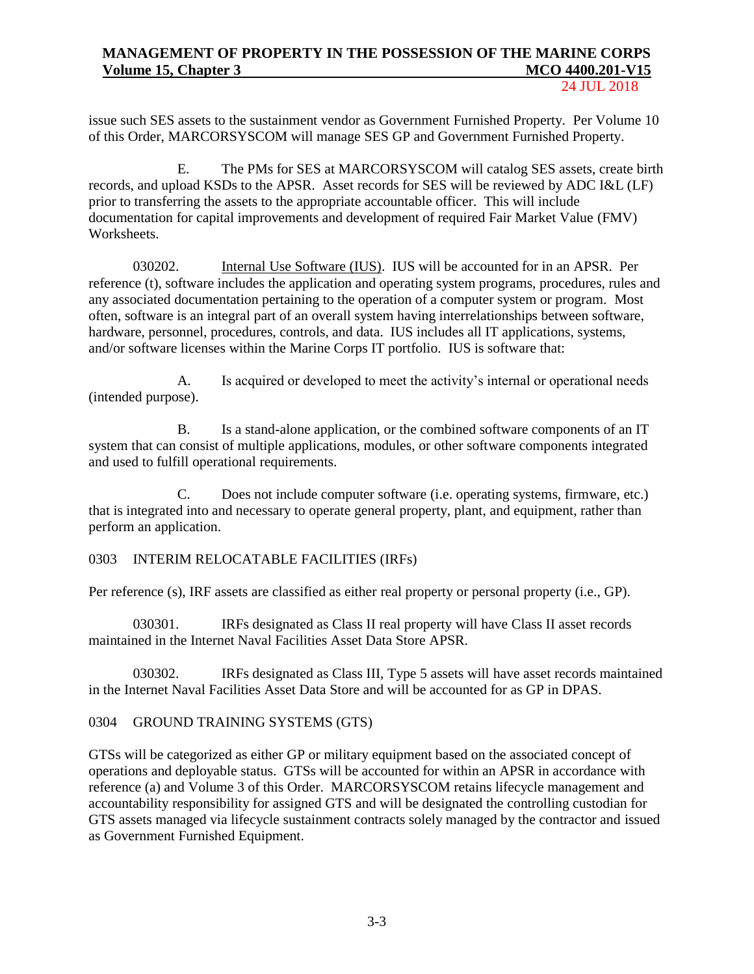24 JUL 2018

issue such SES assets to the sustainment vendor as Government Furnished Property. Per Volume 10 of this Order, MARCORSYSCOM will manage SES GP and Government Furnished Property.

E. The PMs for SES at MARCORSYSCOM will catalog SES assets, create birth records, and upload KSDs to the APSR. Asset records for SES will be reviewed by ADC I&L (LF) prior to transferring the assets to the appropriate accountable officer. This will include documentation for capital improvements and development of required Fair Market Value (FMV) Worksheets.

030202. Internal Use Software (IUS). IUS will be accounted for in an APSR. Per reference (t), software includes the application and operating system programs, procedures, rules and any associated documentation pertaining to the operation of a computer system or program. Most often, software is an integral part of an overall system having interrelationships between software, hardware, personnel, procedures, controls, and data. IUS includes all IT applications, systems, and/or software licenses within the Marine Corps IT portfolio. IUS is software that:

A. Is acquired or developed to meet the activity's internal or operational needs (intended purpose).

B. Is a stand-alone application, or the combined software components of an IT system that can consist of multiple applications, modules, or other software components integrated and used to fulfill operational requirements.

C. Does not include computer software (i.e. operating systems, firmware, etc.) that is integrated into and necessary to operate general property, plant, and equipment, rather than perform an application.

## 0303 INTERIM RELOCATABLE FACILITIES (IRFs)

Per reference (s), IRF assets are classified as either real property or personal property (i.e., GP).

030301. IRFs designated as Class II real property will have Class II asset records maintained in the Internet Naval Facilities Asset Data Store APSR.

030302. IRFs designated as Class III, Type 5 assets will have asset records maintained in the Internet Naval Facilities Asset Data Store and will be accounted for as GP in DPAS.

### 0304 GROUND TRAINING SYSTEMS (GTS)

GTSs will be categorized as either GP or military equipment based on the associated concept of operations and deployable status. GTSs will be accounted for within an APSR in accordance with reference (a) and Volume 3 of this Order. MARCORSYSCOM retains lifecycle management and accountability responsibility for assigned GTS and will be designated the controlling custodian for GTS assets managed via lifecycle sustainment contracts solely managed by the contractor and issued as Government Furnished Equipment.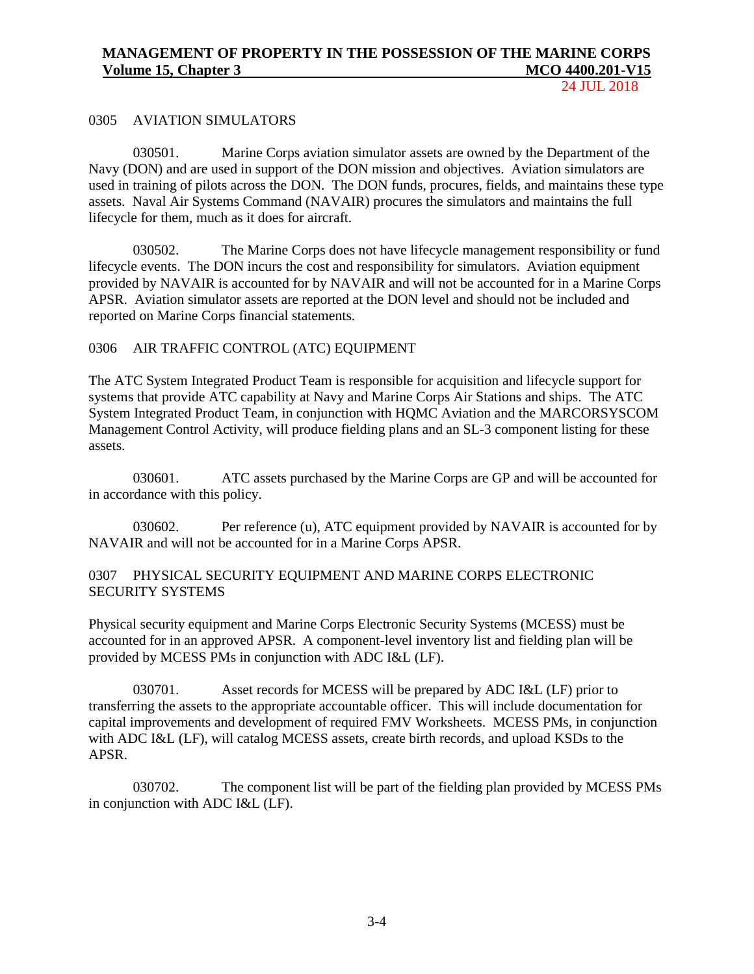24 JUL 2018

### 0305 AVIATION SIMULATORS

030501. Marine Corps aviation simulator assets are owned by the Department of the Navy (DON) and are used in support of the DON mission and objectives. Aviation simulators are used in training of pilots across the DON. The DON funds, procures, fields, and maintains these type assets. Naval Air Systems Command (NAVAIR) procures the simulators and maintains the full lifecycle for them, much as it does for aircraft.

030502. The Marine Corps does not have lifecycle management responsibility or fund lifecycle events. The DON incurs the cost and responsibility for simulators. Aviation equipment provided by NAVAIR is accounted for by NAVAIR and will not be accounted for in a Marine Corps APSR. Aviation simulator assets are reported at the DON level and should not be included and reported on Marine Corps financial statements.

### 0306 AIR TRAFFIC CONTROL (ATC) EQUIPMENT

The ATC System Integrated Product Team is responsible for acquisition and lifecycle support for systems that provide ATC capability at Navy and Marine Corps Air Stations and ships. The ATC System Integrated Product Team, in conjunction with HQMC Aviation and the MARCORSYSCOM Management Control Activity, will produce fielding plans and an SL-3 component listing for these assets.

030601. ATC assets purchased by the Marine Corps are GP and will be accounted for in accordance with this policy.

030602. Per reference (u), ATC equipment provided by NAVAIR is accounted for by NAVAIR and will not be accounted for in a Marine Corps APSR.

### 0307 PHYSICAL SECURITY EQUIPMENT AND MARINE CORPS ELECTRONIC SECURITY SYSTEMS

Physical security equipment and Marine Corps Electronic Security Systems (MCESS) must be accounted for in an approved APSR. A component-level inventory list and fielding plan will be provided by MCESS PMs in conjunction with ADC I&L (LF).

030701. Asset records for MCESS will be prepared by ADC I&L (LF) prior to transferring the assets to the appropriate accountable officer. This will include documentation for capital improvements and development of required FMV Worksheets. MCESS PMs, in conjunction with ADC I&L (LF), will catalog MCESS assets, create birth records, and upload KSDs to the APSR.

030702. The component list will be part of the fielding plan provided by MCESS PMs in conjunction with ADC I&L (LF).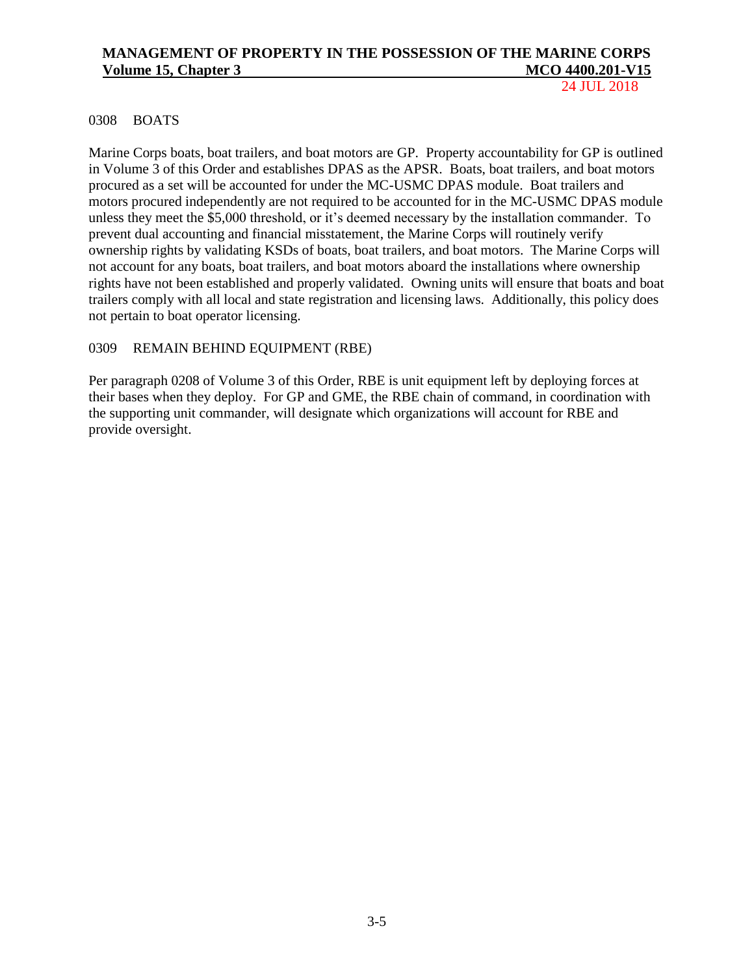24 JUL 2018

### 0308 BOATS

Marine Corps boats, boat trailers, and boat motors are GP. Property accountability for GP is outlined in Volume 3 of this Order and establishes DPAS as the APSR. Boats, boat trailers, and boat motors procured as a set will be accounted for under the MC-USMC DPAS module. Boat trailers and motors procured independently are not required to be accounted for in the MC-USMC DPAS module unless they meet the \$5,000 threshold, or it's deemed necessary by the installation commander. To prevent dual accounting and financial misstatement, the Marine Corps will routinely verify ownership rights by validating KSDs of boats, boat trailers, and boat motors. The Marine Corps will not account for any boats, boat trailers, and boat motors aboard the installations where ownership rights have not been established and properly validated. Owning units will ensure that boats and boat trailers comply with all local and state registration and licensing laws. Additionally, this policy does not pertain to boat operator licensing.

### 0309 REMAIN BEHIND EQUIPMENT (RBE)

Per paragraph 0208 of Volume 3 of this Order, RBE is unit equipment left by deploying forces at their bases when they deploy. For GP and GME, the RBE chain of command, in coordination with the supporting unit commander, will designate which organizations will account for RBE and provide oversight.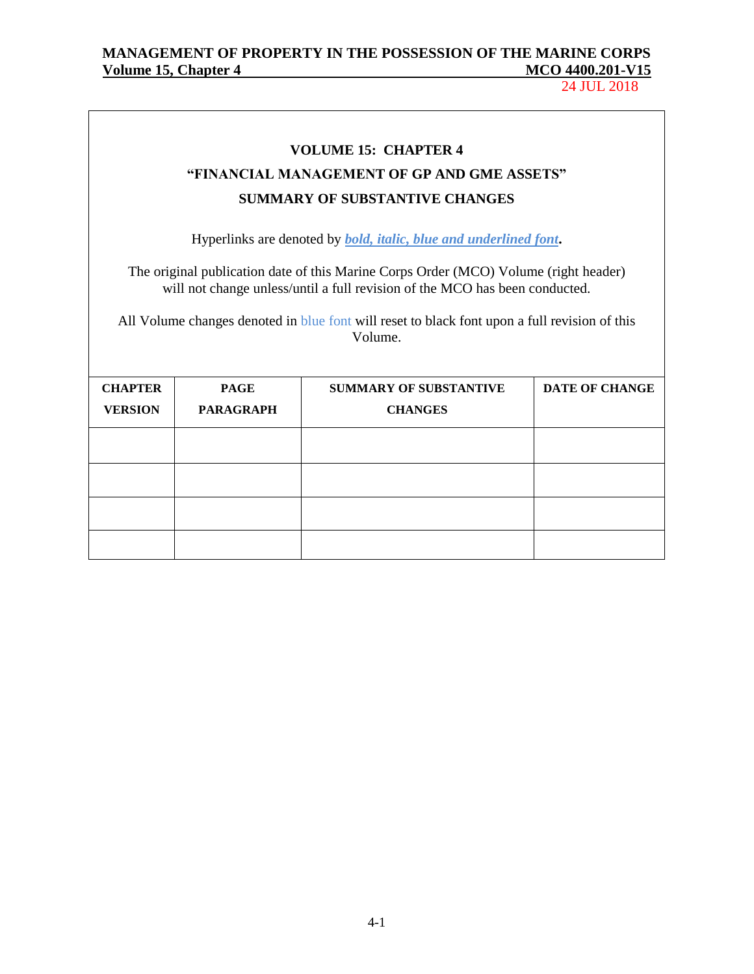24 JUL 2018

 $\overline{\phantom{0}}$ 

|                |                                    | <b>VOLUME 15: CHAPTER 4</b>                                                                                                                                         |                       |  |  |  |  |
|----------------|------------------------------------|---------------------------------------------------------------------------------------------------------------------------------------------------------------------|-----------------------|--|--|--|--|
|                |                                    | "FINANCIAL MANAGEMENT OF GP AND GME ASSETS"                                                                                                                         |                       |  |  |  |  |
|                |                                    | <b>SUMMARY OF SUBSTANTIVE CHANGES</b>                                                                                                                               |                       |  |  |  |  |
|                |                                    | Hyperlinks are denoted by <b>bold</b> , <i>italic</i> , <i>blue and underlined font</i> .                                                                           |                       |  |  |  |  |
|                |                                    | The original publication date of this Marine Corps Order (MCO) Volume (right header)<br>will not change unless/until a full revision of the MCO has been conducted. |                       |  |  |  |  |
|                |                                    | All Volume changes denoted in blue font will reset to black font upon a full revision of this<br>Volume.                                                            |                       |  |  |  |  |
| <b>CHAPTER</b> | <b>PAGE</b>                        | <b>SUMMARY OF SUBSTANTIVE</b>                                                                                                                                       | <b>DATE OF CHANGE</b> |  |  |  |  |
| <b>VERSION</b> | <b>PARAGRAPH</b><br><b>CHANGES</b> |                                                                                                                                                                     |                       |  |  |  |  |
|                |                                    |                                                                                                                                                                     |                       |  |  |  |  |
|                |                                    |                                                                                                                                                                     |                       |  |  |  |  |
|                |                                    |                                                                                                                                                                     |                       |  |  |  |  |
|                |                                    |                                                                                                                                                                     |                       |  |  |  |  |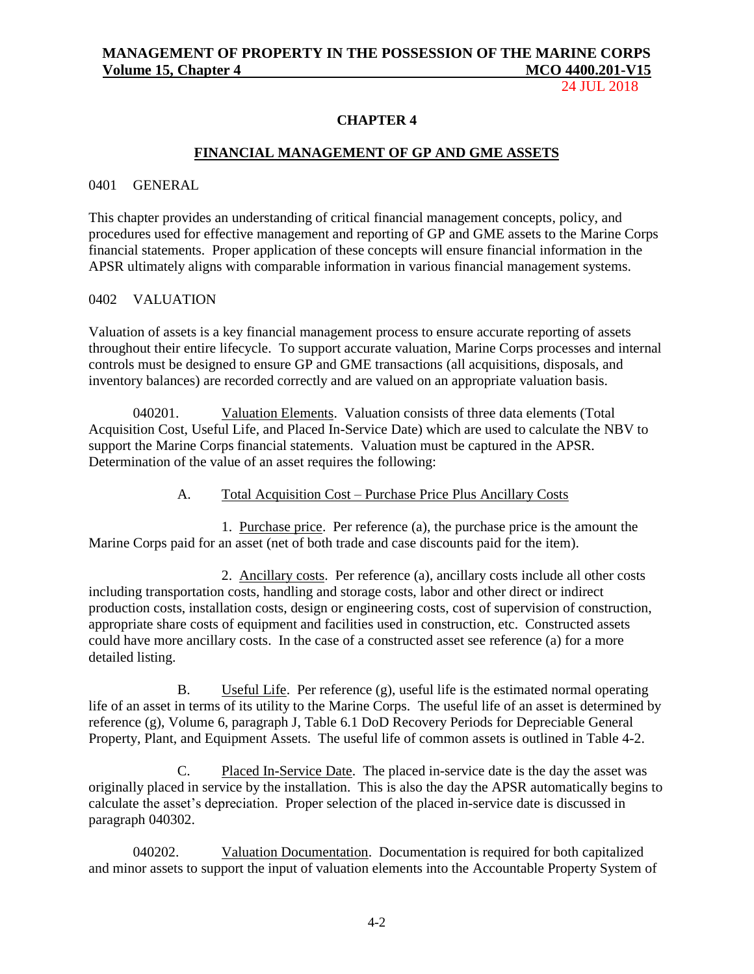24 JUL 2018

### **CHAPTER 4**

### **FINANCIAL MANAGEMENT OF GP AND GME ASSETS**

### 0401 GENERAL

This chapter provides an understanding of critical financial management concepts, policy, and procedures used for effective management and reporting of GP and GME assets to the Marine Corps financial statements. Proper application of these concepts will ensure financial information in the APSR ultimately aligns with comparable information in various financial management systems.

### 0402 VALUATION

Valuation of assets is a key financial management process to ensure accurate reporting of assets throughout their entire lifecycle. To support accurate valuation, Marine Corps processes and internal controls must be designed to ensure GP and GME transactions (all acquisitions, disposals, and inventory balances) are recorded correctly and are valued on an appropriate valuation basis.

040201. Valuation Elements. Valuation consists of three data elements (Total Acquisition Cost, Useful Life, and Placed In-Service Date) which are used to calculate the NBV to support the Marine Corps financial statements. Valuation must be captured in the APSR. Determination of the value of an asset requires the following:

### A. Total Acquisition Cost – Purchase Price Plus Ancillary Costs

1. Purchase price. Per reference (a), the purchase price is the amount the Marine Corps paid for an asset (net of both trade and case discounts paid for the item).

2. Ancillary costs. Per reference (a), ancillary costs include all other costs including transportation costs, handling and storage costs, labor and other direct or indirect production costs, installation costs, design or engineering costs, cost of supervision of construction, appropriate share costs of equipment and facilities used in construction, etc. Constructed assets could have more ancillary costs. In the case of a constructed asset see reference (a) for a more detailed listing.

B. Useful Life. Per reference (g), useful life is the estimated normal operating life of an asset in terms of its utility to the Marine Corps. The useful life of an asset is determined by reference (g), Volume 6, paragraph J, Table 6.1 DoD Recovery Periods for Depreciable General Property, Plant, and Equipment Assets. The useful life of common assets is outlined in Table 4-2.

C. Placed In-Service Date. The placed in-service date is the day the asset was originally placed in service by the installation. This is also the day the APSR automatically begins to calculate the asset's depreciation. Proper selection of the placed in-service date is discussed in paragraph 040302.

040202. Valuation Documentation. Documentation is required for both capitalized and minor assets to support the input of valuation elements into the Accountable Property System of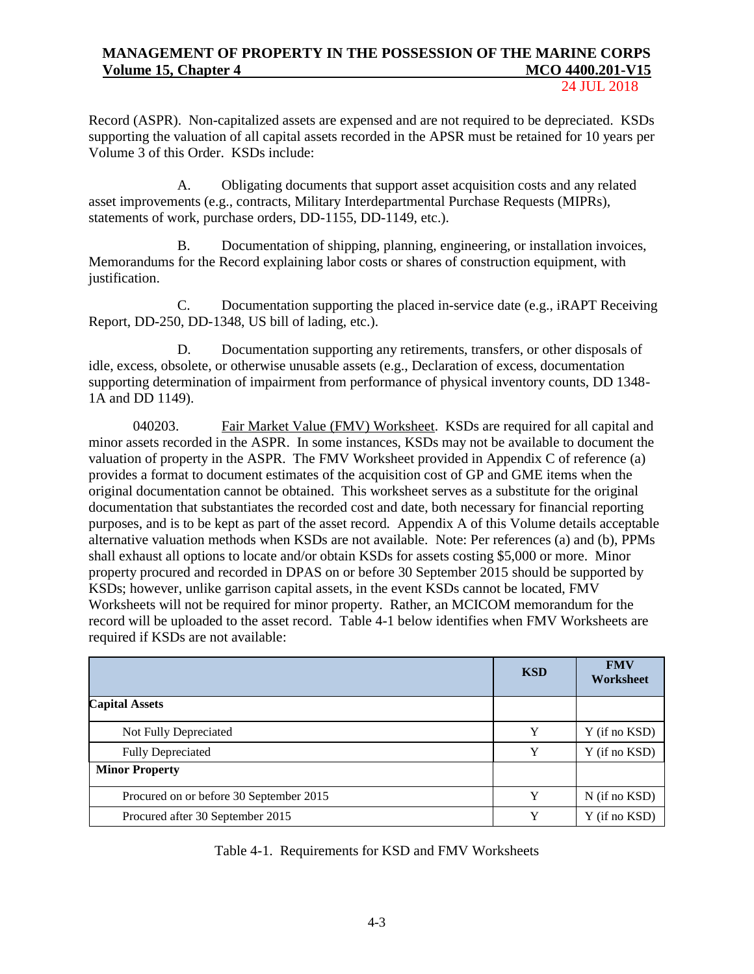24 JUL 2018

Record (ASPR). Non-capitalized assets are expensed and are not required to be depreciated. KSDs supporting the valuation of all capital assets recorded in the APSR must be retained for 10 years per Volume 3 of this Order. KSDs include:

A. Obligating documents that support asset acquisition costs and any related asset improvements (e.g., contracts, Military Interdepartmental Purchase Requests (MIPRs), statements of work, purchase orders, DD-1155, DD-1149, etc.).

B. Documentation of shipping, planning, engineering, or installation invoices, Memorandums for the Record explaining labor costs or shares of construction equipment, with justification.

C. Documentation supporting the placed in-service date (e.g., iRAPT Receiving Report, DD-250, DD-1348, US bill of lading, etc.).

D. Documentation supporting any retirements, transfers, or other disposals of idle, excess, obsolete, or otherwise unusable assets (e.g., Declaration of excess, documentation supporting determination of impairment from performance of physical inventory counts, DD 1348- 1A and DD 1149).

040203. Fair Market Value (FMV) Worksheet. KSDs are required for all capital and minor assets recorded in the ASPR. In some instances, KSDs may not be available to document the valuation of property in the ASPR. The FMV Worksheet provided in Appendix C of reference (a) provides a format to document estimates of the acquisition cost of GP and GME items when the original documentation cannot be obtained. This worksheet serves as a substitute for the original documentation that substantiates the recorded cost and date, both necessary for financial reporting purposes, and is to be kept as part of the asset record. Appendix A of this Volume details acceptable alternative valuation methods when KSDs are not available. Note: Per references (a) and (b), PPMs shall exhaust all options to locate and/or obtain KSDs for assets costing \$5,000 or more. Minor property procured and recorded in DPAS on or before 30 September 2015 should be supported by KSDs; however, unlike garrison capital assets, in the event KSDs cannot be located, FMV Worksheets will not be required for minor property. Rather, an MCICOM memorandum for the record will be uploaded to the asset record. Table 4-1 below identifies when FMV Worksheets are required if KSDs are not available:

|                                         | <b>KSD</b> | <b>FMV</b><br>Worksheet |
|-----------------------------------------|------------|-------------------------|
| <b>Capital Assets</b>                   |            |                         |
| Not Fully Depreciated                   | Y          | Y (if no KSD)           |
| <b>Fully Depreciated</b>                | Y          | Y (if no KSD)           |
| <b>Minor Property</b>                   |            |                         |
| Procured on or before 30 September 2015 | v          | N (if no KSD)           |
| Procured after 30 September 2015        | v          | Y (if no KSD)           |

Table 4-1. Requirements for KSD and FMV Worksheets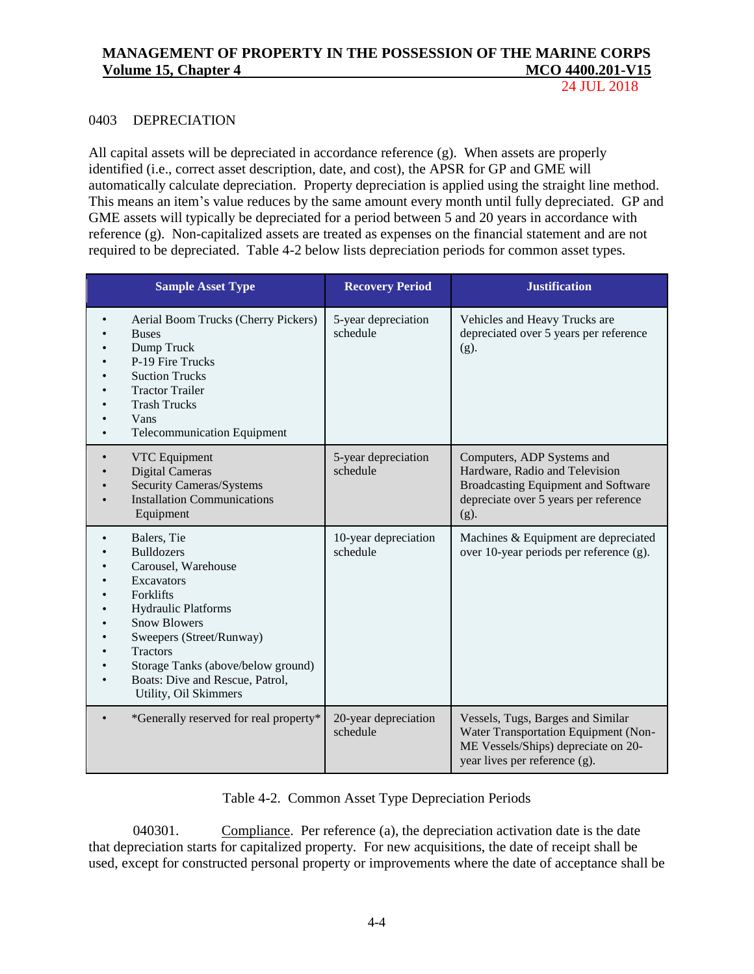24 JUL 2018

### 0403 DEPRECIATION

All capital assets will be depreciated in accordance reference (g). When assets are properly identified (i.e., correct asset description, date, and cost), the APSR for GP and GME will automatically calculate depreciation. Property depreciation is applied using the straight line method. This means an item's value reduces by the same amount every month until fully depreciated. GP and GME assets will typically be depreciated for a period between 5 and 20 years in accordance with reference (g). Non-capitalized assets are treated as expenses on the financial statement and are not required to be depreciated. Table 4-2 below lists depreciation periods for common asset types.

| <b>Sample Asset Type</b>                                                                                                                                                                                                                                                                 | <b>Recovery Period</b>           | <b>Justification</b>                                                                                                                                    |
|------------------------------------------------------------------------------------------------------------------------------------------------------------------------------------------------------------------------------------------------------------------------------------------|----------------------------------|---------------------------------------------------------------------------------------------------------------------------------------------------------|
| Aerial Boom Trucks (Cherry Pickers)<br><b>Buses</b><br>Dump Truck<br>P-19 Fire Trucks<br><b>Suction Trucks</b><br><b>Tractor Trailer</b><br><b>Trash Trucks</b><br>Vans<br><b>Telecommunication Equipment</b>                                                                            | 5-year depreciation<br>schedule  | Vehicles and Heavy Trucks are<br>depreciated over 5 years per reference<br>$(g)$ .                                                                      |
| VTC Equipment<br><b>Digital Cameras</b><br><b>Security Cameras/Systems</b><br><b>Installation Communications</b><br>Equipment                                                                                                                                                            | 5-year depreciation<br>schedule  | Computers, ADP Systems and<br>Hardware, Radio and Television<br>Broadcasting Equipment and Software<br>depreciate over 5 years per reference<br>$(g)$ . |
| Balers, Tie<br><b>Bulldozers</b><br>Carousel, Warehouse<br><b>Excavators</b><br>Forklifts<br>Hydraulic Platforms<br><b>Snow Blowers</b><br>Sweepers (Street/Runway)<br><b>Tractors</b><br>Storage Tanks (above/below ground)<br>Boats: Dive and Rescue, Patrol,<br>Utility, Oil Skimmers | 10-year depreciation<br>schedule | Machines & Equipment are depreciated<br>over 10-year periods per reference (g).                                                                         |
| *Generally reserved for real property*<br>$\bullet$                                                                                                                                                                                                                                      | 20-year depreciation<br>schedule | Vessels, Tugs, Barges and Similar<br>Water Transportation Equipment (Non-<br>ME Vessels/Ships) depreciate on 20-<br>year lives per reference (g).       |

| Table 4-2. Common Asset Type Depreciation Periods |  |  |  |  |  |  |
|---------------------------------------------------|--|--|--|--|--|--|
|---------------------------------------------------|--|--|--|--|--|--|

040301. Compliance. Per reference (a), the depreciation activation date is the date that depreciation starts for capitalized property. For new acquisitions, the date of receipt shall be used, except for constructed personal property or improvements where the date of acceptance shall be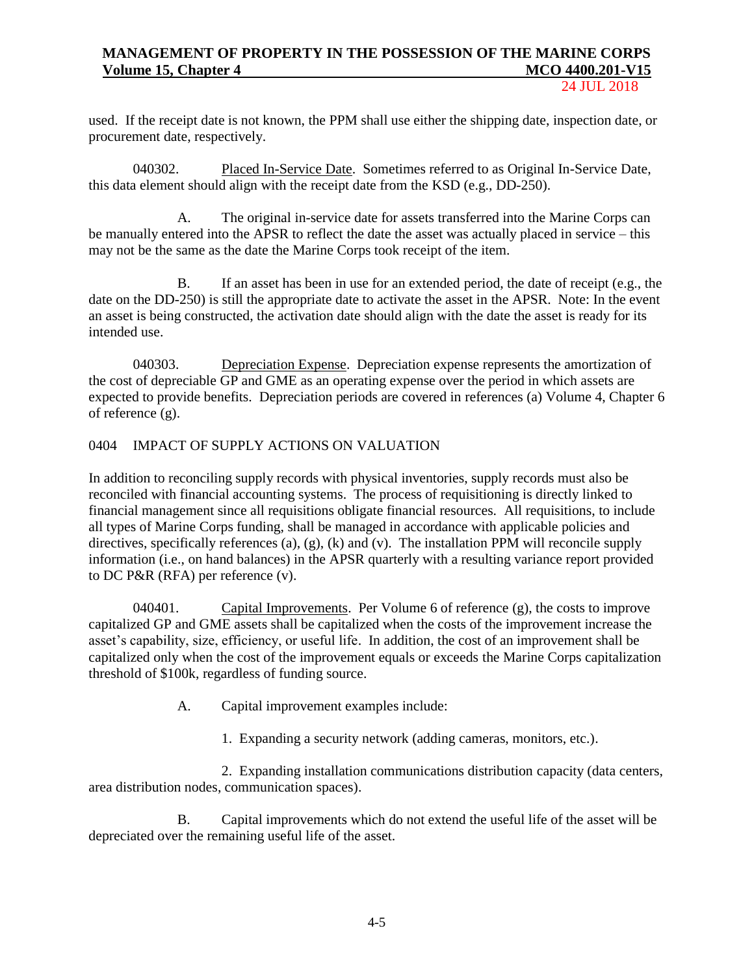24 JUL 2018

used. If the receipt date is not known, the PPM shall use either the shipping date, inspection date, or procurement date, respectively.

040302. Placed In-Service Date. Sometimes referred to as Original In-Service Date, this data element should align with the receipt date from the KSD (e.g., DD-250).

A. The original in-service date for assets transferred into the Marine Corps can be manually entered into the APSR to reflect the date the asset was actually placed in service – this may not be the same as the date the Marine Corps took receipt of the item.

B. If an asset has been in use for an extended period, the date of receipt (e.g., the date on the DD-250) is still the appropriate date to activate the asset in the APSR. Note: In the event an asset is being constructed, the activation date should align with the date the asset is ready for its intended use.

040303. Depreciation Expense. Depreciation expense represents the amortization of the cost of depreciable GP and GME as an operating expense over the period in which assets are expected to provide benefits. Depreciation periods are covered in references (a) Volume 4, Chapter 6 of reference (g).

# 0404 IMPACT OF SUPPLY ACTIONS ON VALUATION

In addition to reconciling supply records with physical inventories, supply records must also be reconciled with financial accounting systems. The process of requisitioning is directly linked to financial management since all requisitions obligate financial resources. All requisitions, to include all types of Marine Corps funding, shall be managed in accordance with applicable policies and directives, specifically references (a), (g), (k) and (v). The installation PPM will reconcile supply information (i.e., on hand balances) in the APSR quarterly with a resulting variance report provided to DC P&R (RFA) per reference (v).

040401. Capital Improvements. Per Volume 6 of reference (g), the costs to improve capitalized GP and GME assets shall be capitalized when the costs of the improvement increase the asset's capability, size, efficiency, or useful life. In addition, the cost of an improvement shall be capitalized only when the cost of the improvement equals or exceeds the Marine Corps capitalization threshold of \$100k, regardless of funding source.

A. Capital improvement examples include:

1. Expanding a security network (adding cameras, monitors, etc.).

2. Expanding installation communications distribution capacity (data centers, area distribution nodes, communication spaces).

B. Capital improvements which do not extend the useful life of the asset will be depreciated over the remaining useful life of the asset.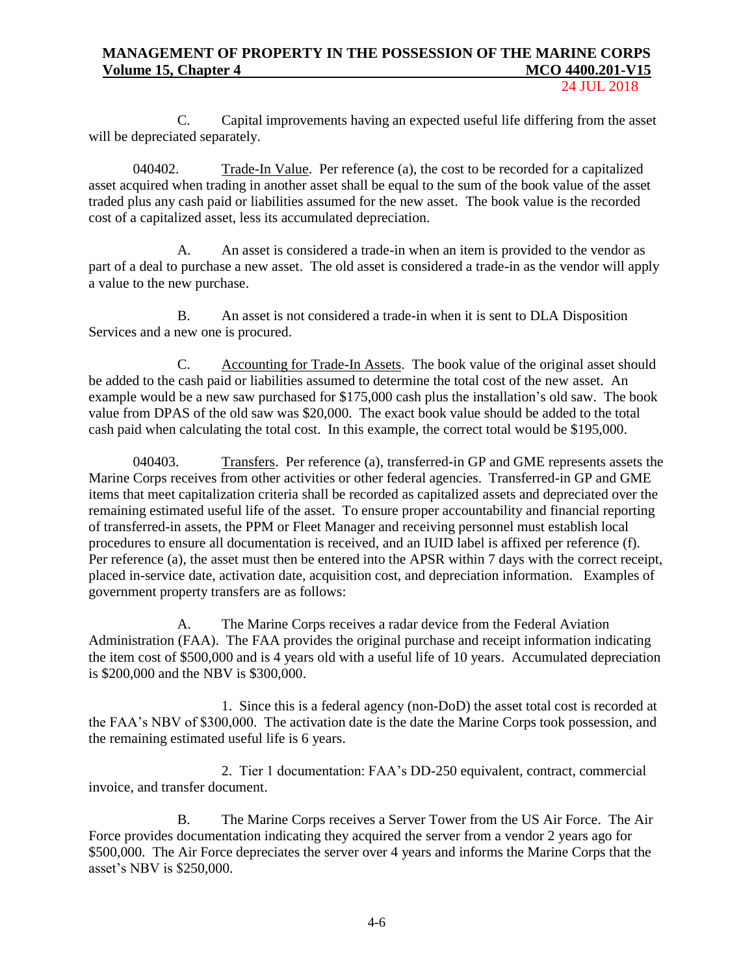24 JUL 2018

C. Capital improvements having an expected useful life differing from the asset will be depreciated separately.

040402. Trade-In Value. Per reference (a), the cost to be recorded for a capitalized asset acquired when trading in another asset shall be equal to the sum of the book value of the asset traded plus any cash paid or liabilities assumed for the new asset. The book value is the recorded cost of a capitalized asset, less its accumulated depreciation.

A. An asset is considered a trade-in when an item is provided to the vendor as part of a deal to purchase a new asset. The old asset is considered a trade-in as the vendor will apply a value to the new purchase.

B. An asset is not considered a trade-in when it is sent to DLA Disposition Services and a new one is procured.

C. Accounting for Trade-In Assets. The book value of the original asset should be added to the cash paid or liabilities assumed to determine the total cost of the new asset. An example would be a new saw purchased for \$175,000 cash plus the installation's old saw. The book value from DPAS of the old saw was \$20,000. The exact book value should be added to the total cash paid when calculating the total cost. In this example, the correct total would be \$195,000.

040403. Transfers. Per reference (a), transferred-in GP and GME represents assets the Marine Corps receives from other activities or other federal agencies. Transferred-in GP and GME items that meet capitalization criteria shall be recorded as capitalized assets and depreciated over the remaining estimated useful life of the asset. To ensure proper accountability and financial reporting of transferred-in assets, the PPM or Fleet Manager and receiving personnel must establish local procedures to ensure all documentation is received, and an IUID label is affixed per reference (f). Per reference (a), the asset must then be entered into the APSR within 7 days with the correct receipt, placed in-service date, activation date, acquisition cost, and depreciation information. Examples of government property transfers are as follows:

A. The Marine Corps receives a radar device from the Federal Aviation Administration (FAA). The FAA provides the original purchase and receipt information indicating the item cost of \$500,000 and is 4 years old with a useful life of 10 years. Accumulated depreciation is \$200,000 and the NBV is \$300,000.

1. Since this is a federal agency (non-DoD) the asset total cost is recorded at the FAA's NBV of \$300,000. The activation date is the date the Marine Corps took possession, and the remaining estimated useful life is 6 years.

2. Tier 1 documentation: FAA's DD-250 equivalent, contract, commercial invoice, and transfer document.

B. The Marine Corps receives a Server Tower from the US Air Force. The Air Force provides documentation indicating they acquired the server from a vendor 2 years ago for \$500,000. The Air Force depreciates the server over 4 years and informs the Marine Corps that the asset's NBV is \$250,000.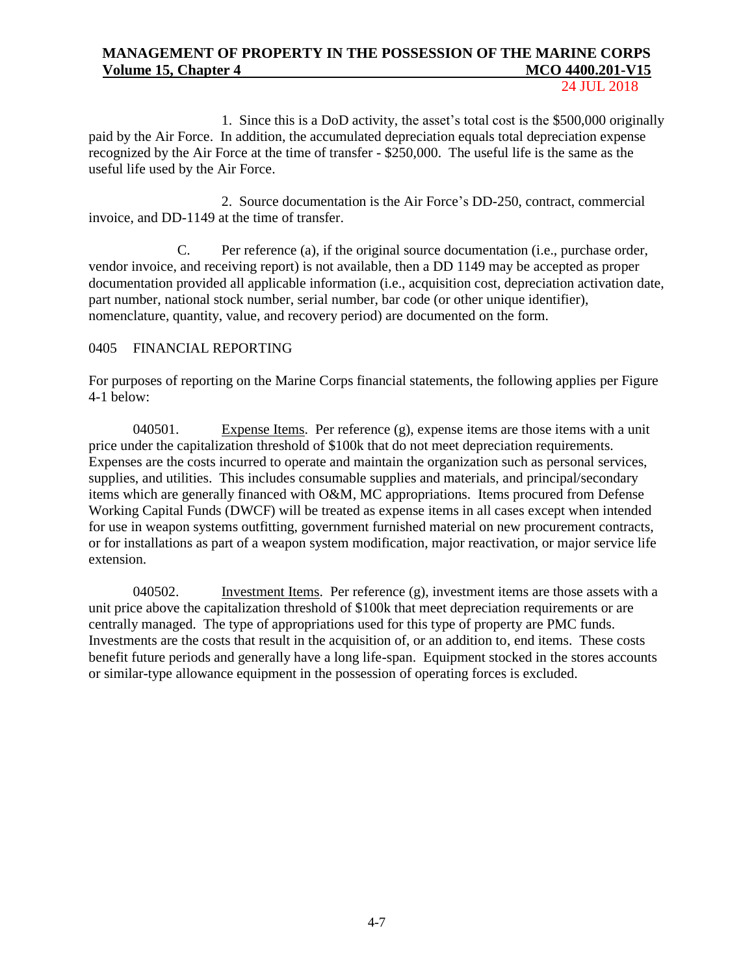24 JUL 2018

1. Since this is a DoD activity, the asset's total cost is the \$500,000 originally paid by the Air Force. In addition, the accumulated depreciation equals total depreciation expense recognized by the Air Force at the time of transfer - \$250,000. The useful life is the same as the useful life used by the Air Force.

2. Source documentation is the Air Force's DD-250, contract, commercial invoice, and DD-1149 at the time of transfer.

C. Per reference (a), if the original source documentation (i.e., purchase order, vendor invoice, and receiving report) is not available, then a DD 1149 may be accepted as proper documentation provided all applicable information (i.e., acquisition cost, depreciation activation date, part number, national stock number, serial number, bar code (or other unique identifier), nomenclature, quantity, value, and recovery period) are documented on the form.

## 0405 FINANCIAL REPORTING

For purposes of reporting on the Marine Corps financial statements, the following applies per Figure 4-1 below:

040501. Expense Items. Per reference (g), expense items are those items with a unit price under the capitalization threshold of \$100k that do not meet depreciation requirements. Expenses are the costs incurred to operate and maintain the organization such as personal services, supplies, and utilities. This includes consumable supplies and materials, and principal/secondary items which are generally financed with O&M, MC appropriations. Items procured from Defense Working Capital Funds (DWCF) will be treated as expense items in all cases except when intended for use in weapon systems outfitting, government furnished material on new procurement contracts, or for installations as part of a weapon system modification, major reactivation, or major service life extension.

040502. Investment Items. Per reference (g), investment items are those assets with a unit price above the capitalization threshold of \$100k that meet depreciation requirements or are centrally managed. The type of appropriations used for this type of property are PMC funds. Investments are the costs that result in the acquisition of, or an addition to, end items. These costs benefit future periods and generally have a long life-span. Equipment stocked in the stores accounts or similar-type allowance equipment in the possession of operating forces is excluded.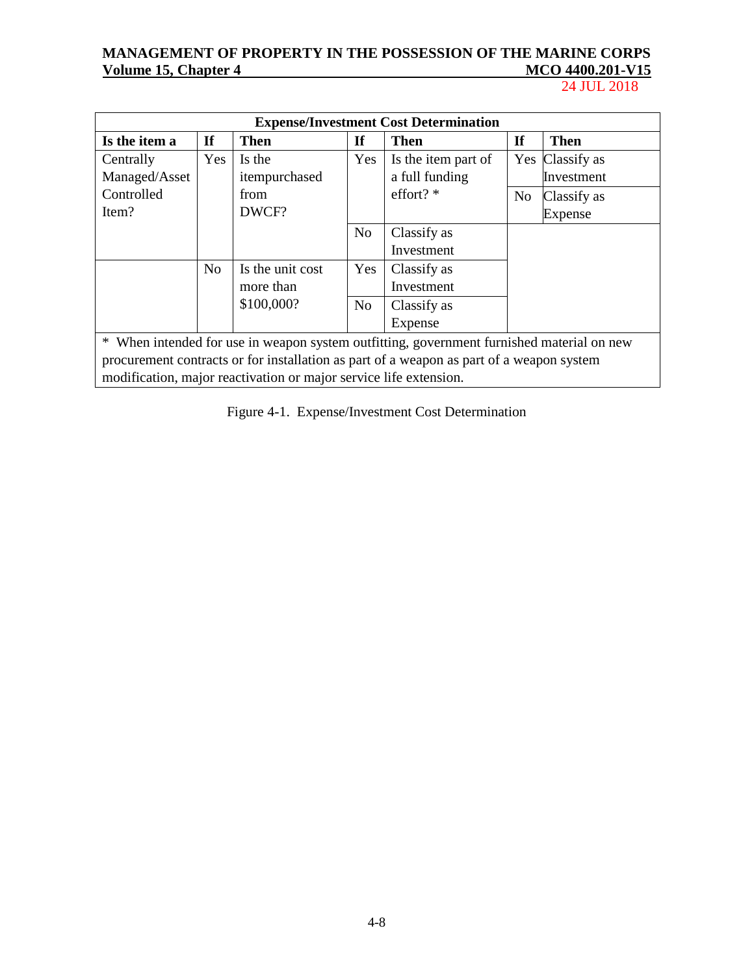24 JUL 2018

| <b>Expense/Investment Cost Determination</b>                                              |                |                  |                |                     |                |                 |
|-------------------------------------------------------------------------------------------|----------------|------------------|----------------|---------------------|----------------|-----------------|
| Is the item a                                                                             | <b>If</b>      | <b>Then</b>      | <b>If</b>      | <b>Then</b>         | <b>If</b>      | <b>Then</b>     |
| Centrally                                                                                 | Yes            | Is the           | Yes            | Is the item part of |                | Yes Classify as |
| Managed/Asset                                                                             |                | itempurchased    |                | a full funding      |                | Investment      |
| Controlled                                                                                |                | from             |                | effort? $*$         | N <sub>o</sub> | Classify as     |
| Item?                                                                                     |                | DWCF?            |                |                     |                | <b>Expense</b>  |
|                                                                                           |                |                  | N <sub>o</sub> | Classify as         |                |                 |
|                                                                                           |                |                  |                | Investment          |                |                 |
|                                                                                           | N <sub>o</sub> | Is the unit cost | Yes            | Classify as         |                |                 |
|                                                                                           |                | more than        |                | Investment          |                |                 |
|                                                                                           |                | \$100,000?       | N <sub>o</sub> | Classify as         |                |                 |
|                                                                                           |                |                  |                | Expense             |                |                 |
| * When intended for use in weapon system outfitting, government furnished material on new |                |                  |                |                     |                |                 |
| procurement contracts or for installation as part of a weapon as part of a weapon system  |                |                  |                |                     |                |                 |
| modification, major reactivation or major service life extension.                         |                |                  |                |                     |                |                 |

Figure 4-1. Expense/Investment Cost Determination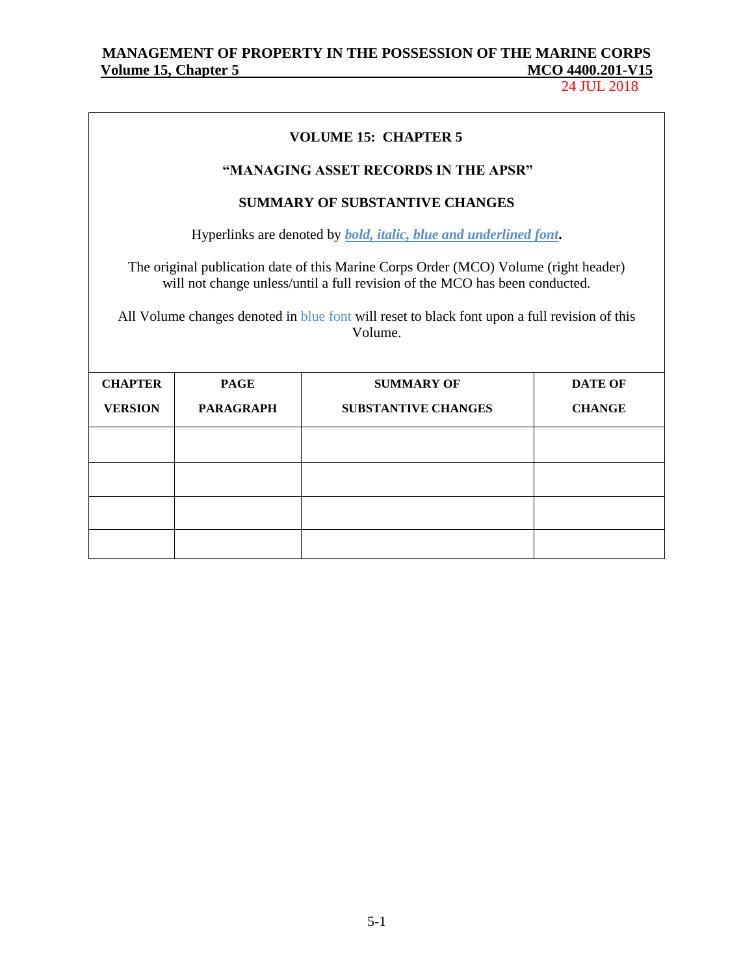# MANAGEMENT OF PROPERTY IN THE POSSESSION OF THE MARINE CORPS<br>Volume 15, Chapter 5 MCO 4400.201-V15 **Volume 15, Chapter 5**

24 JUL 2018

| <b>VOLUME 15: CHAPTER 5</b>                                                                                                                                                                                                                                                     |                  |                                                                                           |                |  |  |  |
|---------------------------------------------------------------------------------------------------------------------------------------------------------------------------------------------------------------------------------------------------------------------------------|------------------|-------------------------------------------------------------------------------------------|----------------|--|--|--|
|                                                                                                                                                                                                                                                                                 |                  | "MANAGING ASSET RECORDS IN THE APSR"                                                      |                |  |  |  |
|                                                                                                                                                                                                                                                                                 |                  | <b>SUMMARY OF SUBSTANTIVE CHANGES</b>                                                     |                |  |  |  |
|                                                                                                                                                                                                                                                                                 |                  | Hyperlinks are denoted by <i>bold</i> , <i>italic</i> , <i>blue and underlined font</i> . |                |  |  |  |
| The original publication date of this Marine Corps Order (MCO) Volume (right header)<br>will not change unless/until a full revision of the MCO has been conducted.<br>All Volume changes denoted in blue font will reset to black font upon a full revision of this<br>Volume. |                  |                                                                                           |                |  |  |  |
| <b>CHAPTER</b>                                                                                                                                                                                                                                                                  | <b>PAGE</b>      | <b>SUMMARY OF</b>                                                                         | <b>DATE OF</b> |  |  |  |
| <b>VERSION</b>                                                                                                                                                                                                                                                                  | <b>PARAGRAPH</b> | <b>SUBSTANTIVE CHANGES</b>                                                                | <b>CHANGE</b>  |  |  |  |
|                                                                                                                                                                                                                                                                                 |                  |                                                                                           |                |  |  |  |
|                                                                                                                                                                                                                                                                                 |                  |                                                                                           |                |  |  |  |
|                                                                                                                                                                                                                                                                                 |                  |                                                                                           |                |  |  |  |
|                                                                                                                                                                                                                                                                                 |                  |                                                                                           |                |  |  |  |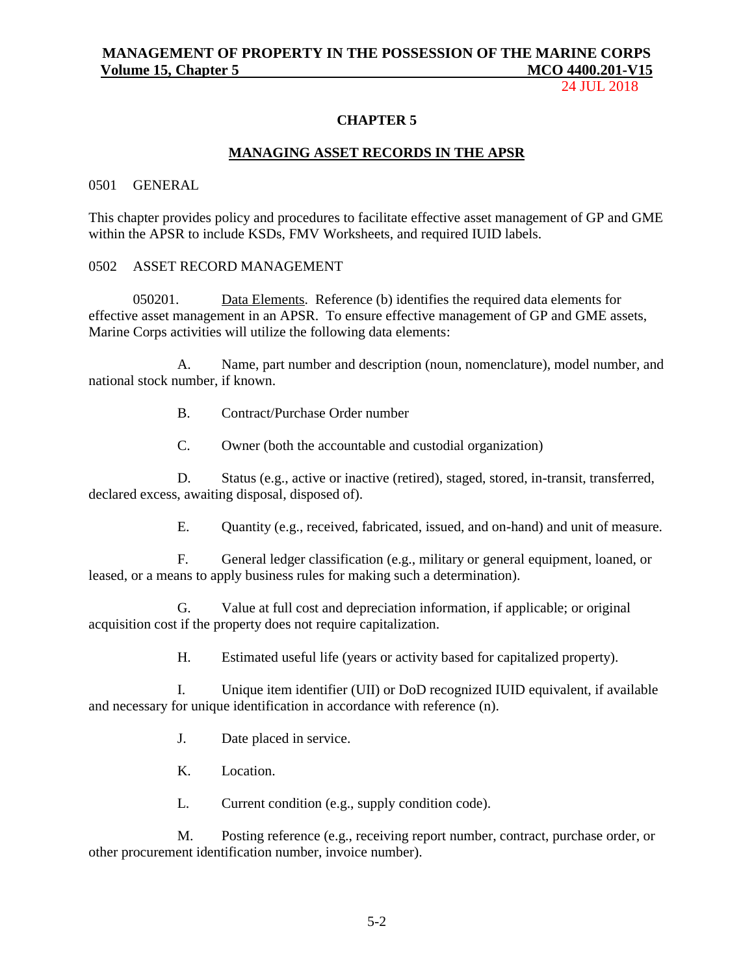24 JUL 2018

### **CHAPTER 5**

#### **MANAGING ASSET RECORDS IN THE APSR**

### 0501 GENERAL

This chapter provides policy and procedures to facilitate effective asset management of GP and GME within the APSR to include KSDs, FMV Worksheets, and required IUID labels.

### 0502 ASSET RECORD MANAGEMENT

050201. Data Elements. Reference (b) identifies the required data elements for effective asset management in an APSR. To ensure effective management of GP and GME assets, Marine Corps activities will utilize the following data elements:

A. Name, part number and description (noun, nomenclature), model number, and national stock number, if known.

- B. Contract/Purchase Order number
- C. Owner (both the accountable and custodial organization)

D. Status (e.g., active or inactive (retired), staged, stored, in-transit, transferred, declared excess, awaiting disposal, disposed of).

E. Quantity (e.g., received, fabricated, issued, and on-hand) and unit of measure.

F. General ledger classification (e.g., military or general equipment, loaned, or leased, or a means to apply business rules for making such a determination).

G. Value at full cost and depreciation information, if applicable; or original acquisition cost if the property does not require capitalization.

H. Estimated useful life (years or activity based for capitalized property).

I. Unique item identifier (UII) or DoD recognized IUID equivalent, if available and necessary for unique identification in accordance with reference (n).

J. Date placed in service.

- K. Location.
- L. Current condition (e.g., supply condition code).

M. Posting reference (e.g., receiving report number, contract, purchase order, or other procurement identification number, invoice number).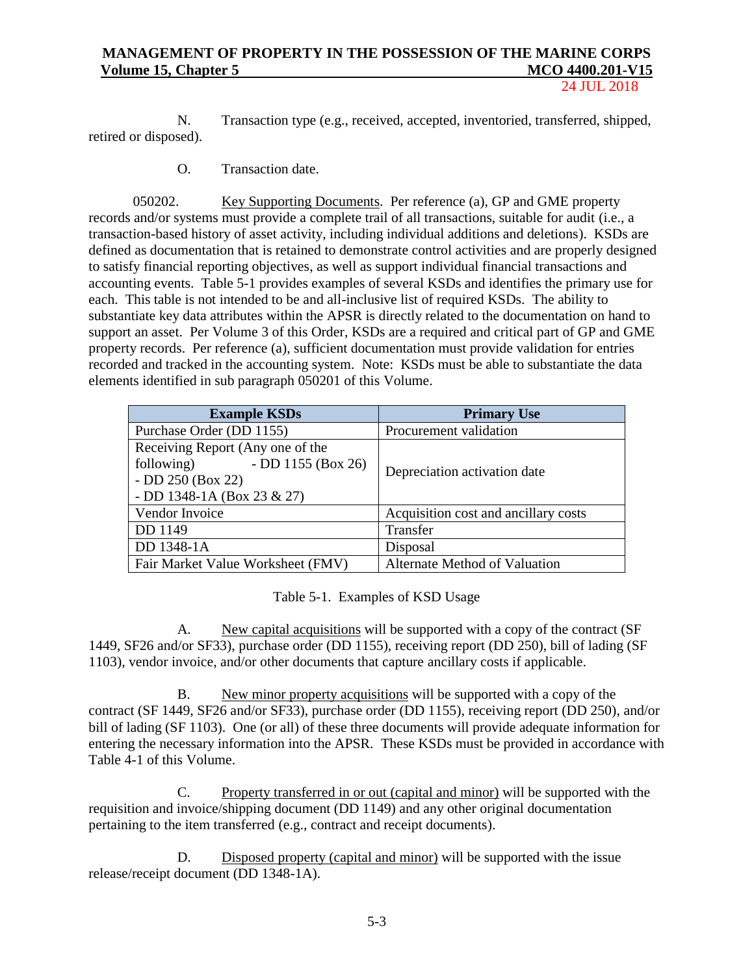24 JUL 2018

N. Transaction type (e.g., received, accepted, inventoried, transferred, shipped, retired or disposed).

O. Transaction date.

050202. Key Supporting Documents. Per reference (a), GP and GME property records and/or systems must provide a complete trail of all transactions, suitable for audit (i.e., a transaction-based history of asset activity, including individual additions and deletions). KSDs are defined as documentation that is retained to demonstrate control activities and are properly designed to satisfy financial reporting objectives, as well as support individual financial transactions and accounting events. Table 5-1 provides examples of several KSDs and identifies the primary use for each. This table is not intended to be and all-inclusive list of required KSDs. The ability to substantiate key data attributes within the APSR is directly related to the documentation on hand to support an asset. Per Volume 3 of this Order, KSDs are a required and critical part of GP and GME property records. Per reference (a), sufficient documentation must provide validation for entries recorded and tracked in the accounting system. Note: KSDs must be able to substantiate the data elements identified in sub paragraph 050201 of this Volume.

| <b>Example KSDs</b>                                                                                                       | <b>Primary Use</b>                   |  |
|---------------------------------------------------------------------------------------------------------------------------|--------------------------------------|--|
| Purchase Order (DD 1155)                                                                                                  | Procurement validation               |  |
| Receiving Report (Any one of the<br>- DD 1155 (Box 26)<br>following)<br>- DD $250$ (Box 22)<br>- DD 1348-1A (Box 23 & 27) | Depreciation activation date         |  |
| Vendor Invoice                                                                                                            | Acquisition cost and ancillary costs |  |
| DD 1149                                                                                                                   | Transfer                             |  |
| DD 1348-1A                                                                                                                | Disposal                             |  |
| Fair Market Value Worksheet (FMV)                                                                                         | Alternate Method of Valuation        |  |

Table 5-1. Examples of KSD Usage

A. New capital acquisitions will be supported with a copy of the contract (SF 1449, SF26 and/or SF33), purchase order (DD 1155), receiving report (DD 250), bill of lading (SF 1103), vendor invoice, and/or other documents that capture ancillary costs if applicable.

B. New minor property acquisitions will be supported with a copy of the contract (SF 1449, SF26 and/or SF33), purchase order (DD 1155), receiving report (DD 250), and/or bill of lading (SF 1103). One (or all) of these three documents will provide adequate information for entering the necessary information into the APSR. These KSDs must be provided in accordance with Table 4-1 of this Volume.

C. Property transferred in or out (capital and minor) will be supported with the requisition and invoice/shipping document (DD 1149) and any other original documentation pertaining to the item transferred (e.g., contract and receipt documents).

D. Disposed property (capital and minor) will be supported with the issue release/receipt document (DD 1348-1A).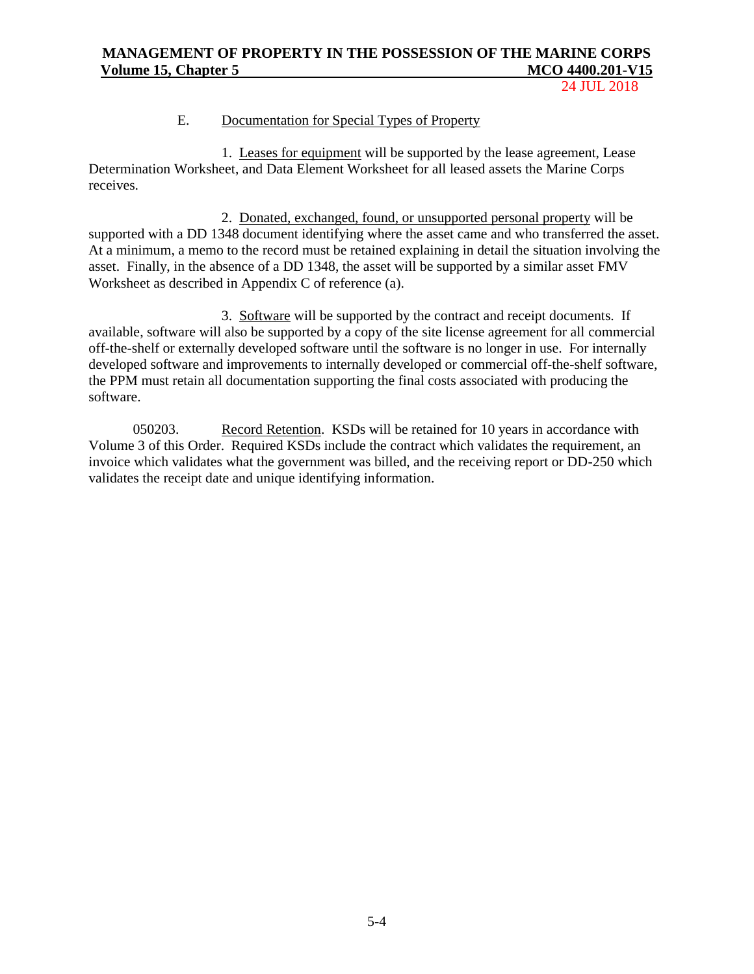24 JUL 2018

### E. Documentation for Special Types of Property

1. Leases for equipment will be supported by the lease agreement, Lease Determination Worksheet, and Data Element Worksheet for all leased assets the Marine Corps receives.

2. Donated, exchanged, found, or unsupported personal property will be supported with a DD 1348 document identifying where the asset came and who transferred the asset. At a minimum, a memo to the record must be retained explaining in detail the situation involving the asset. Finally, in the absence of a DD 1348, the asset will be supported by a similar asset FMV Worksheet as described in Appendix C of reference (a).

3. Software will be supported by the contract and receipt documents. If available, software will also be supported by a copy of the site license agreement for all commercial off-the-shelf or externally developed software until the software is no longer in use. For internally developed software and improvements to internally developed or commercial off-the-shelf software, the PPM must retain all documentation supporting the final costs associated with producing the software.

050203. Record Retention. KSDs will be retained for 10 years in accordance with Volume 3 of this Order. Required KSDs include the contract which validates the requirement, an invoice which validates what the government was billed, and the receiving report or DD-250 which validates the receipt date and unique identifying information.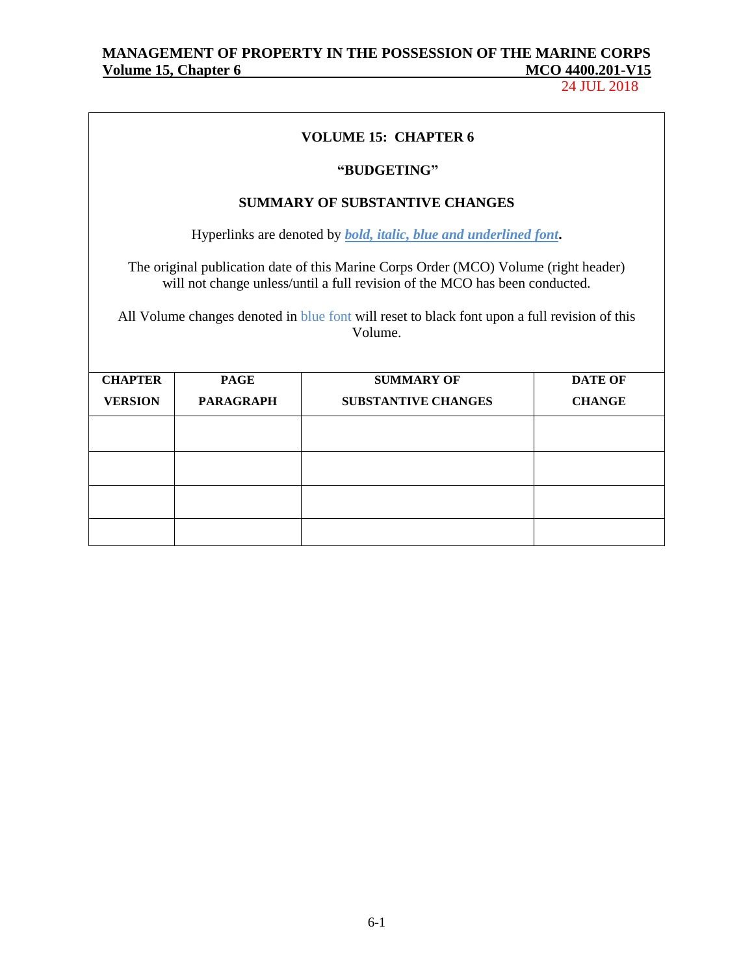24 JUL 2018

## **VOLUME 15: CHAPTER 6**

### **"BUDGETING"**

## **SUMMARY OF SUBSTANTIVE CHANGES**

Hyperlinks are denoted by *bold, italic, blue and underlined font***.**

The original publication date of this Marine Corps Order (MCO) Volume (right header) will not change unless/until a full revision of the MCO has been conducted.

All Volume changes denoted in blue font will reset to black font upon a full revision of this Volume.

| <b>CHAPTER</b> | <b>PAGE</b>      | <b>SUMMARY OF</b>          | <b>DATE OF</b> |
|----------------|------------------|----------------------------|----------------|
| <b>VERSION</b> | <b>PARAGRAPH</b> | <b>SUBSTANTIVE CHANGES</b> | <b>CHANGE</b>  |
|                |                  |                            |                |
|                |                  |                            |                |
|                |                  |                            |                |
|                |                  |                            |                |
|                |                  |                            |                |
|                |                  |                            |                |
|                |                  |                            |                |
|                |                  |                            |                |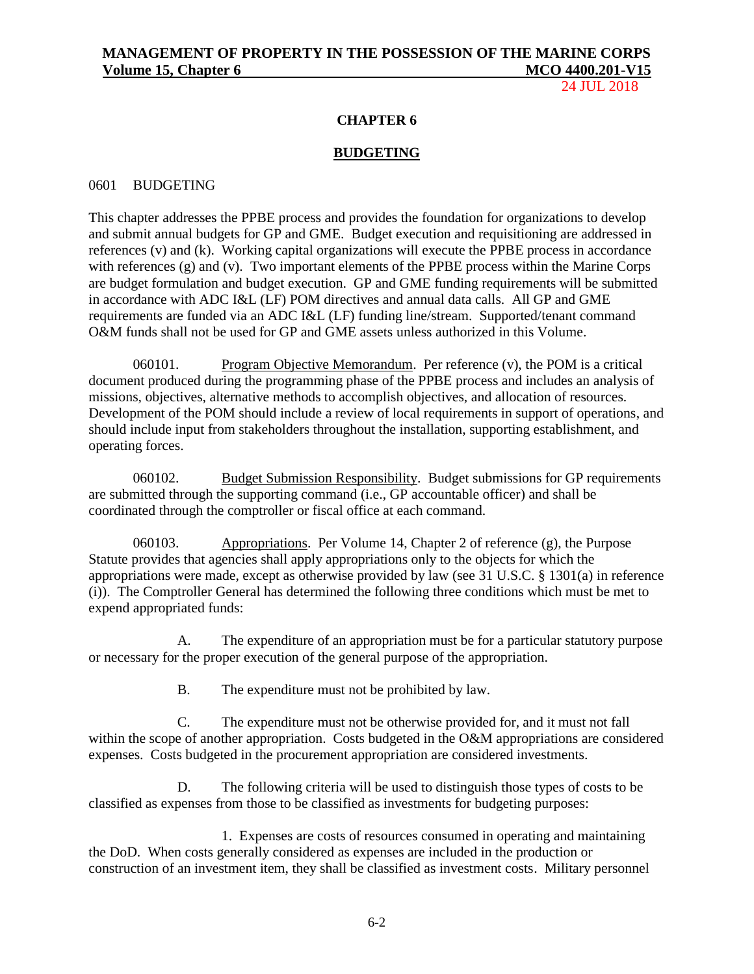24 JUL 2018

### **CHAPTER 6**

### **BUDGETING**

### 0601 BUDGETING

This chapter addresses the PPBE process and provides the foundation for organizations to develop and submit annual budgets for GP and GME. Budget execution and requisitioning are addressed in references (v) and (k). Working capital organizations will execute the PPBE process in accordance with references (g) and (v). Two important elements of the PPBE process within the Marine Corps are budget formulation and budget execution. GP and GME funding requirements will be submitted in accordance with ADC I&L (LF) POM directives and annual data calls. All GP and GME requirements are funded via an ADC I&L (LF) funding line/stream. Supported/tenant command O&M funds shall not be used for GP and GME assets unless authorized in this Volume.

060101. Program Objective Memorandum. Per reference  $(v)$ , the POM is a critical document produced during the programming phase of the PPBE process and includes an analysis of missions, objectives, alternative methods to accomplish objectives, and allocation of resources. Development of the POM should include a review of local requirements in support of operations, and should include input from stakeholders throughout the installation, supporting establishment, and operating forces.

060102. Budget Submission Responsibility. Budget submissions for GP requirements are submitted through the supporting command (i.e., GP accountable officer) and shall be coordinated through the comptroller or fiscal office at each command.

060103. Appropriations. Per Volume 14, Chapter 2 of reference (g), the Purpose Statute provides that agencies shall apply appropriations only to the objects for which the appropriations were made, except as otherwise provided by law (see 31 U.S.C. § 1301(a) in reference (i)). The Comptroller General has determined the following three conditions which must be met to expend appropriated funds:

A. The expenditure of an appropriation must be for a particular statutory purpose or necessary for the proper execution of the general purpose of the appropriation.

B. The expenditure must not be prohibited by law.

C. The expenditure must not be otherwise provided for, and it must not fall within the scope of another appropriation. Costs budgeted in the O&M appropriations are considered expenses. Costs budgeted in the procurement appropriation are considered investments.

D. The following criteria will be used to distinguish those types of costs to be classified as expenses from those to be classified as investments for budgeting purposes:

1. Expenses are costs of resources consumed in operating and maintaining the DoD. When costs generally considered as expenses are included in the production or construction of an investment item, they shall be classified as investment costs. Military personnel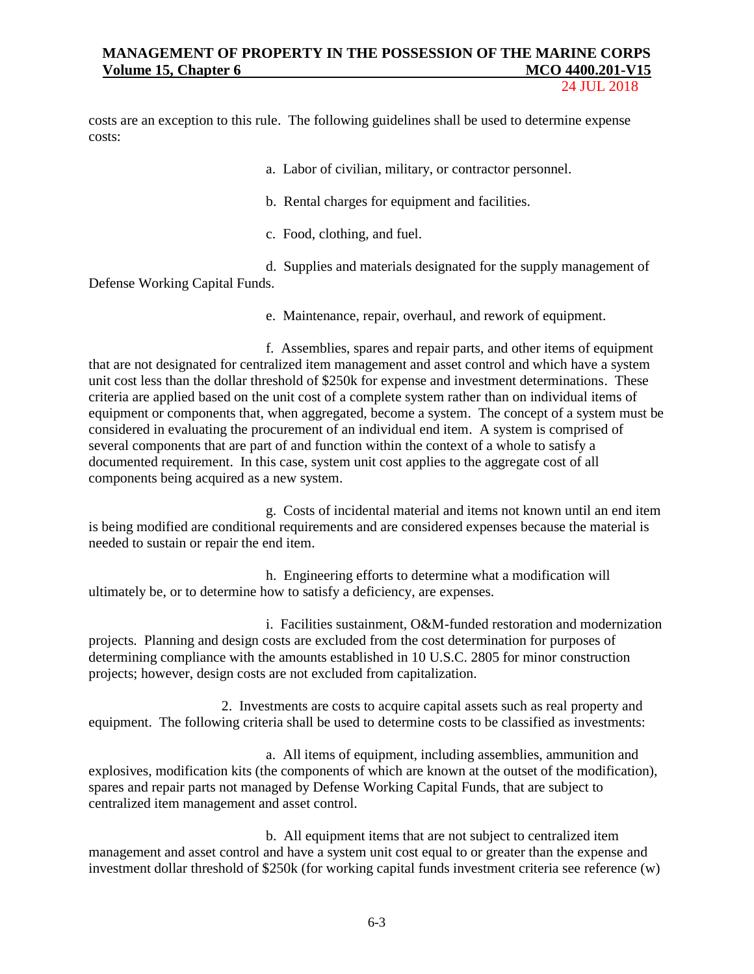24 JUL 2018

costs are an exception to this rule. The following guidelines shall be used to determine expense costs:

a. Labor of civilian, military, or contractor personnel.

b. Rental charges for equipment and facilities.

c. Food, clothing, and fuel.

d. Supplies and materials designated for the supply management of Defense Working Capital Funds.

e. Maintenance, repair, overhaul, and rework of equipment.

f. Assemblies, spares and repair parts, and other items of equipment that are not designated for centralized item management and asset control and which have a system unit cost less than the dollar threshold of \$250k for expense and investment determinations. These criteria are applied based on the unit cost of a complete system rather than on individual items of equipment or components that, when aggregated, become a system. The concept of a system must be considered in evaluating the procurement of an individual end item. A system is comprised of several components that are part of and function within the context of a whole to satisfy a documented requirement. In this case, system unit cost applies to the aggregate cost of all components being acquired as a new system.

g. Costs of incidental material and items not known until an end item is being modified are conditional requirements and are considered expenses because the material is needed to sustain or repair the end item.

h. Engineering efforts to determine what a modification will ultimately be, or to determine how to satisfy a deficiency, are expenses.

i. Facilities sustainment, O&M-funded restoration and modernization projects. Planning and design costs are excluded from the cost determination for purposes of determining compliance with the amounts established in 10 U.S.C. 2805 for minor construction projects; however, design costs are not excluded from capitalization.

2. Investments are costs to acquire capital assets such as real property and equipment. The following criteria shall be used to determine costs to be classified as investments:

a. All items of equipment, including assemblies, ammunition and explosives, modification kits (the components of which are known at the outset of the modification), spares and repair parts not managed by Defense Working Capital Funds, that are subject to centralized item management and asset control.

b. All equipment items that are not subject to centralized item management and asset control and have a system unit cost equal to or greater than the expense and investment dollar threshold of \$250k (for working capital funds investment criteria see reference (w)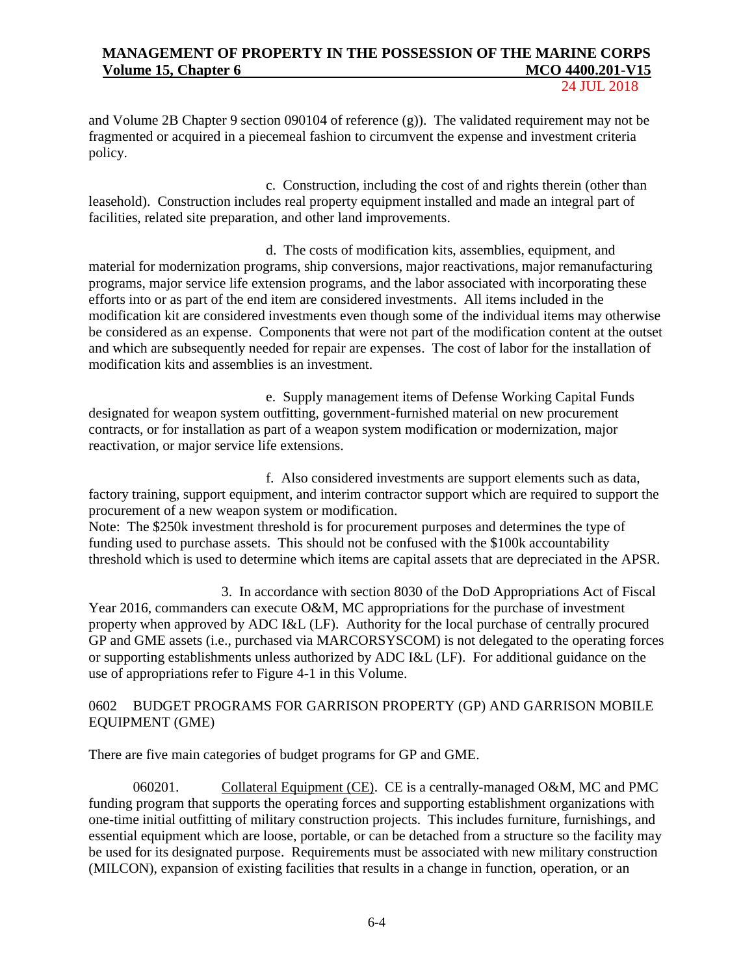24 JUL 2018

and Volume 2B Chapter 9 section 090104 of reference (g)). The validated requirement may not be fragmented or acquired in a piecemeal fashion to circumvent the expense and investment criteria policy.

c. Construction, including the cost of and rights therein (other than leasehold). Construction includes real property equipment installed and made an integral part of facilities, related site preparation, and other land improvements.

d. The costs of modification kits, assemblies, equipment, and material for modernization programs, ship conversions, major reactivations, major remanufacturing programs, major service life extension programs, and the labor associated with incorporating these efforts into or as part of the end item are considered investments. All items included in the modification kit are considered investments even though some of the individual items may otherwise be considered as an expense. Components that were not part of the modification content at the outset and which are subsequently needed for repair are expenses. The cost of labor for the installation of modification kits and assemblies is an investment.

e. Supply management items of Defense Working Capital Funds designated for weapon system outfitting, government-furnished material on new procurement contracts, or for installation as part of a weapon system modification or modernization, major reactivation, or major service life extensions.

f. Also considered investments are support elements such as data, factory training, support equipment, and interim contractor support which are required to support the procurement of a new weapon system or modification.

Note: The \$250k investment threshold is for procurement purposes and determines the type of funding used to purchase assets. This should not be confused with the \$100k accountability threshold which is used to determine which items are capital assets that are depreciated in the APSR.

3. In accordance with section 8030 of the DoD Appropriations Act of Fiscal Year 2016, commanders can execute O&M, MC appropriations for the purchase of investment property when approved by ADC I&L (LF). Authority for the local purchase of centrally procured GP and GME assets (i.e., purchased via MARCORSYSCOM) is not delegated to the operating forces or supporting establishments unless authorized by ADC I&L (LF). For additional guidance on the use of appropriations refer to Figure 4-1 in this Volume.

## 0602 BUDGET PROGRAMS FOR GARRISON PROPERTY (GP) AND GARRISON MOBILE EQUIPMENT (GME)

There are five main categories of budget programs for GP and GME.

060201. Collateral Equipment (CE). CE is a centrally-managed O&M, MC and PMC funding program that supports the operating forces and supporting establishment organizations with one-time initial outfitting of military construction projects. This includes furniture, furnishings, and essential equipment which are loose, portable, or can be detached from a structure so the facility may be used for its designated purpose. Requirements must be associated with new military construction (MILCON), expansion of existing facilities that results in a change in function, operation, or an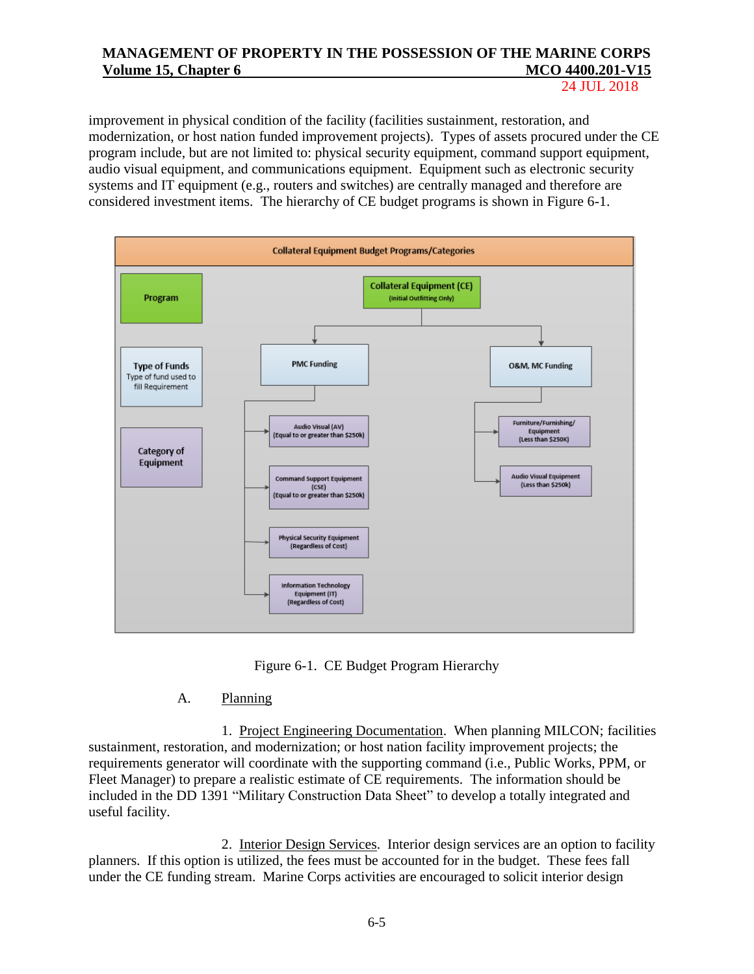24 JUL 2018

improvement in physical condition of the facility (facilities sustainment, restoration, and modernization, or host nation funded improvement projects). Types of assets procured under the CE program include, but are not limited to: physical security equipment, command support equipment, audio visual equipment, and communications equipment. Equipment such as electronic security systems and IT equipment (e.g., routers and switches) are centrally managed and therefore are considered investment items. The hierarchy of CE budget programs is shown in Figure 6-1.



Figure 6-1. CE Budget Program Hierarchy

## A. Planning

1. Project Engineering Documentation. When planning MILCON; facilities sustainment, restoration, and modernization; or host nation facility improvement projects; the requirements generator will coordinate with the supporting command (i.e., Public Works, PPM, or Fleet Manager) to prepare a realistic estimate of CE requirements. The information should be included in the DD 1391 "Military Construction Data Sheet" to develop a totally integrated and useful facility.

2. Interior Design Services. Interior design services are an option to facility planners. If this option is utilized, the fees must be accounted for in the budget. These fees fall under the CE funding stream. Marine Corps activities are encouraged to solicit interior design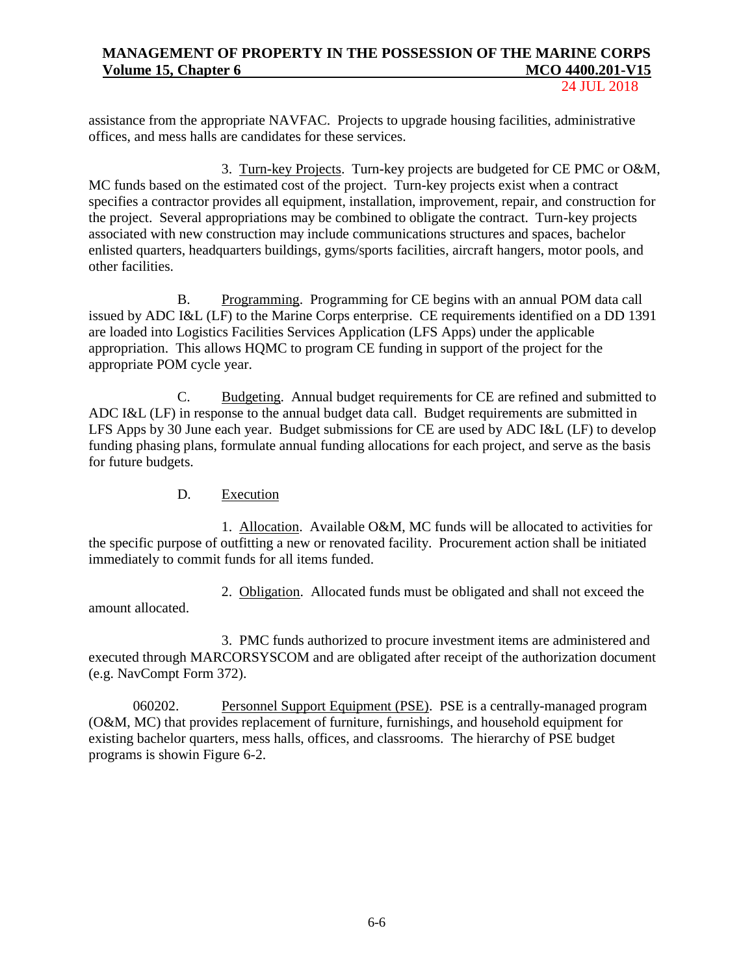24 JUL 2018

assistance from the appropriate NAVFAC. Projects to upgrade housing facilities, administrative offices, and mess halls are candidates for these services.

3. Turn-key Projects. Turn-key projects are budgeted for CE PMC or O&M, MC funds based on the estimated cost of the project. Turn-key projects exist when a contract specifies a contractor provides all equipment, installation, improvement, repair, and construction for the project. Several appropriations may be combined to obligate the contract. Turn-key projects associated with new construction may include communications structures and spaces, bachelor enlisted quarters, headquarters buildings, gyms/sports facilities, aircraft hangers, motor pools, and other facilities.

B. Programming. Programming for CE begins with an annual POM data call issued by ADC I&L (LF) to the Marine Corps enterprise. CE requirements identified on a DD 1391 are loaded into Logistics Facilities Services Application (LFS Apps) under the applicable appropriation. This allows HQMC to program CE funding in support of the project for the appropriate POM cycle year.

C. Budgeting. Annual budget requirements for CE are refined and submitted to ADC I&L (LF) in response to the annual budget data call. Budget requirements are submitted in LFS Apps by 30 June each year. Budget submissions for CE are used by ADC I&L (LF) to develop funding phasing plans, formulate annual funding allocations for each project, and serve as the basis for future budgets.

D. Execution

1. Allocation. Available O&M, MC funds will be allocated to activities for the specific purpose of outfitting a new or renovated facility. Procurement action shall be initiated immediately to commit funds for all items funded.

2. Obligation. Allocated funds must be obligated and shall not exceed the amount allocated.

3. PMC funds authorized to procure investment items are administered and executed through MARCORSYSCOM and are obligated after receipt of the authorization document (e.g. NavCompt Form 372).

060202. Personnel Support Equipment (PSE). PSE is a centrally-managed program (O&M, MC) that provides replacement of furniture, furnishings, and household equipment for existing bachelor quarters, mess halls, offices, and classrooms. The hierarchy of PSE budget programs is showin Figure 6-2.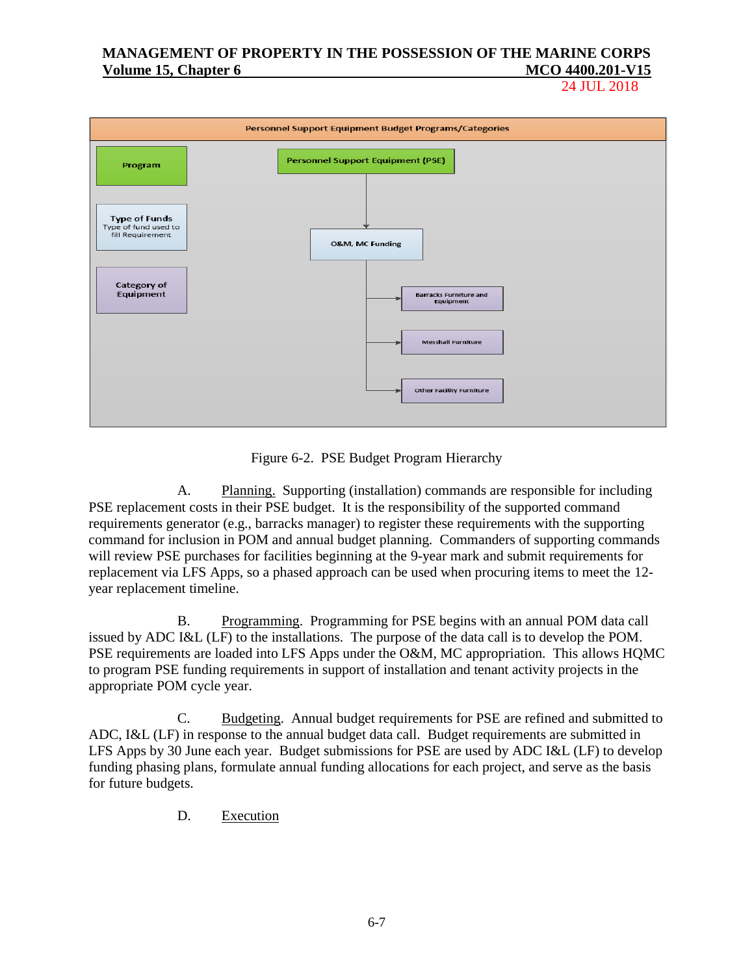24 JUL 2018



Figure 6-2. PSE Budget Program Hierarchy

A. Planning. Supporting (installation) commands are responsible for including PSE replacement costs in their PSE budget. It is the responsibility of the supported command requirements generator (e.g., barracks manager) to register these requirements with the supporting command for inclusion in POM and annual budget planning. Commanders of supporting commands will review PSE purchases for facilities beginning at the 9-year mark and submit requirements for replacement via LFS Apps, so a phased approach can be used when procuring items to meet the 12 year replacement timeline.

B. Programming. Programming for PSE begins with an annual POM data call issued by ADC I&L (LF) to the installations. The purpose of the data call is to develop the POM. PSE requirements are loaded into LFS Apps under the O&M, MC appropriation. This allows HQMC to program PSE funding requirements in support of installation and tenant activity projects in the appropriate POM cycle year.

C. Budgeting. Annual budget requirements for PSE are refined and submitted to ADC, I&L (LF) in response to the annual budget data call. Budget requirements are submitted in LFS Apps by 30 June each year. Budget submissions for PSE are used by ADC I&L (LF) to develop funding phasing plans, formulate annual funding allocations for each project, and serve as the basis for future budgets.

D. Execution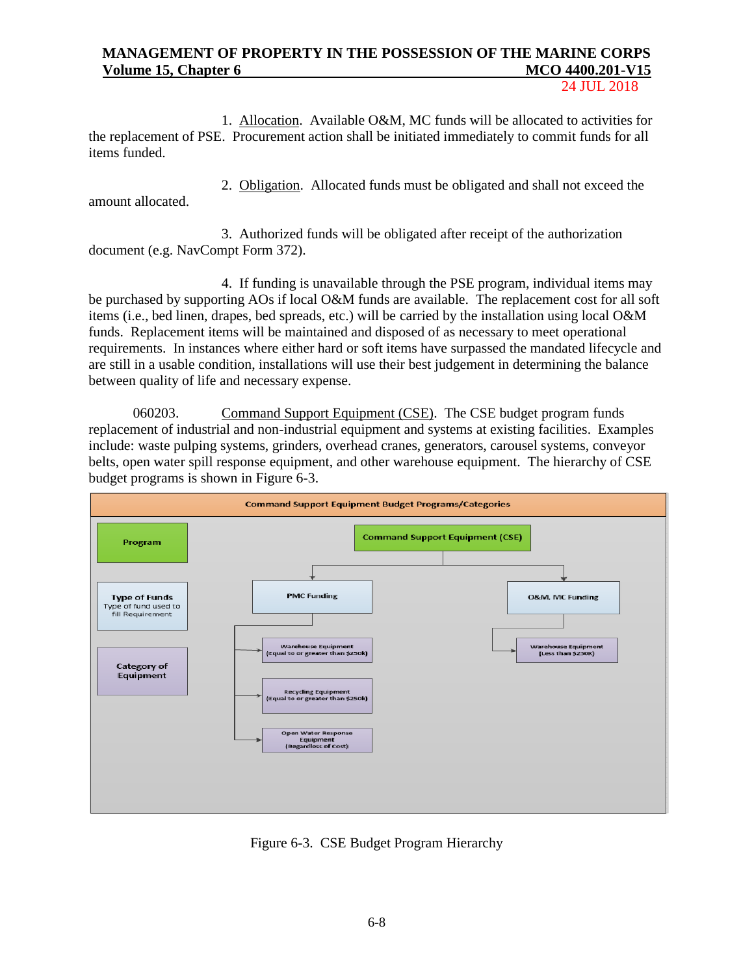24 JUL 2018

1. Allocation. Available O&M, MC funds will be allocated to activities for the replacement of PSE. Procurement action shall be initiated immediately to commit funds for all items funded.

amount allocated.

2. Obligation. Allocated funds must be obligated and shall not exceed the

3. Authorized funds will be obligated after receipt of the authorization document (e.g. NavCompt Form 372).

4. If funding is unavailable through the PSE program, individual items may be purchased by supporting AOs if local O&M funds are available. The replacement cost for all soft items (i.e., bed linen, drapes, bed spreads, etc.) will be carried by the installation using local O&M funds. Replacement items will be maintained and disposed of as necessary to meet operational requirements. In instances where either hard or soft items have surpassed the mandated lifecycle and are still in a usable condition, installations will use their best judgement in determining the balance between quality of life and necessary expense.

060203. Command Support Equipment (CSE). The CSE budget program funds replacement of industrial and non-industrial equipment and systems at existing facilities. Examples include: waste pulping systems, grinders, overhead cranes, generators, carousel systems, conveyor belts, open water spill response equipment, and other warehouse equipment. The hierarchy of CSE budget programs is shown in Figure 6-3.



Figure 6-3. CSE Budget Program Hierarchy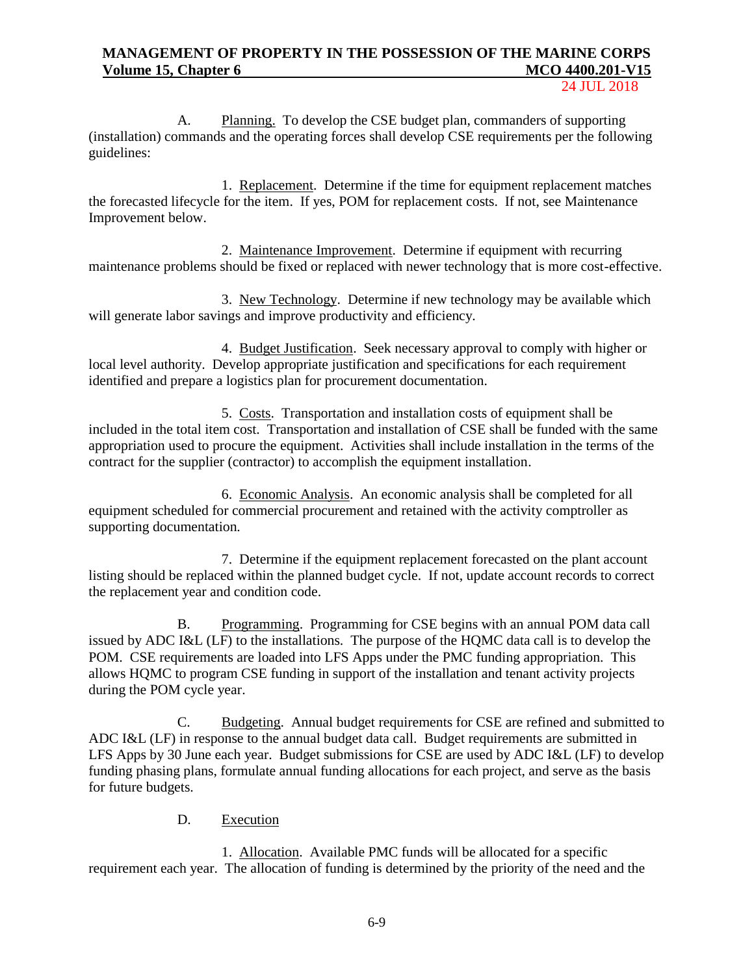24 JUL 2018

A. Planning. To develop the CSE budget plan, commanders of supporting (installation) commands and the operating forces shall develop CSE requirements per the following guidelines:

1. Replacement. Determine if the time for equipment replacement matches the forecasted lifecycle for the item. If yes, POM for replacement costs. If not, see Maintenance Improvement below.

2. Maintenance Improvement. Determine if equipment with recurring maintenance problems should be fixed or replaced with newer technology that is more cost-effective.

3. New Technology. Determine if new technology may be available which will generate labor savings and improve productivity and efficiency.

4. Budget Justification. Seek necessary approval to comply with higher or local level authority. Develop appropriate justification and specifications for each requirement identified and prepare a logistics plan for procurement documentation.

5. Costs. Transportation and installation costs of equipment shall be included in the total item cost. Transportation and installation of CSE shall be funded with the same appropriation used to procure the equipment. Activities shall include installation in the terms of the contract for the supplier (contractor) to accomplish the equipment installation.

6. Economic Analysis. An economic analysis shall be completed for all equipment scheduled for commercial procurement and retained with the activity comptroller as supporting documentation.

7. Determine if the equipment replacement forecasted on the plant account listing should be replaced within the planned budget cycle. If not, update account records to correct the replacement year and condition code.

B. Programming. Programming for CSE begins with an annual POM data call issued by ADC I&L (LF) to the installations. The purpose of the HQMC data call is to develop the POM. CSE requirements are loaded into LFS Apps under the PMC funding appropriation. This allows HQMC to program CSE funding in support of the installation and tenant activity projects during the POM cycle year.

C. Budgeting. Annual budget requirements for CSE are refined and submitted to ADC I&L (LF) in response to the annual budget data call. Budget requirements are submitted in LFS Apps by 30 June each year. Budget submissions for CSE are used by ADC I&L (LF) to develop funding phasing plans, formulate annual funding allocations for each project, and serve as the basis for future budgets.

## D. Execution

1. Allocation. Available PMC funds will be allocated for a specific requirement each year. The allocation of funding is determined by the priority of the need and the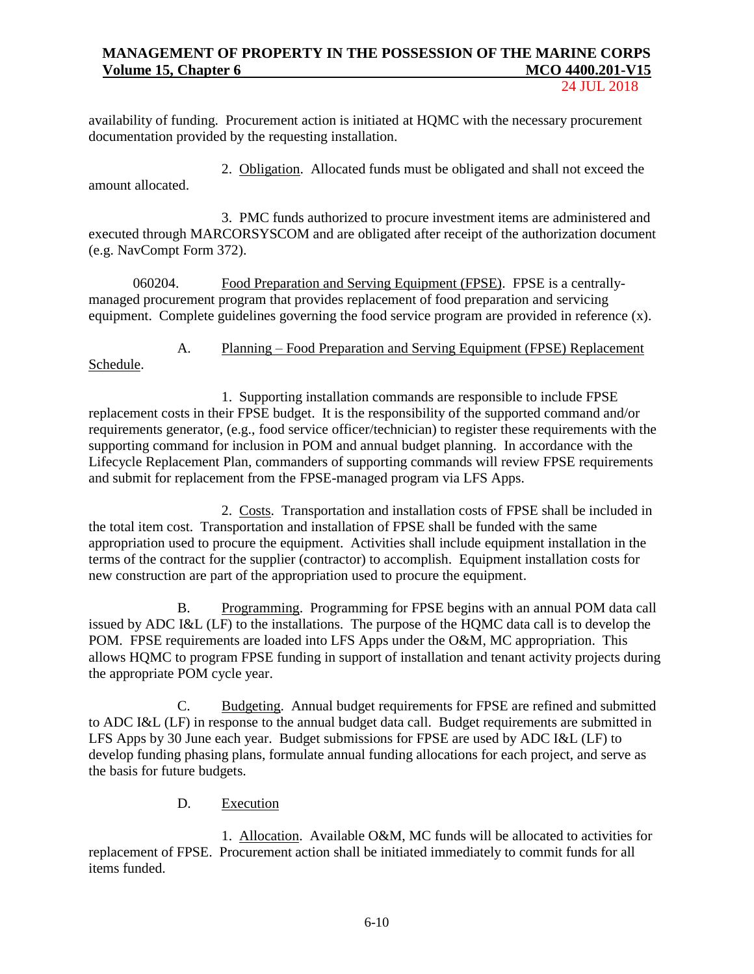24 JUL 2018

availability of funding. Procurement action is initiated at HQMC with the necessary procurement documentation provided by the requesting installation.

2. Obligation. Allocated funds must be obligated and shall not exceed the amount allocated.

3. PMC funds authorized to procure investment items are administered and executed through MARCORSYSCOM and are obligated after receipt of the authorization document (e.g. NavCompt Form 372).

060204. Food Preparation and Serving Equipment (FPSE). FPSE is a centrallymanaged procurement program that provides replacement of food preparation and servicing equipment. Complete guidelines governing the food service program are provided in reference (x).

A. Planning – Food Preparation and Serving Equipment (FPSE) Replacement

Schedule.

1. Supporting installation commands are responsible to include FPSE replacement costs in their FPSE budget. It is the responsibility of the supported command and/or requirements generator, (e.g., food service officer/technician) to register these requirements with the supporting command for inclusion in POM and annual budget planning. In accordance with the Lifecycle Replacement Plan, commanders of supporting commands will review FPSE requirements and submit for replacement from the FPSE-managed program via LFS Apps.

2. Costs. Transportation and installation costs of FPSE shall be included in the total item cost. Transportation and installation of FPSE shall be funded with the same appropriation used to procure the equipment. Activities shall include equipment installation in the terms of the contract for the supplier (contractor) to accomplish. Equipment installation costs for new construction are part of the appropriation used to procure the equipment.

B. Programming. Programming for FPSE begins with an annual POM data call issued by ADC I&L (LF) to the installations. The purpose of the HQMC data call is to develop the POM. FPSE requirements are loaded into LFS Apps under the O&M, MC appropriation. This allows HQMC to program FPSE funding in support of installation and tenant activity projects during the appropriate POM cycle year.

C. Budgeting. Annual budget requirements for FPSE are refined and submitted to ADC I&L (LF) in response to the annual budget data call. Budget requirements are submitted in LFS Apps by 30 June each year. Budget submissions for FPSE are used by ADC I&L (LF) to develop funding phasing plans, formulate annual funding allocations for each project, and serve as the basis for future budgets.

## D. Execution

1. Allocation. Available O&M, MC funds will be allocated to activities for replacement of FPSE. Procurement action shall be initiated immediately to commit funds for all items funded.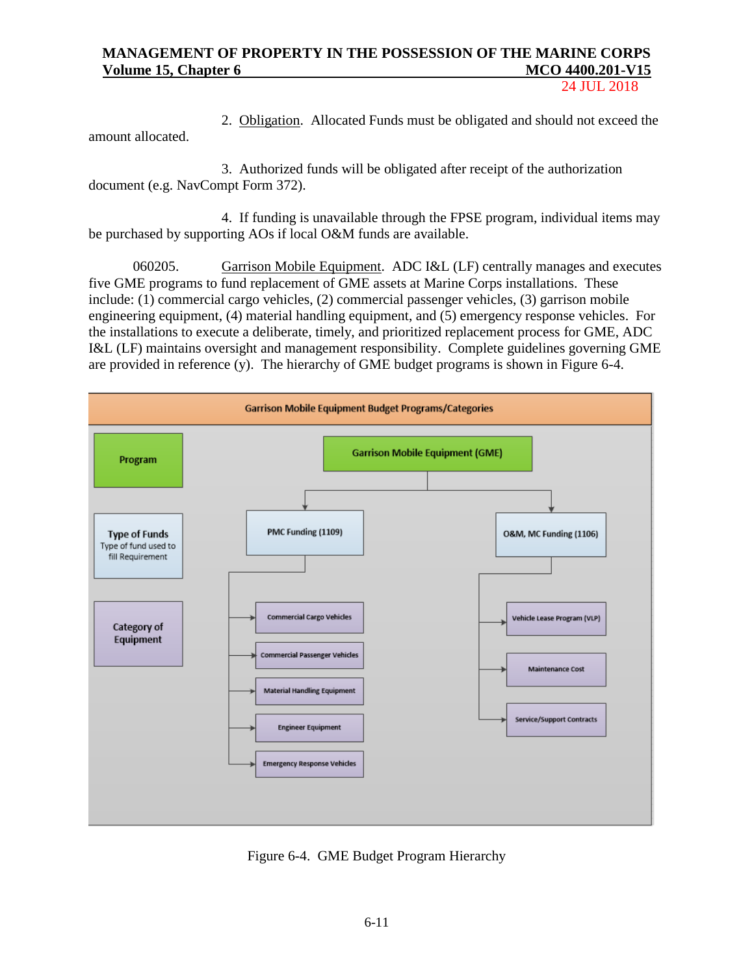24 JUL 2018

amount allocated.

2. Obligation. Allocated Funds must be obligated and should not exceed the

3. Authorized funds will be obligated after receipt of the authorization document (e.g. NavCompt Form 372).

4. If funding is unavailable through the FPSE program, individual items may be purchased by supporting AOs if local O&M funds are available.

060205. Garrison Mobile Equipment. ADC I&L (LF) centrally manages and executes five GME programs to fund replacement of GME assets at Marine Corps installations. These include: (1) commercial cargo vehicles, (2) commercial passenger vehicles, (3) garrison mobile engineering equipment, (4) material handling equipment, and (5) emergency response vehicles. For the installations to execute a deliberate, timely, and prioritized replacement process for GME, ADC I&L (LF) maintains oversight and management responsibility. Complete guidelines governing GME are provided in reference (y). The hierarchy of GME budget programs is shown in Figure 6-4.



Figure 6-4. GME Budget Program Hierarchy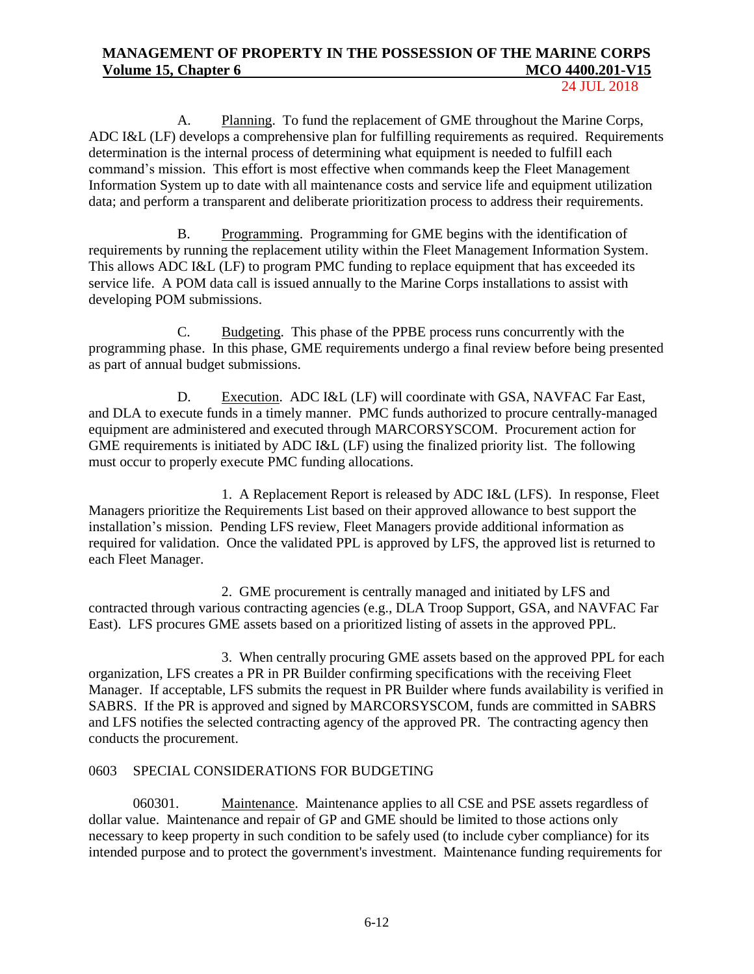24 JUL 2018

A. Planning. To fund the replacement of GME throughout the Marine Corps, ADC I&L (LF) develops a comprehensive plan for fulfilling requirements as required. Requirements determination is the internal process of determining what equipment is needed to fulfill each command's mission. This effort is most effective when commands keep the Fleet Management Information System up to date with all maintenance costs and service life and equipment utilization data; and perform a transparent and deliberate prioritization process to address their requirements.

B. Programming. Programming for GME begins with the identification of requirements by running the replacement utility within the Fleet Management Information System. This allows ADC I&L (LF) to program PMC funding to replace equipment that has exceeded its service life. A POM data call is issued annually to the Marine Corps installations to assist with developing POM submissions.

C. Budgeting. This phase of the PPBE process runs concurrently with the programming phase. In this phase, GME requirements undergo a final review before being presented as part of annual budget submissions.

D. Execution. ADC I&L (LF) will coordinate with GSA, NAVFAC Far East, and DLA to execute funds in a timely manner. PMC funds authorized to procure centrally-managed equipment are administered and executed through MARCORSYSCOM. Procurement action for GME requirements is initiated by ADC I&L (LF) using the finalized priority list. The following must occur to properly execute PMC funding allocations.

1. A Replacement Report is released by ADC I&L (LFS). In response, Fleet Managers prioritize the Requirements List based on their approved allowance to best support the installation's mission. Pending LFS review, Fleet Managers provide additional information as required for validation. Once the validated PPL is approved by LFS, the approved list is returned to each Fleet Manager.

2. GME procurement is centrally managed and initiated by LFS and contracted through various contracting agencies (e.g., DLA Troop Support, GSA, and NAVFAC Far East). LFS procures GME assets based on a prioritized listing of assets in the approved PPL.

3. When centrally procuring GME assets based on the approved PPL for each organization, LFS creates a PR in PR Builder confirming specifications with the receiving Fleet Manager. If acceptable, LFS submits the request in PR Builder where funds availability is verified in SABRS. If the PR is approved and signed by MARCORSYSCOM, funds are committed in SABRS and LFS notifies the selected contracting agency of the approved PR. The contracting agency then conducts the procurement.

## 0603 SPECIAL CONSIDERATIONS FOR BUDGETING

060301. Maintenance. Maintenance applies to all CSE and PSE assets regardless of dollar value. Maintenance and repair of GP and GME should be limited to those actions only necessary to keep property in such condition to be safely used (to include cyber compliance) for its intended purpose and to protect the government's investment. Maintenance funding requirements for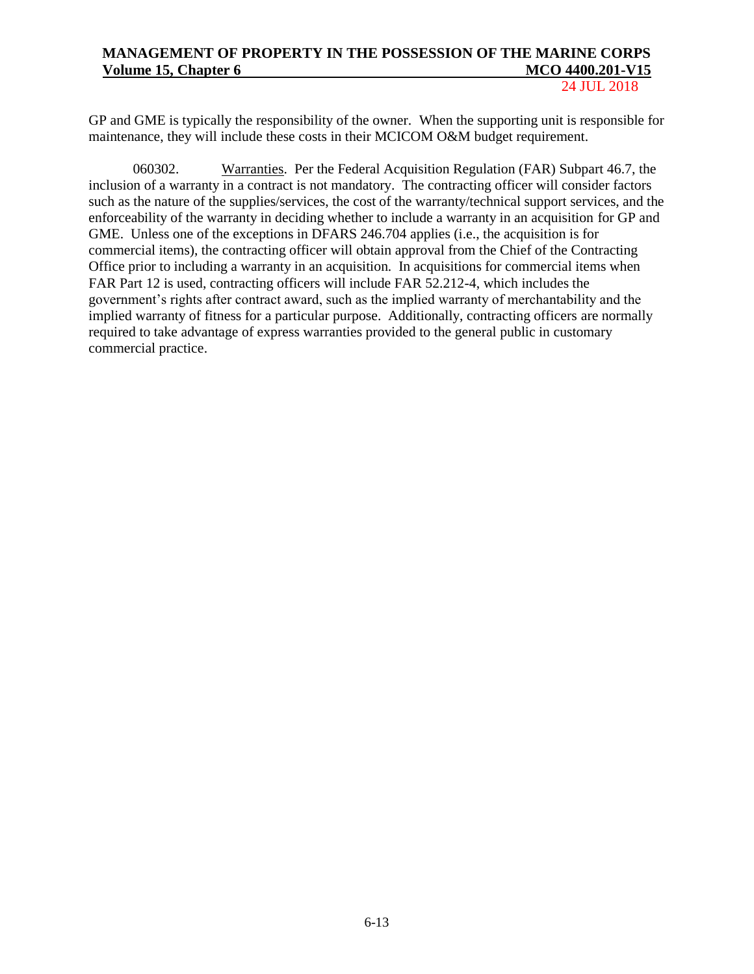24 JUL 2018

GP and GME is typically the responsibility of the owner. When the supporting unit is responsible for maintenance, they will include these costs in their MCICOM O&M budget requirement.

060302. Warranties. Per the Federal Acquisition Regulation (FAR) Subpart 46.7, the inclusion of a warranty in a contract is not mandatory. The contracting officer will consider factors such as the nature of the supplies/services, the cost of the warranty/technical support services, and the enforceability of the warranty in deciding whether to include a warranty in an acquisition for GP and GME. Unless one of the exceptions in DFARS 246.704 applies (i.e., the acquisition is for commercial items), the contracting officer will obtain approval from the Chief of the Contracting Office prior to including a warranty in an acquisition. In acquisitions for commercial items when FAR Part 12 is used, contracting officers will include FAR 52.212-4, which includes the government's rights after contract award, such as the implied warranty of merchantability and the implied warranty of fitness for a particular purpose. Additionally, contracting officers are normally required to take advantage of express warranties provided to the general public in customary commercial practice.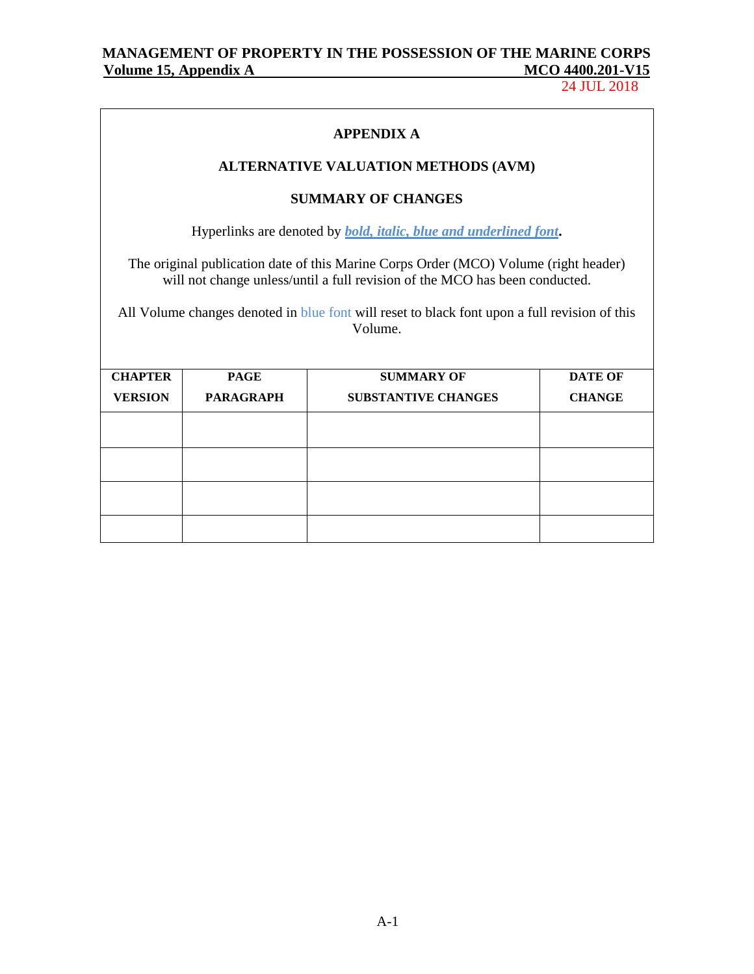24 JUL 2018

## **APPENDIX A**

## **ALTERNATIVE VALUATION METHODS (AVM)**

### **SUMMARY OF CHANGES**

Hyperlinks are denoted by *bold, italic, blue and underlined font***.**

The original publication date of this Marine Corps Order (MCO) Volume (right header) will not change unless/until a full revision of the MCO has been conducted.

All Volume changes denoted in blue font will reset to black font upon a full revision of this Volume.

| <b>CHAPTER</b> | <b>PAGE</b>      | <b>SUMMARY OF</b>          | <b>DATE OF</b> |
|----------------|------------------|----------------------------|----------------|
| <b>VERSION</b> | <b>PARAGRAPH</b> | <b>SUBSTANTIVE CHANGES</b> | <b>CHANGE</b>  |
|                |                  |                            |                |
|                |                  |                            |                |
|                |                  |                            |                |
|                |                  |                            |                |
|                |                  |                            |                |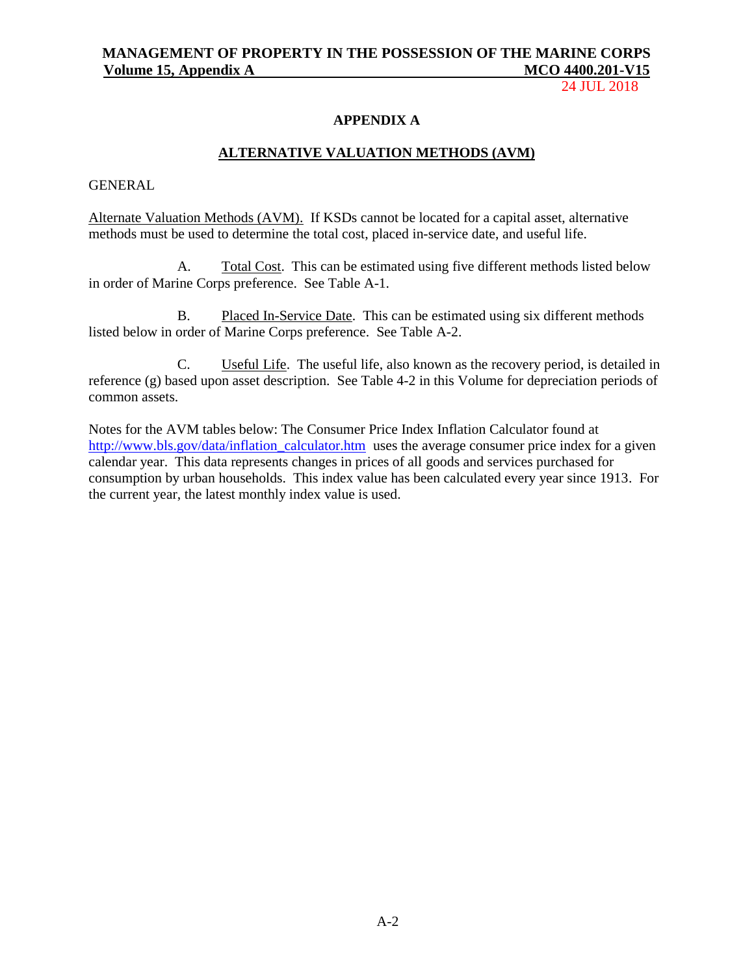24 JUL 2018

### **APPENDIX A**

### **ALTERNATIVE VALUATION METHODS (AVM)**

### GENERAL

Alternate Valuation Methods (AVM). If KSDs cannot be located for a capital asset, alternative methods must be used to determine the total cost, placed in-service date, and useful life.

A. Total Cost. This can be estimated using five different methods listed below in order of Marine Corps preference. See Table A-1.

B. Placed In-Service Date. This can be estimated using six different methods listed below in order of Marine Corps preference. See Table A-2.

C. Useful Life. The useful life, also known as the recovery period, is detailed in reference (g) based upon asset description. See Table 4-2 in this Volume for depreciation periods of common assets.

Notes for the AVM tables below: The Consumer Price Index Inflation Calculator found at [http://www.bls.gov/data/inflation\\_calculator.htm](http://www.bls.gov/data/inflation_calculator.htm) uses the average consumer price index for a given calendar year. This data represents changes in prices of all goods and services purchased for consumption by urban households. This index value has been calculated every year since 1913. For the current year, the latest monthly index value is used.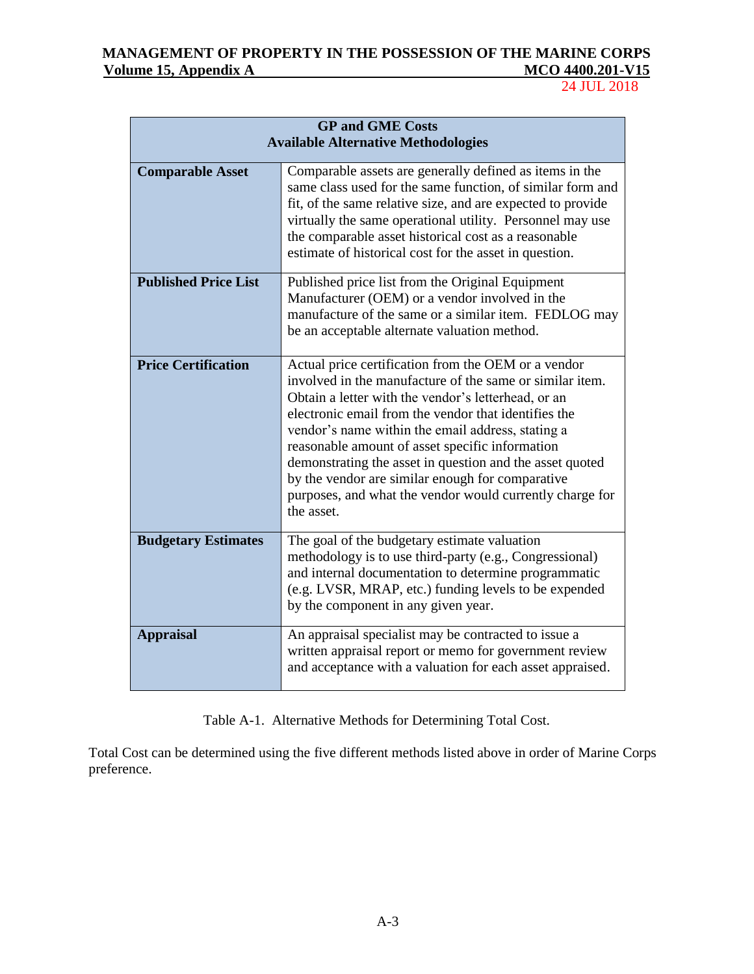# MANAGEMENT OF PROPERTY IN THE POSSESSION OF THE MARINE CORPS<br>Volume 15, Appendix A MCO 4400.201-V15 **Volume 15, Appendix A**

24 JUL 2018

| <b>GP and GME Costs</b><br><b>Available Alternative Methodologies</b> |                                                                                                                                                                                                                                                                                                                                                                                                                                                                                                                                  |  |  |
|-----------------------------------------------------------------------|----------------------------------------------------------------------------------------------------------------------------------------------------------------------------------------------------------------------------------------------------------------------------------------------------------------------------------------------------------------------------------------------------------------------------------------------------------------------------------------------------------------------------------|--|--|
| <b>Comparable Asset</b>                                               | Comparable assets are generally defined as items in the<br>same class used for the same function, of similar form and<br>fit, of the same relative size, and are expected to provide<br>virtually the same operational utility. Personnel may use<br>the comparable asset historical cost as a reasonable<br>estimate of historical cost for the asset in question.                                                                                                                                                              |  |  |
| <b>Published Price List</b>                                           | Published price list from the Original Equipment<br>Manufacturer (OEM) or a vendor involved in the<br>manufacture of the same or a similar item. FEDLOG may<br>be an acceptable alternate valuation method.                                                                                                                                                                                                                                                                                                                      |  |  |
| <b>Price Certification</b>                                            | Actual price certification from the OEM or a vendor<br>involved in the manufacture of the same or similar item.<br>Obtain a letter with the vendor's letterhead, or an<br>electronic email from the vendor that identifies the<br>vendor's name within the email address, stating a<br>reasonable amount of asset specific information<br>demonstrating the asset in question and the asset quoted<br>by the vendor are similar enough for comparative<br>purposes, and what the vendor would currently charge for<br>the asset. |  |  |
| <b>Budgetary Estimates</b>                                            | The goal of the budgetary estimate valuation<br>methodology is to use third-party (e.g., Congressional)<br>and internal documentation to determine programmatic<br>(e.g. LVSR, MRAP, etc.) funding levels to be expended<br>by the component in any given year.                                                                                                                                                                                                                                                                  |  |  |
| <b>Appraisal</b>                                                      | An appraisal specialist may be contracted to issue a<br>written appraisal report or memo for government review<br>and acceptance with a valuation for each asset appraised.                                                                                                                                                                                                                                                                                                                                                      |  |  |

Table A-1. Alternative Methods for Determining Total Cost.

Total Cost can be determined using the five different methods listed above in order of Marine Corps preference.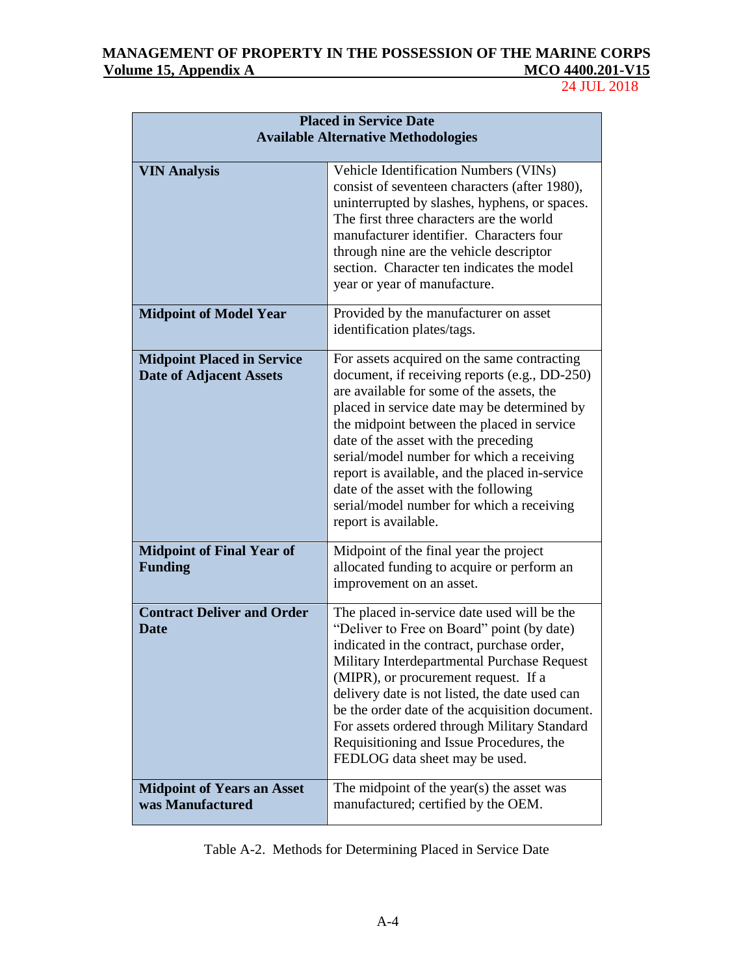# MANAGEMENT OF PROPERTY IN THE POSSESSION OF THE MARINE CORPS<br>Volume 15, Appendix A MCO 4400.201-V15 **<u>Volume 15, Appendix A</u>**

24 JUL 2018

| <b>Placed in Service Date</b>                                       |                                                                                                                                                                                                                                                                                                                                                                                                                                                                                            |  |  |
|---------------------------------------------------------------------|--------------------------------------------------------------------------------------------------------------------------------------------------------------------------------------------------------------------------------------------------------------------------------------------------------------------------------------------------------------------------------------------------------------------------------------------------------------------------------------------|--|--|
|                                                                     | <b>Available Alternative Methodologies</b>                                                                                                                                                                                                                                                                                                                                                                                                                                                 |  |  |
| <b>VIN Analysis</b>                                                 | Vehicle Identification Numbers (VINs)<br>consist of seventeen characters (after 1980),<br>uninterrupted by slashes, hyphens, or spaces.<br>The first three characters are the world<br>manufacturer identifier. Characters four<br>through nine are the vehicle descriptor<br>section. Character ten indicates the model<br>year or year of manufacture.                                                                                                                                   |  |  |
| <b>Midpoint of Model Year</b>                                       | Provided by the manufacturer on asset<br>identification plates/tags.                                                                                                                                                                                                                                                                                                                                                                                                                       |  |  |
| <b>Midpoint Placed in Service</b><br><b>Date of Adjacent Assets</b> | For assets acquired on the same contracting<br>document, if receiving reports (e.g., DD-250)<br>are available for some of the assets, the<br>placed in service date may be determined by<br>the midpoint between the placed in service<br>date of the asset with the preceding<br>serial/model number for which a receiving<br>report is available, and the placed in-service<br>date of the asset with the following<br>serial/model number for which a receiving<br>report is available. |  |  |
| <b>Midpoint of Final Year of</b><br><b>Funding</b>                  | Midpoint of the final year the project<br>allocated funding to acquire or perform an<br>improvement on an asset.                                                                                                                                                                                                                                                                                                                                                                           |  |  |
| <b>Contract Deliver and Order</b><br><b>Date</b>                    | The placed in-service date used will be the<br>"Deliver to Free on Board" point (by date)<br>indicated in the contract, purchase order,<br>Military Interdepartmental Purchase Request<br>(MIPR), or procurement request. If a<br>delivery date is not listed, the date used can<br>be the order date of the acquisition document.<br>For assets ordered through Military Standard<br>Requisitioning and Issue Procedures, the<br>FEDLOG data sheet may be used.                           |  |  |
| <b>Midpoint of Years an Asset</b><br>was Manufactured               | The midpoint of the year(s) the asset was<br>manufactured; certified by the OEM.                                                                                                                                                                                                                                                                                                                                                                                                           |  |  |

Table A-2. Methods for Determining Placed in Service Date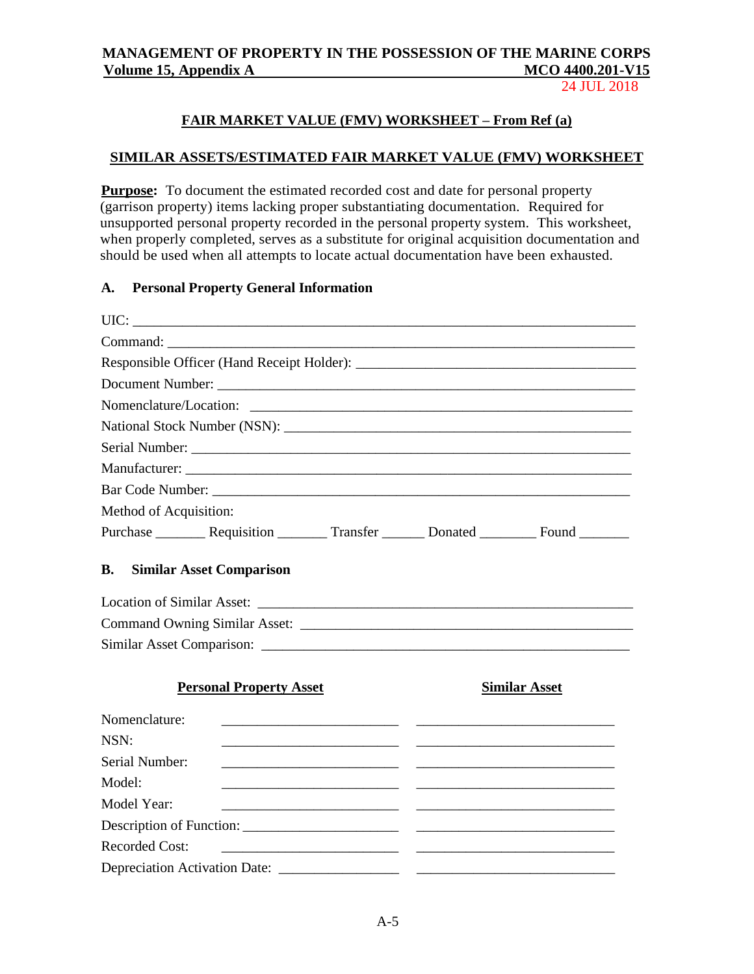24 JUL 2018

## **FAIR MARKET VALUE (FMV) WORKSHEET – From Ref (a)**

### **SIMILAR ASSETS/ESTIMATED FAIR MARKET VALUE (FMV) WORKSHEET**

**Purpose:** To document the estimated recorded cost and date for personal property (garrison property) items lacking proper substantiating documentation. Required for unsupported personal property recorded in the personal property system. This worksheet, when properly completed, serves as a substitute for original acquisition documentation and should be used when all attempts to locate actual documentation have been exhausted.

## **A. Personal Property General Information**

| Nomenclature/Location:                                                                          |                                |                                                             |                                                                                                                      |                                                             |  |
|-------------------------------------------------------------------------------------------------|--------------------------------|-------------------------------------------------------------|----------------------------------------------------------------------------------------------------------------------|-------------------------------------------------------------|--|
|                                                                                                 |                                |                                                             |                                                                                                                      |                                                             |  |
|                                                                                                 |                                |                                                             |                                                                                                                      |                                                             |  |
|                                                                                                 |                                |                                                             |                                                                                                                      |                                                             |  |
|                                                                                                 |                                |                                                             |                                                                                                                      |                                                             |  |
| Method of Acquisition:                                                                          |                                |                                                             |                                                                                                                      |                                                             |  |
| Purchase __________ Requisition __________ Transfer _________ Donated __________ Found ________ |                                |                                                             |                                                                                                                      |                                                             |  |
| B.<br><b>Similar Asset Comparison</b>                                                           |                                |                                                             |                                                                                                                      |                                                             |  |
|                                                                                                 | <b>Personal Property Asset</b> |                                                             |                                                                                                                      | <b>Similar Asset</b>                                        |  |
| Nomenclature:                                                                                   |                                |                                                             | <u> Alexandria de la contrada de la contrada de la contrada de la contrada de la contrada de la contrada de la c</u> |                                                             |  |
| NSN:                                                                                            |                                |                                                             |                                                                                                                      | <u> 1989 - Andrea Stadt Britain, amerikansk politiker (</u> |  |
| Serial Number:                                                                                  |                                |                                                             |                                                                                                                      |                                                             |  |
| Model:                                                                                          |                                |                                                             |                                                                                                                      |                                                             |  |
| Model Year:                                                                                     |                                |                                                             |                                                                                                                      |                                                             |  |
|                                                                                                 |                                |                                                             |                                                                                                                      |                                                             |  |
| <b>Recorded Cost:</b>                                                                           |                                | <u> 2000 - Andrea Andrews, amerikansk politik (d. 1878)</u> |                                                                                                                      |                                                             |  |
|                                                                                                 |                                |                                                             |                                                                                                                      |                                                             |  |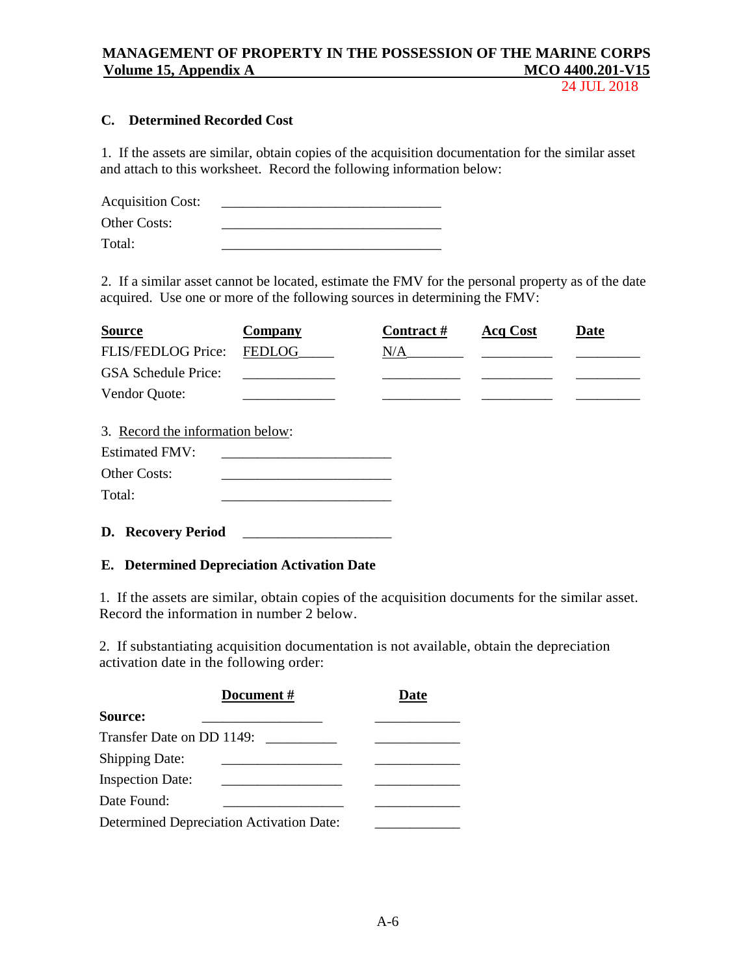24 JUL 2018

## **C. Determined Recorded Cost**

1. If the assets are similar, obtain copies of the acquisition documentation for the similar asset and attach to this worksheet. Record the following information below:

| <b>Acquisition Cost:</b> |  |
|--------------------------|--|
| Other Costs:             |  |
| Total:                   |  |

2. If a similar asset cannot be located, estimate the FMV for the personal property as of the date acquired. Use one or more of the following sources in determining the FMV:

| <b>Source</b>                                                             | Company       | Contract# | <b>Acq Cost</b> | Date |
|---------------------------------------------------------------------------|---------------|-----------|-----------------|------|
| FLIS/FEDLOG Price:                                                        | <b>FEDLOG</b> | N/A       |                 |      |
| <b>GSA Schedule Price:</b>                                                |               |           |                 |      |
| Vendor Quote:                                                             |               |           |                 |      |
| 3. Record the information below:<br><b>Estimated FMV:</b><br>Other Costs: |               |           |                 |      |
| Total:                                                                    |               |           |                 |      |
| D. Recovery Period                                                        |               |           |                 |      |

### **E. Determined Depreciation Activation Date**

1. If the assets are similar, obtain copies of the acquisition documents for the similar asset. Record the information in number 2 below.

2. If substantiating acquisition documentation is not available, obtain the depreciation activation date in the following order:

|                                                 | Document # | Date |
|-------------------------------------------------|------------|------|
| Source:                                         |            |      |
| Transfer Date on DD 1149:                       |            |      |
| <b>Shipping Date:</b>                           |            |      |
| <b>Inspection Date:</b>                         |            |      |
| Date Found:                                     |            |      |
| <b>Determined Depreciation Activation Date:</b> |            |      |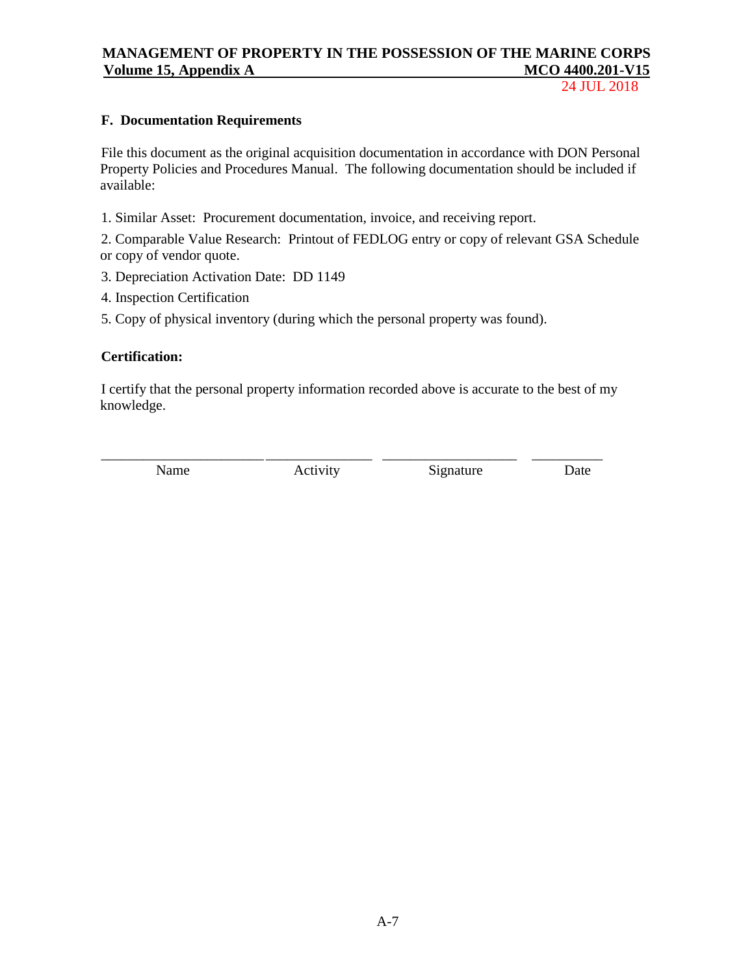24 JUL 2018

### **F. Documentation Requirements**

File this document as the original acquisition documentation in accordance with DON Personal Property Policies and Procedures Manual. The following documentation should be included if available:

1. Similar Asset: Procurement documentation, invoice, and receiving report.

2. Comparable Value Research: Printout of FEDLOG entry or copy of relevant GSA Schedule or copy of vendor quote.

- 3. Depreciation Activation Date: DD 1149
- 4. Inspection Certification
- 5. Copy of physical inventory (during which the personal property was found).

### **Certification:**

I certify that the personal property information recorded above is accurate to the best of my knowledge.

\_\_\_\_\_\_\_\_\_\_\_\_\_\_\_\_\_\_\_\_\_\_\_ \_\_\_\_\_\_\_\_\_\_\_\_\_\_\_ \_\_\_\_\_\_\_\_\_\_\_\_\_\_\_\_\_\_\_ \_\_\_\_\_\_\_\_\_\_

Name Activity Signature Date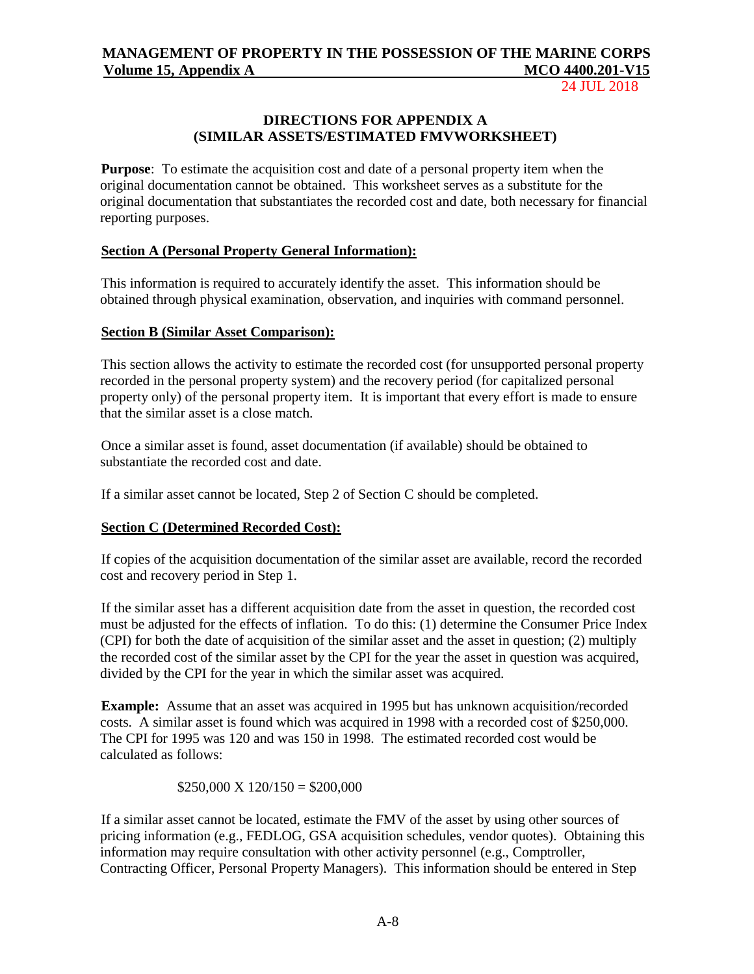24 JUL 2018

### **DIRECTIONS FOR APPENDIX A (SIMILAR ASSETS/ESTIMATED FMVWORKSHEET)**

**Purpose**: To estimate the acquisition cost and date of a personal property item when the original documentation cannot be obtained. This worksheet serves as a substitute for the original documentation that substantiates the recorded cost and date, both necessary for financial reporting purposes.

### **Section A (Personal Property General Information):**

This information is required to accurately identify the asset. This information should be obtained through physical examination, observation, and inquiries with command personnel.

### **Section B (Similar Asset Comparison):**

This section allows the activity to estimate the recorded cost (for unsupported personal property recorded in the personal property system) and the recovery period (for capitalized personal property only) of the personal property item. It is important that every effort is made to ensure that the similar asset is a close match.

Once a similar asset is found, asset documentation (if available) should be obtained to substantiate the recorded cost and date.

If a similar asset cannot be located, Step 2 of Section C should be completed.

## **Section C (Determined Recorded Cost):**

If copies of the acquisition documentation of the similar asset are available, record the recorded cost and recovery period in Step 1.

If the similar asset has a different acquisition date from the asset in question, the recorded cost must be adjusted for the effects of inflation. To do this: (1) determine the Consumer Price Index (CPI) for both the date of acquisition of the similar asset and the asset in question; (2) multiply the recorded cost of the similar asset by the CPI for the year the asset in question was acquired, divided by the CPI for the year in which the similar asset was acquired.

**Example:** Assume that an asset was acquired in 1995 but has unknown acquisition/recorded costs. A similar asset is found which was acquired in 1998 with a recorded cost of \$250,000. The CPI for 1995 was 120 and was 150 in 1998. The estimated recorded cost would be calculated as follows:

 $$250,000 \text{ X } 120/150 = $200,000$ 

If a similar asset cannot be located, estimate the FMV of the asset by using other sources of pricing information (e.g., FEDLOG, GSA acquisition schedules, vendor quotes). Obtaining this information may require consultation with other activity personnel (e.g., Comptroller, Contracting Officer, Personal Property Managers). This information should be entered in Step